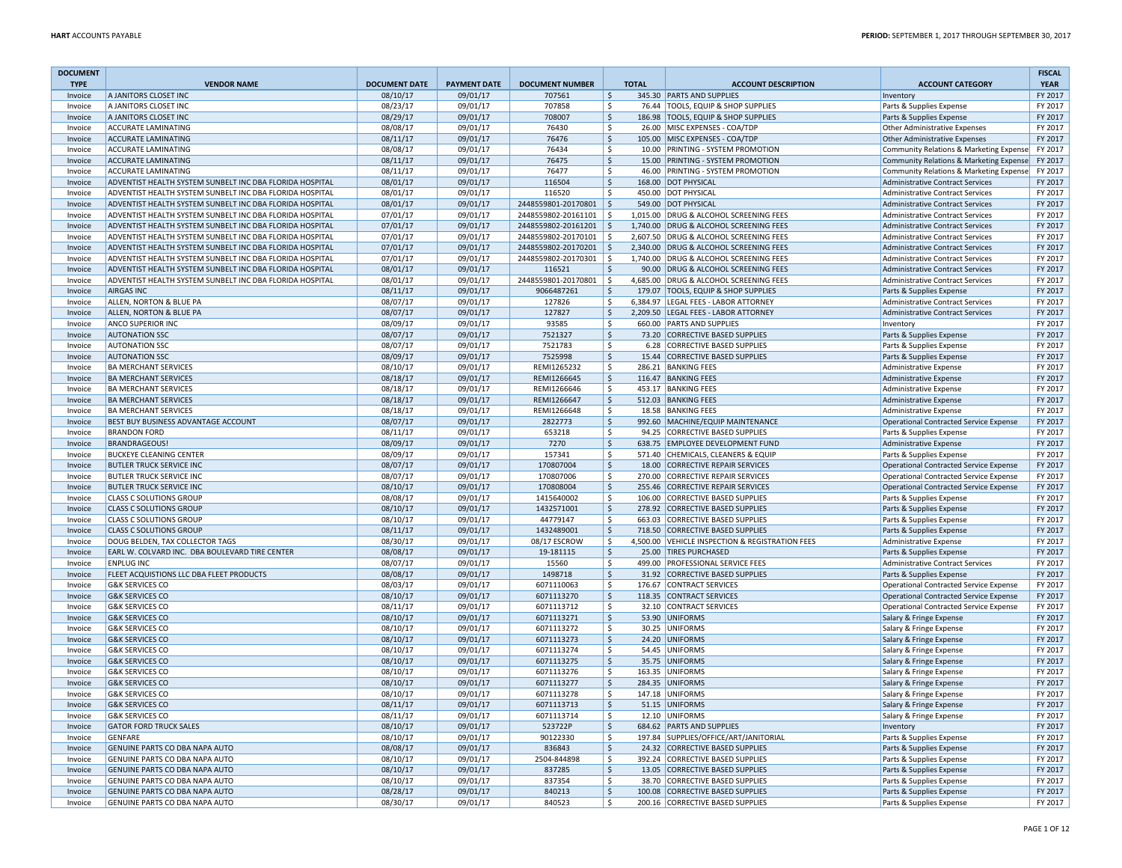| <b>DOCUMENT</b><br><b>TYPE</b> | <b>VENDOR NAME</b>                                       | <b>DOCUMENT DATE</b> | <b>PAYMENT DATE</b> | <b>DOCUMENT NUMBER</b> |                     | <b>TOTAL</b> | <b>ACCOUNT DESCRIPTION</b>                      | <b>ACCOUNT CATEGORY</b>                       | <b>FISCAL</b><br><b>YEAR</b> |
|--------------------------------|----------------------------------------------------------|----------------------|---------------------|------------------------|---------------------|--------------|-------------------------------------------------|-----------------------------------------------|------------------------------|
| Invoice                        | A JANITORS CLOSET INC                                    | 08/10/17             | 09/01/17            | 707561                 | $\zeta$             |              | 345.30 PARTS AND SUPPLIES                       | Inventory                                     | FY 2017                      |
| Invoice                        | A JANITORS CLOSET INC                                    | 08/23/17             | 09/01/17            | 707858                 | $\ddot{\mathsf{S}}$ |              | 76.44 TOOLS, EQUIP & SHOP SUPPLIES              | Parts & Supplies Expense                      | FY 2017                      |
| Invoice                        | A JANITORS CLOSET INC                                    | 08/29/17             | 09/01/17            | 708007                 | $\zeta$             |              | 186.98 TOOLS, EQUIP & SHOP SUPPLIES             | Parts & Supplies Expense                      | FY 2017                      |
| Invoice                        | <b>ACCURATE LAMINATING</b>                               | 08/08/17             | 09/01/17            | 76430                  | $\ddot{\mathsf{S}}$ |              | 26.00 MISC EXPENSES - COA/TDP                   | Other Administrative Expenses                 | FY 2017                      |
| Invoice                        | <b>ACCURATE LAMINATING</b>                               | 08/11/17             | 09/01/17            | 76476                  | $\ddot{\mathsf{S}}$ |              | 105.00 MISC EXPENSES - COA/TDP                  | <b>Other Administrative Expenses</b>          | FY 2017                      |
| Invoice                        | <b>ACCURATE LAMINATING</b>                               | 08/08/17             | 09/01/17            | 76434                  | \$                  |              | 10.00 PRINTING - SYSTEM PROMOTION               | Community Relations & Marketing Expense       | FY 2017                      |
| Invoice                        | <b>ACCURATE LAMINATING</b>                               | 08/11/17             | 09/01/17            | 76475                  | $\ddot{\mathsf{S}}$ |              | 15.00 PRINTING - SYSTEM PROMOTION               | Community Relations & Marketing Expense       | FY 2017                      |
| Invoice                        | <b>ACCURATE LAMINATING</b>                               | 08/11/17             | 09/01/17            | 76477                  | \$                  |              | 46.00 PRINTING - SYSTEM PROMOTION               | Community Relations & Marketing Expense       | FY 2017                      |
| Invoice                        | ADVENTIST HEALTH SYSTEM SUNBELT INC DBA FLORIDA HOSPITAL | 08/01/17             | 09/01/17            | 116504                 | \$                  |              | 168.00 DOT PHYSICAL                             | <b>Administrative Contract Services</b>       | FY 2017                      |
| Invoice                        | ADVENTIST HEALTH SYSTEM SUNBELT INC DBA FLORIDA HOSPITAL | 08/01/17             | 09/01/17            | 116520                 | $\mathsf{\hat{S}}$  |              | 450.00 DOT PHYSICAL                             | <b>Administrative Contract Services</b>       | FY 2017                      |
| Invoice                        | ADVENTIST HEALTH SYSTEM SUNBELT INC DBA FLORIDA HOSPITAL | 08/01/17             | 09/01/17            | 2448559801-20170801    | l \$                |              | 549.00 DOT PHYSICAL                             | <b>Administrative Contract Services</b>       | FY 2017                      |
| Invoice                        | ADVENTIST HEALTH SYSTEM SUNBELT INC DBA FLORIDA HOSPITAL | 07/01/17             | 09/01/17            | 2448559802-20161101    | l \$                |              | 1,015.00 DRUG & ALCOHOL SCREENING FEES          | <b>Administrative Contract Services</b>       | FY 2017                      |
| Invoice                        | ADVENTIST HEALTH SYSTEM SUNBELT INC DBA FLORIDA HOSPITAL | 07/01/17             | 09/01/17            | 2448559802-20161201    | l \$                |              | 1,740.00 DRUG & ALCOHOL SCREENING FEES          | <b>Administrative Contract Services</b>       | FY 2017                      |
| Invoice                        | ADVENTIST HEALTH SYSTEM SUNBELT INC DBA FLORIDA HOSPITAL | 07/01/17             | 09/01/17            | 2448559802-20170101    | - Ś                 |              | 2,607.50 DRUG & ALCOHOL SCREENING FEES          | Administrative Contract Services              | FY 2017                      |
| Invoice                        | ADVENTIST HEALTH SYSTEM SUNBELT INC DBA FLORIDA HOSPITAL | 07/01/17             | 09/01/17            | 2448559802-20170201 \$ |                     |              | 2,340.00 DRUG & ALCOHOL SCREENING FEES          | <b>Administrative Contract Services</b>       | FY 2017                      |
| Invoice                        | ADVENTIST HEALTH SYSTEM SUNBELT INC DBA FLORIDA HOSPITAL | 07/01/17             | 09/01/17            | 2448559802-20170301 \$ |                     |              | 1,740.00 DRUG & ALCOHOL SCREENING FEES          | <b>Administrative Contract Services</b>       | FY 2017                      |
| Invoice                        | ADVENTIST HEALTH SYSTEM SUNBELT INC DBA FLORIDA HOSPITAL | 08/01/17             | 09/01/17            | 116521                 | \$                  |              | 90.00 DRUG & ALCOHOL SCREENING FEES             | Administrative Contract Services              | FY 2017                      |
| Invoice                        | ADVENTIST HEALTH SYSTEM SUNBELT INC DBA FLORIDA HOSPITAL | 08/01/17             | 09/01/17            | 2448559801-20170801    | l\$                 |              | 4,685.00 DRUG & ALCOHOL SCREENING FEES          | Administrative Contract Services              | FY 2017                      |
| Invoice                        | <b>AIRGAS INC</b>                                        | 08/11/17             | 09/01/17            | 9066487261             | $\mathsf{\hat{S}}$  |              | 179.07 TOOLS, EQUIP & SHOP SUPPLIES             | Parts & Supplies Expense                      | FY 2017                      |
| Invoice                        | ALLEN, NORTON & BLUE PA                                  | 08/07/17             | 09/01/17            | 127826                 | <sub>S</sub>        |              | 6,384.97 LEGAL FEES - LABOR ATTORNEY            | <b>Administrative Contract Services</b>       | FY 2017                      |
| Invoice                        | ALLEN, NORTON & BLUE PA                                  | 08/07/17             | 09/01/17            | 127827                 | $\zeta$             |              | 2,209.50 LEGAL FEES - LABOR ATTORNEY            | <b>Administrative Contract Services</b>       | FY 2017                      |
| Invoice                        | ANCO SUPERIOR INC                                        | 08/09/17             | 09/01/17            | 93585                  | \$                  |              | 660.00 PARTS AND SUPPLIES                       | Inventory                                     | FY 2017                      |
| Invoice                        | <b>AUTONATION SSC</b>                                    | 08/07/17             | 09/01/17            | 7521327                | $\zeta$             |              | 73.20 CORRECTIVE BASED SUPPLIES                 | Parts & Supplies Expense                      | FY 2017                      |
| Invoice                        | <b>AUTONATION SSC</b>                                    | 08/07/17             | 09/01/17            | 7521783                | \$                  |              | 6.28 CORRECTIVE BASED SUPPLIES                  | Parts & Supplies Expense                      | FY 2017                      |
| Invoice                        | <b>AUTONATION SSC</b>                                    | 08/09/17             | 09/01/17            | 7525998                | $\ddot{\mathsf{S}}$ |              | 15.44 CORRECTIVE BASED SUPPLIES                 | Parts & Supplies Expense                      | FY 2017                      |
| Invoice                        | <b>BA MERCHANT SERVICES</b>                              | 08/10/17             | 09/01/17            | REMI1265232            | S.                  |              | 286.21 BANKING FEES                             | <b>Administrative Expense</b>                 | FY 2017                      |
| Invoice                        | <b>BA MERCHANT SERVICES</b>                              | 08/18/17             | 09/01/17            | REMI1266645            | \$                  |              | 116.47 BANKING FEES                             | <b>Administrative Expense</b>                 | FY 2017                      |
| Invoice                        | <b>BA MERCHANT SERVICES</b>                              | 08/18/17             | 09/01/17            | REMI1266646            | \$                  |              | 453.17 BANKING FEES                             | Administrative Expense                        | FY 2017                      |
| Invoice                        | <b>BA MERCHANT SERVICES</b>                              | 08/18/17             | 09/01/17            | REMI1266647            | $\mathsf{\hat{S}}$  |              | 512.03 BANKING FEES                             | <b>Administrative Expense</b>                 | FY 2017                      |
| Invoice                        | <b>BA MERCHANT SERVICES</b>                              | 08/18/17             | 09/01/17            | REMI1266648            | \$                  |              | 18.58 BANKING FEES                              | <b>Administrative Expense</b>                 | FY 2017                      |
| Invoice                        | BEST BUY BUSINESS ADVANTAGE ACCOUNT                      | 08/07/17             | 09/01/17            | 2822773                | $\zeta$             |              | 992.60 MACHINE/EQUIP MAINTENANCE                | <b>Operational Contracted Service Expense</b> | FY 2017                      |
| Invoice                        | <b>BRANDON FORD</b>                                      | 08/11/17             | 09/01/17            | 653218                 | S.                  |              | 94.25 CORRECTIVE BASED SUPPLIES                 | Parts & Supplies Expense                      | FY 2017                      |
| Invoice                        | <b>BRANDRAGEOUS!</b>                                     | 08/09/17             | 09/01/17            | 7270                   | $\zeta$             |              | 638.75 EMPLOYEE DEVELOPMENT FUND                | Administrative Expense                        | FY 2017                      |
| Invoice                        | <b>BUCKEYE CLEANING CENTER</b>                           | 08/09/17             | 09/01/17            | 157341                 | \$                  |              | 571.40 CHEMICALS, CLEANERS & EQUIP              | Parts & Supplies Expense                      | FY 2017                      |
| Invoice                        | <b>BUTLER TRUCK SERVICE INC</b>                          | 08/07/17             | 09/01/17            | 170807004              | $\zeta$             |              | 18.00 CORRECTIVE REPAIR SERVICES                | <b>Operational Contracted Service Expense</b> | FY 2017                      |
| Invoice                        | <b>BUTLER TRUCK SERVICE INC</b>                          | 08/07/17             | 09/01/17            | 170807006              | <b>S</b>            |              | 270.00 CORRECTIVE REPAIR SERVICES               | Operational Contracted Service Expense        | FY 2017                      |
| Invoice                        | <b>BUTLER TRUCK SERVICE INC</b>                          | 08/10/17             | 09/01/17            | 170808004              | $\zeta$             |              | 255.46 CORRECTIVE REPAIR SERVICES               | Operational Contracted Service Expense        | FY 2017                      |
| Invoice                        | <b>CLASS C SOLUTIONS GROUP</b>                           | 08/08/17             | 09/01/17            | 1415640002             | \$                  |              | 106.00 CORRECTIVE BASED SUPPLIES                | Parts & Supplies Expense                      | FY 2017                      |
| Invoice                        | <b>CLASS C SOLUTIONS GROUP</b>                           | 08/10/17             | 09/01/17            | 1432571001             | $\ddot{\mathsf{S}}$ |              | 278.92 CORRECTIVE BASED SUPPLIES                | Parts & Supplies Expense                      | FY 2017                      |
| Invoice                        | <b>CLASS C SOLUTIONS GROUP</b>                           | 08/10/17             | 09/01/17            | 44779147               | $\ddot{\mathsf{S}}$ |              | 663.03 CORRECTIVE BASED SUPPLIES                | Parts & Supplies Expense                      | FY 2017                      |
| Invoice                        | <b>CLASS C SOLUTIONS GROUP</b>                           | 08/11/17             | 09/01/17            | 1432489001             | $\mathsf{S}$        |              | 718.50 CORRECTIVE BASED SUPPLIES                | Parts & Supplies Expense                      | FY 2017                      |
| Invoice                        | DOUG BELDEN, TAX COLLECTOR TAGS                          | 08/30/17             | 09/01/17            | 08/17 ESCROW           | \$                  |              | 4,500.00 VEHICLE INSPECTION & REGISTRATION FEES | Administrative Expense                        | FY 2017                      |
| Invoice                        | EARL W. COLVARD INC. DBA BOULEVARD TIRE CENTER           | 08/08/17             | 09/01/17            | 19-181115              | $\zeta$             |              | 25.00 TIRES PURCHASED                           | Parts & Supplies Expense                      | FY 2017                      |
| Invoice                        | <b>ENPLUG INC</b>                                        | 08/07/17             | 09/01/17            | 15560                  | <b>S</b>            |              | 499.00 PROFESSIONAL SERVICE FEES                | Administrative Contract Services              | FY 2017                      |
| Invoice                        | FLEET ACQUISTIONS LLC DBA FLEET PRODUCTS                 | 08/08/17             | 09/01/17            | 1498718                | $\mathsf{\hat{S}}$  |              | 31.92 CORRECTIVE BASED SUPPLIES                 | Parts & Supplies Expense                      | FY 2017                      |
| Invoice                        | <b>G&amp;K SERVICES CO</b>                               | 08/03/17             | 09/01/17            | 6071110063             | \$                  |              | 176.67 CONTRACT SERVICES                        | <b>Operational Contracted Service Expense</b> | FY 2017                      |
| Invoice                        | <b>G&amp;K SERVICES CO</b>                               | 08/10/17             | 09/01/17            | 6071113270             | $\zeta$             |              | 118.35 CONTRACT SERVICES                        | Operational Contracted Service Expense        | FY 2017                      |
| Invoice                        | <b>G&amp;K SERVICES CO</b>                               | 08/11/17             | 09/01/17            | 6071113712             | \$                  |              | 32.10 CONTRACT SERVICES                         | <b>Operational Contracted Service Expense</b> | FY 2017                      |
| Invoice                        | <b>G&amp;K SERVICES CO</b>                               | 08/10/17             | 09/01/17            | 6071113271             | $\mathsf{\hat{S}}$  |              | 53.90 UNIFORMS                                  | Salary & Fringe Expense                       | FY 2017                      |
| Invoice                        | <b>G&amp;K SERVICES CO</b>                               | 08/10/17             | 09/01/17            | 6071113272             | \$                  |              | 30.25 UNIFORMS                                  | Salary & Fringe Expense                       | FY 2017                      |
| Invoice                        | <b>G&amp;K SERVICES CO</b>                               | 08/10/17             | 09/01/17            | 6071113273             | $\mathsf{\hat{S}}$  |              | 24.20 UNIFORMS                                  | Salary & Fringe Expense                       | FY 2017                      |
| Invoice                        | <b>G&amp;K SERVICES CO</b>                               | 08/10/17             | 09/01/17            | 6071113274             | S.                  |              | 54.45 UNIFORMS                                  | Salary & Fringe Expense                       | FY 2017                      |
| Invoice                        | <b>G&amp;K SERVICES CO</b>                               | 08/10/17             | 09/01/17            | 6071113275             | \$                  |              | 35.75 UNIFORMS                                  | Salary & Fringe Expense                       | FY 2017                      |
| Invoice                        | <b>G&amp;K SERVICES CO</b>                               | 08/10/17             | 09/01/17            | 6071113276             | <b>S</b>            |              | 163.35 UNIFORMS                                 | Salary & Fringe Expense                       | FY 2017                      |
| Invoice                        | <b>G&amp;K SERVICES CO</b>                               | 08/10/17             | 09/01/17            | 6071113277             | $\zeta$             |              | 284.35 UNIFORMS                                 | Salary & Fringe Expense                       | FY 2017                      |
| Invoice                        | <b>G&amp;K SERVICES CO</b>                               | 08/10/17             | 09/01/17            | 6071113278             | \$                  |              | 147.18 UNIFORMS                                 | Salary & Fringe Expense                       | FY 2017                      |
| Invoice                        | <b>G&amp;K SERVICES CO</b>                               | 08/11/17             | 09/01/17            | 6071113713             | $\zeta$             |              | 51.15 UNIFORMS                                  | Salary & Fringe Expense                       | FY 2017                      |
| Invoice                        | <b>G&amp;K SERVICES CO</b>                               | 08/11/17             | 09/01/17            | 6071113714             | \$                  |              | 12.10 UNIFORMS                                  | Salary & Fringe Expense                       | FY 2017                      |
| Invoice                        | <b>GATOR FORD TRUCK SALES</b>                            | 08/10/17             | 09/01/17            | 523722P                | $\zeta$             |              | 684.62 PARTS AND SUPPLIES                       | Inventory                                     | FY 2017                      |
| Invoice                        | <b>GENFARE</b>                                           | 08/10/17             | 09/01/17            | 90122330               | \$                  |              | 197.84 SUPPLIES/OFFICE/ART/JANITORIAL           | Parts & Supplies Expense                      | FY 2017                      |
| Invoice                        | GENUINE PARTS CO DBA NAPA AUTO                           | 08/08/17             | 09/01/17            | 836843                 | $\mathsf{\hat{S}}$  |              | 24.32 CORRECTIVE BASED SUPPLIES                 | Parts & Supplies Expense                      | FY 2017                      |
|                                | GENUINE PARTS CO DBA NAPA AUTO                           | 08/10/17             | 09/01/17            | 2504-844898            | S.                  |              | 392.24 CORRECTIVE BASED SUPPLIES                | Parts & Supplies Expense                      | FY 2017                      |
| Invoice<br>Invoice             | GENUINE PARTS CO DBA NAPA AUTO                           | 08/10/17             | 09/01/17            | 837285                 | -\$                 |              | 13.05 CORRECTIVE BASED SUPPLIES                 | Parts & Supplies Expense                      | FY 2017                      |
| Invoice                        | GENUINE PARTS CO DBA NAPA AUTO                           | 08/10/17             | 09/01/17            | 837354                 | S.                  |              | 38.70 CORRECTIVE BASED SUPPLIES                 | Parts & Supplies Expense                      | FY 2017                      |
| Invoice                        | GENUINE PARTS CO DBA NAPA AUTO                           | 08/28/17             | 09/01/17            | 840213                 | $\ddot{\mathsf{S}}$ |              | 100.08 CORRECTIVE BASED SUPPLIES                | Parts & Supplies Expense                      | FY 2017                      |
| Invoice                        | GENUINE PARTS CO DBA NAPA AUTO                           | 08/30/17             | 09/01/17            | 840523                 | \$                  |              | 200.16 CORRECTIVE BASED SUPPLIES                | Parts & Supplies Expense                      | FY 2017                      |
|                                |                                                          |                      |                     |                        |                     |              |                                                 |                                               |                              |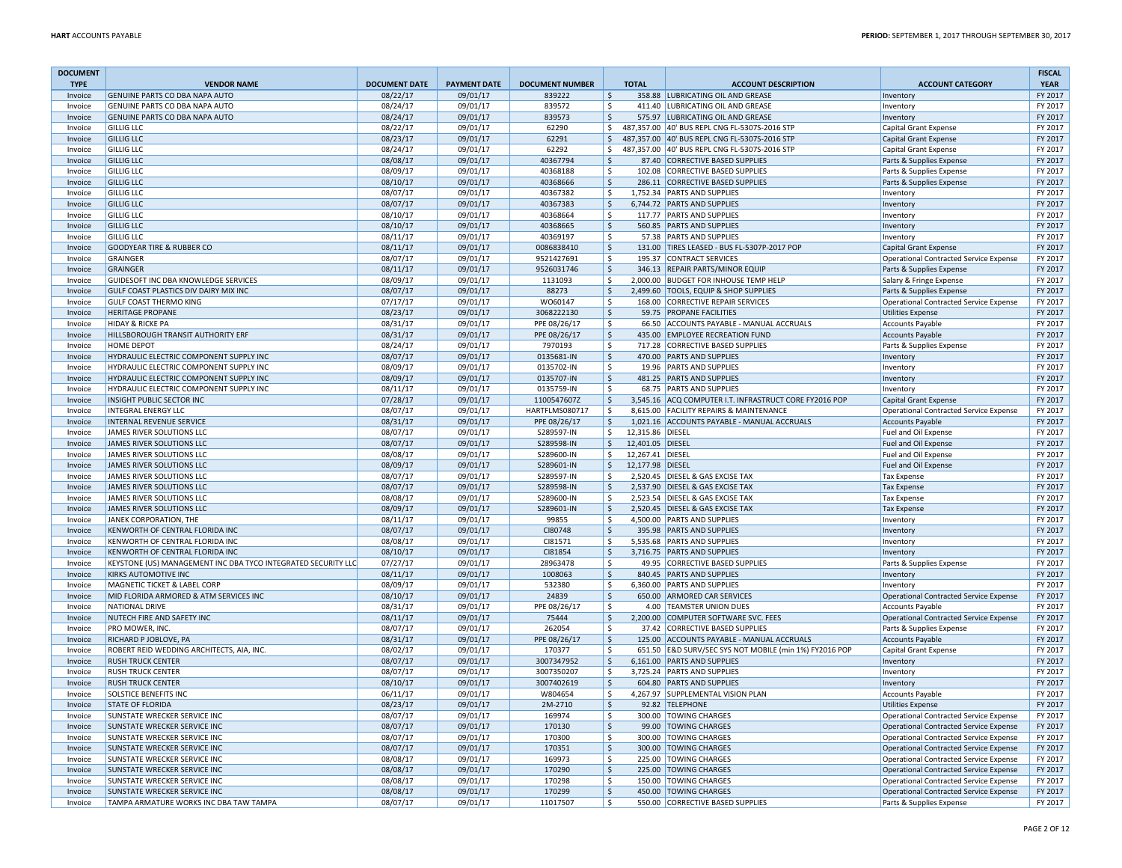| <b>DOCUMENT</b>    |                                                                        |                      |                      |                        |                    | <b>TOTAL</b>     |                                                                        |                                                                           | <b>FISCAL</b>      |
|--------------------|------------------------------------------------------------------------|----------------------|----------------------|------------------------|--------------------|------------------|------------------------------------------------------------------------|---------------------------------------------------------------------------|--------------------|
| <b>TYPE</b>        | <b>VENDOR NAME</b><br><b>GENUINE PARTS CO DBA NAPA AUTO</b>            | <b>DOCUMENT DATE</b> | <b>PAYMENT DATE</b>  | <b>DOCUMENT NUMBER</b> |                    |                  | <b>ACCOUNT DESCRIPTION</b>                                             | <b>ACCOUNT CATEGORY</b>                                                   | <b>YEAR</b>        |
| Invoice<br>Invoice | GENUINE PARTS CO DBA NAPA AUTO                                         | 08/22/17<br>08/24/17 | 09/01/17<br>09/01/17 | 839222<br>839572       | S,<br>-Ś           |                  | 358.88 LUBRICATING OIL AND GREASE<br>411.40 LUBRICATING OIL AND GREASE | Inventory                                                                 | FY 2017<br>FY 2017 |
| Invoice            | GENUINE PARTS CO DBA NAPA AUTO                                         | 08/24/17             | 09/01/17             | 839573                 | l \$               |                  | 575.97 LUBRICATING OIL AND GREASE                                      | Inventory<br>Inventory                                                    | FY 2017            |
| Invoice            | <b>GILLIG LLC</b>                                                      | 08/22/17             | 09/01/17             | 62290                  | \$                 |                  | 487,357.00 40' BUS REPL CNG FL-5307S-2016 STP                          | Capital Grant Expense                                                     | FY 2017            |
| Invoice            | <b>GILLIG LLC</b>                                                      | 08/23/17             | 09/01/17             | 62291                  | l\$                |                  | 487,357.00 40' BUS REPL CNG FL-5307S-2016 STP                          | <b>Capital Grant Expense</b>                                              | FY 2017            |
| Invoice            | <b>GILLIG LLC</b>                                                      | 08/24/17             | 09/01/17             | 62292                  | \$                 |                  | 487,357.00 40' BUS REPL CNG FL-5307S-2016 STP                          | <b>Capital Grant Expense</b>                                              | FY 2017            |
| Invoice            | <b>GILLIG LLC</b>                                                      | 08/08/17             | 09/01/17             | 40367794               | $\ddot{\varsigma}$ |                  | 87.40 CORRECTIVE BASED SUPPLIES                                        | Parts & Supplies Expense                                                  | FY 2017            |
| Invoice            | <b>GILLIG LLC</b>                                                      | 08/09/17             | 09/01/17             | 40368188               | l \$               |                  | 102.08 CORRECTIVE BASED SUPPLIES                                       | Parts & Supplies Expense                                                  | FY 2017            |
| Invoice            | <b>GILLIG LLC</b>                                                      | 08/10/17             | 09/01/17             | 40368666               | l\$                |                  | 286.11 CORRECTIVE BASED SUPPLIES                                       | Parts & Supplies Expense                                                  | FY 2017            |
| Invoice            | <b>GILLIG LLC</b>                                                      | 08/07/17             | 09/01/17             | 40367382               | \$                 |                  | 1,752.34 PARTS AND SUPPLIES                                            | Inventory                                                                 | FY 2017            |
| Invoice            | <b>GILLIG LLC</b>                                                      | 08/07/17             | 09/01/17             | 40367383               | \$                 |                  | 6.744.72 PARTS AND SUPPLIES                                            | Inventory                                                                 | FY 2017            |
| Invoice            | <b>GILLIG LLC</b>                                                      | 08/10/17             | 09/01/17             | 40368664               | -Ś                 |                  | 117.77 PARTS AND SUPPLIES                                              | Inventory                                                                 | FY 2017            |
| Invoice            | <b>GILLIG LLC</b>                                                      | 08/10/17             | 09/01/17             | 40368665               | l \$               |                  | 560.85 PARTS AND SUPPLIES                                              | Inventory                                                                 | FY 2017            |
| Invoice            | <b>GILLIG LLC</b>                                                      | 08/11/17             | 09/01/17             | 40369197               | \$                 |                  | 57.38 PARTS AND SUPPLIES                                               | Inventory                                                                 | FY 2017            |
| Invoice            | <b>GOODYEAR TIRE &amp; RUBBER CO</b>                                   | 08/11/17             | 09/01/17             | 0086838410             | l\$                |                  | 131.00 TIRES LEASED - BUS FL-5307P-2017 POP                            | <b>Capital Grant Expense</b>                                              | FY 2017            |
| Invoice            | GRAINGER                                                               | 08/07/17             | 09/01/17             | 9521427691             | \$                 |                  | 195.37 CONTRACT SERVICES                                               | Operational Contracted Service Expense                                    | FY 2017            |
| Invoice            | <b>GRAINGER</b>                                                        | 08/11/17             | 09/01/17             | 9526031746             | \$                 |                  | 346.13 REPAIR PARTS/MINOR EQUIP                                        | Parts & Supplies Expense                                                  | FY 2017            |
| Invoice            | GUIDESOFT INC DBA KNOWLEDGE SERVICES                                   | 08/09/17             | 09/01/17             | 1131093                | \$                 |                  | 2,000.00 BUDGET FOR INHOUSE TEMP HELP                                  | Salary & Fringe Expense                                                   | FY 2017            |
| Invoice            | GULF COAST PLASTICS DIV DAIRY MIX INC                                  | 08/07/17             | 09/01/17             | 88273                  | $\zeta$            |                  | 2,499.60 TOOLS, EQUIP & SHOP SUPPLIES                                  | Parts & Supplies Expense                                                  | FY 2017            |
| Invoice            | <b>GULF COAST THERMO KING</b>                                          | 07/17/17             | 09/01/17             | W060147                | <sup>\$</sup>      | 168.00           | CORRECTIVE REPAIR SERVICES                                             | <b>Operational Contracted Service Expense</b>                             | FY 2017            |
| Invoice            | <b>HERITAGE PROPANE</b>                                                | 08/23/17             | 09/01/17             | 3068222130             | \$                 |                  | 59.75 PROPANE FACILITIES                                               | <b>Utilities Expense</b>                                                  | FY 2017            |
| Invoice            | <b>HIDAY &amp; RICKE PA</b>                                            | 08/31/17             | 09/01/17             | PPE 08/26/17           | -Ś                 |                  | 66.50 ACCOUNTS PAYABLE - MANUAL ACCRUALS                               | <b>Accounts Payable</b>                                                   | FY 2017            |
| Invoice            | HILLSBOROUGH TRANSIT AUTHORITY ERF                                     | 08/31/17             | 09/01/17             | PPE 08/26/17           | l \$               |                  | 435.00 EMPLOYEE RECREATION FUND                                        | <b>Accounts Payable</b>                                                   | FY 2017            |
| Invoice            | HOME DEPOT                                                             | 08/24/17             | 09/01/17             | 7970193                | $\mathsf{\$}$      |                  | 717.28 CORRECTIVE BASED SUPPLIES                                       | Parts & Supplies Expense                                                  | FY 2017            |
| Invoice            | HYDRAULIC ELECTRIC COMPONENT SUPPLY INC                                | 08/07/17             | 09/01/17             | 0135681-IN             | $\mathsf{\hat{S}}$ |                  | 470.00 PARTS AND SUPPLIES                                              | Inventory                                                                 | FY 2017            |
| Invoice            | HYDRAULIC ELECTRIC COMPONENT SUPPLY INC                                | 08/09/17             | 09/01/17             | 0135702-IN             | <sup>\$</sup>      |                  | 19.96 PARTS AND SUPPLIES                                               | Inventory                                                                 | FY 2017            |
| Invoice            | HYDRAULIC ELECTRIC COMPONENT SUPPLY INC                                | 08/09/17             | 09/01/17             | 0135707-IN             | $\zeta$            |                  | 481.25 PARTS AND SUPPLIES                                              | Inventory                                                                 | FY 2017            |
| Invoice            | HYDRAULIC ELECTRIC COMPONENT SUPPLY INC                                | 08/11/17             | 09/01/17             | 0135759-IN             | \$                 |                  | 68.75 PARTS AND SUPPLIES                                               | Inventory                                                                 | FY 2017            |
| Invoice            | INSIGHT PUBLIC SECTOR INC                                              | 07/28/17             | 09/01/17             | 1100547607Z            | ∣\$                |                  | 3,545.16 ACQ COMPUTER I.T. INFRASTRUCT CORE FY2016 POP                 | <b>Capital Grant Expense</b>                                              | FY 2017            |
| Invoice            | INTEGRAL ENERGY LLC                                                    | 08/07/17             | 09/01/17             | HARTFLMS080717         | S,                 |                  | 8,615.00 FACILITY REPAIRS & MAINTENANCE                                | <b>Operational Contracted Service Expense</b>                             | FY 2017            |
| Invoice            | <b>INTERNAL REVENUE SERVICE</b>                                        | 08/31/17             | 09/01/17             | PPE 08/26/17           | \$                 |                  | 1,021.16 ACCOUNTS PAYABLE - MANUAL ACCRUALS                            | <b>Accounts Payable</b>                                                   | FY 2017            |
| Invoice            | JAMES RIVER SOLUTIONS LLC                                              | 08/07/17             | 09/01/17             | S289597-IN             | \$                 | 12,315.86 DIESEL |                                                                        | Fuel and Oil Expense                                                      | FY 2017            |
| Invoice            | <b>JAMES RIVER SOLUTIONS LLC</b>                                       | 08/07/17             | 09/01/17             | S289598-IN             | l \$               | 12,401.05 DIESEL |                                                                        | <b>Fuel and Oil Expense</b>                                               | FY 2017            |
| Invoice            | JAMES RIVER SOLUTIONS LLC                                              | 08/08/17             | 09/01/17             | S289600-IN             | \$                 | 12,267.41 DIESEL |                                                                        | Fuel and Oil Expense                                                      | FY 2017            |
| Invoice            | JAMES RIVER SOLUTIONS LLC                                              | 08/09/17             | 09/01/17             | S289601-IN             | $\zeta$            | 12,177.98 DIESEL |                                                                        | <b>Fuel and Oil Expense</b>                                               | FY 2017            |
| Invoice            | JAMES RIVER SOLUTIONS LLC                                              | 08/07/17             | 09/01/17             | S289597-IN             | Ŝ.                 |                  | 2,520.45 DIESEL & GAS EXCISE TAX                                       | <b>Tax Expense</b>                                                        | FY 2017            |
| Invoice            | JAMES RIVER SOLUTIONS LLC                                              | 08/07/17             | 09/01/17             | S289598-IN             | $\zeta$            |                  | 2,537.90 DIESEL & GAS EXCISE TAX                                       | <b>Tax Expense</b>                                                        | FY 2017            |
| Invoice            | JAMES RIVER SOLUTIONS LLC                                              | 08/08/17             | 09/01/17             | S289600-IN             | \$                 |                  | 2,523.54 DIESEL & GAS EXCISE TAX                                       | <b>Tax Expense</b>                                                        | FY 2017            |
| Invoice            | JAMES RIVER SOLUTIONS LLC                                              | 08/09/17             | 09/01/17             | S289601-IN             | $\zeta$            |                  | 2,520.45 DIESEL & GAS EXCISE TAX                                       | <b>Tax Expense</b>                                                        | FY 2017            |
| Invoice            | JANEK CORPORATION, THE                                                 | 08/11/17             | 09/01/17             | 99855                  | \$                 |                  | 4,500.00 PARTS AND SUPPLIES                                            | Inventor                                                                  | FY 2017            |
| Invoice            | KENWORTH OF CENTRAL FLORIDA INC                                        | 08/07/17             | 09/01/17             | CI80748                | S,                 |                  | 395.98 PARTS AND SUPPLIES                                              | Inventory                                                                 | FY 2017            |
| Invoice            | KENWORTH OF CENTRAL FLORIDA INC                                        | 08/08/17             | 09/01/17             | CI81571                | \$                 |                  | 5,535.68 PARTS AND SUPPLIES                                            | Inventory                                                                 | FY 2017            |
| Invoice            | KENWORTH OF CENTRAL FLORIDA INC                                        | 08/10/17             | 09/01/17             | CI81854                | \$                 |                  | 3.716.75 PARTS AND SUPPLIES                                            | Inventory                                                                 | FY 2017            |
| Invoice            | KEYSTONE (US) MANAGEMENT INC DBA TYCO INTEGRATED SECURITY LLC          | 07/27/17             | 09/01/17             | 28963478               | ۱\$                |                  | 49.95 CORRECTIVE BASED SUPPLIES                                        | Parts & Supplies Expense                                                  | FY 2017            |
| Invoice            | <b>KIRKS AUTOMOTIVE INC</b>                                            | 08/11/17<br>08/09/17 | 09/01/17<br>09/01/17 | 1008063<br>532380      | $\zeta$<br>\$      |                  | 840.45 PARTS AND SUPPLIES                                              | Inventory                                                                 | FY 2017<br>FY 2017 |
| Invoice            | MAGNETIC TICKET & LABEL CORP<br>MID FLORIDA ARMORED & ATM SERVICES INC | 08/10/17             | 09/01/17             | 24839                  | $\zeta$            |                  | 6,360.00 PARTS AND SUPPLIES<br>650.00 ARMORED CAR SERVICES             | Inventory                                                                 | FY 2017            |
| Invoice            | <b>NATIONAL DRIVE</b>                                                  | 08/31/17             | 09/01/17             | PPE 08/26/17           |                    |                  | 4.00 TEAMSTER UNION DUES                                               | Operational Contracted Service Expense                                    | FY 2017            |
| Invoice            | NUTECH FIRE AND SAFETY INC                                             | 08/11/17             | 09/01/17             | 75444                  | \$<br>$\zeta$      |                  | 2,200.00 COMPUTER SOFTWARE SVC. FEES                                   | <b>Accounts Payable</b>                                                   | FY 2017            |
| Invoice<br>Invoice | PRO MOWER, INC.                                                        | 08/07/17             | 09/01/17             | 262054                 | \$                 |                  | 37.42 CORRECTIVE BASED SUPPLIES                                        | <b>Operational Contracted Service Expense</b><br>Parts & Supplies Expense | FY 2017            |
| Invoice            | RICHARD P JOBLOVE, PA                                                  | 08/31/17             | 09/01/17             | PPE 08/26/17           | $\zeta$            |                  | 125.00 ACCOUNTS PAYABLE - MANUAL ACCRUALS                              | <b>Accounts Payable</b>                                                   | FY 2017            |
| Invoice            | ROBERT REID WEDDING ARCHITECTS, AIA, INC.                              | 08/02/17             | 09/01/17             | 170377                 | \$                 |                  | 651.50 E&D SURV/SEC SYS NOT MOBILE (min 1%) FY2016 POP                 | <b>Capital Grant Expense</b>                                              | FY 2017            |
| Invoice            | <b>RUSH TRUCK CENTER</b>                                               | 08/07/17             | 09/01/17             | 3007347952             | l\$                |                  | 6,161.00 PARTS AND SUPPLIES                                            | Inventory                                                                 | FY 2017            |
| Invoice            | <b>RUSH TRUCK CENTER</b>                                               | 08/07/17             | 09/01/17             | 3007350207             | <sub>S</sub>       |                  | 3.725.24 PARTS AND SUPPLIES                                            | Inventory                                                                 | FY 2017            |
| Invoice            | <b>RUSH TRUCK CENTER</b>                                               | 08/10/17             | 09/01/17             | 3007402619             | $\zeta$            |                  | 604.80 PARTS AND SUPPLIES                                              | Inventory                                                                 | FY 2017            |
| Invoice            | SOLSTICE BENEFITS INC                                                  | 06/11/17             | 09/01/17             | W804654                | \$                 |                  | 4,267.97 SUPPLEMENTAL VISION PLAN                                      | <b>Accounts Payable</b>                                                   | FY 2017            |
| Invoice            | <b>STATE OF FLORIDA</b>                                                | 08/23/17             | 09/01/17             | 2M-2710                | \$                 |                  | 92.82 TELEPHONE                                                        | <b>Utilities Expense</b>                                                  | FY 2017            |
| Invoice            | SUNSTATE WRECKER SERVICE INC                                           | 08/07/17             | 09/01/17             | 169974                 | \$                 |                  | 300.00 TOWING CHARGES                                                  | Operational Contracted Service Expense                                    | FY 2017            |
| Invoice            | <b>SUNSTATE WRECKER SERVICE INC</b>                                    | 08/07/17             | 09/01/17             | 170130                 | \$                 |                  | 99.00 TOWING CHARGES                                                   | Operational Contracted Service Expense                                    | FY 2017            |
| Invoice            | SUNSTATE WRECKER SERVICE INC                                           | 08/07/17             | 09/01/17             | 170300                 | $\mathsf{\hat{S}}$ |                  | 300.00 TOWING CHARGES                                                  | Operational Contracted Service Expense                                    | FY 2017            |
| Invoice            | SUNSTATE WRECKER SERVICE INC                                           | 08/07/17             | 09/01/17             | 170351                 | $\zeta$            |                  | 300.00 TOWING CHARGES                                                  | <b>Operational Contracted Service Expense</b>                             | FY 2017            |
| Invoice            | SUNSTATE WRECKER SERVICE INC                                           | 08/08/17             | 09/01/17             | 169973                 | $\zeta$            |                  | 225.00 TOWING CHARGES                                                  | Operational Contracted Service Expense                                    | FY 2017            |
| Invoice            | SUNSTATE WRECKER SERVICE INC                                           | 08/08/17             | 09/01/17             | 170290                 | l \$               |                  | 225.00 TOWING CHARGES                                                  | Operational Contracted Service Expense                                    | FY 2017            |
| Invoice            | SUNSTATE WRECKER SERVICE INC                                           | 08/08/17             | 09/01/17             | 170298                 | \$                 |                  | 150.00 TOWING CHARGES                                                  | Operational Contracted Service Expense                                    | FY 2017            |
| Invoice            | SUNSTATE WRECKER SERVICE INC                                           | 08/08/17             | 09/01/17             | 170299                 | $\zeta$            |                  | 450.00 TOWING CHARGES                                                  | Operational Contracted Service Expense                                    | FY 2017            |
| Invoice            | TAMPA ARMATURE WORKS INC DBA TAW TAMPA                                 | 08/07/17             | 09/01/17             | 11017507               | \$                 |                  | 550.00 CORRECTIVE BASED SUPPLIES                                       | Parts & Supplies Expense                                                  | FY 2017            |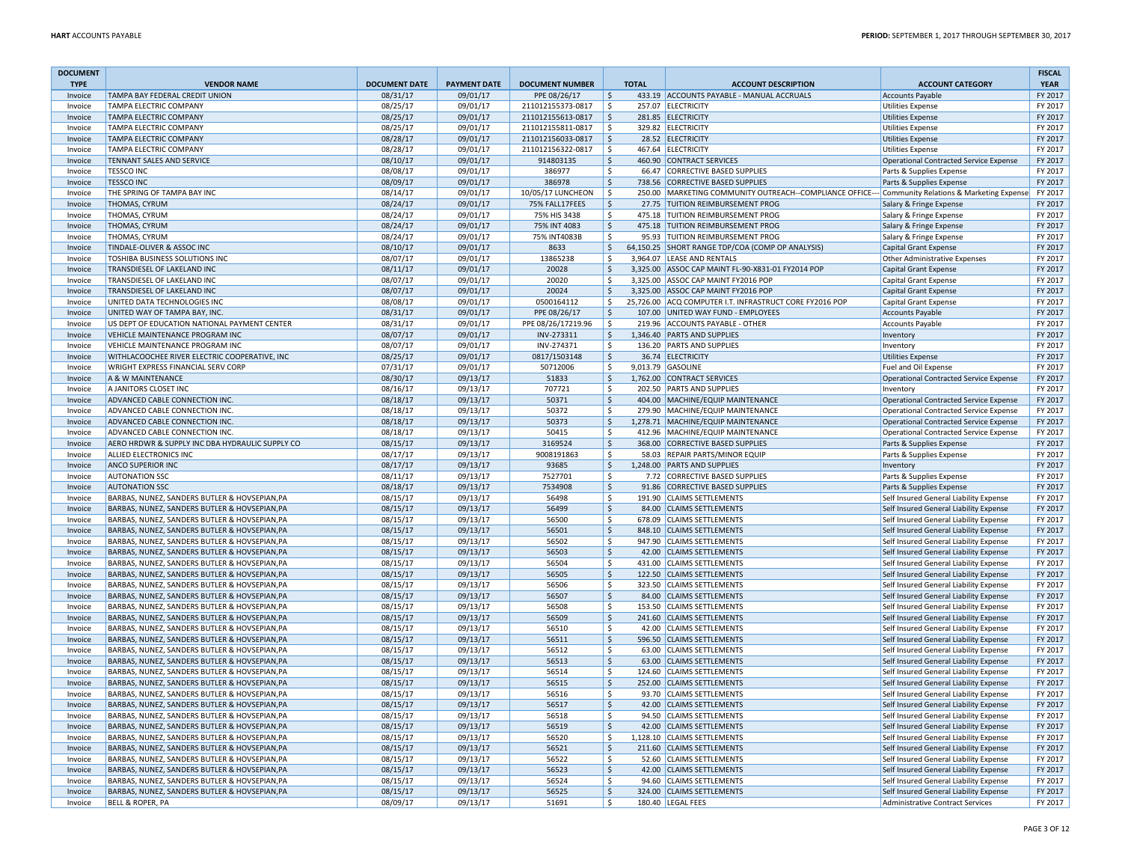| <b>DOCUMENT</b>    |                                                                                                |                      |                      |                                     |                      |                                                                                                                                         |                                                                                  | <b>FISCAL</b>      |
|--------------------|------------------------------------------------------------------------------------------------|----------------------|----------------------|-------------------------------------|----------------------|-----------------------------------------------------------------------------------------------------------------------------------------|----------------------------------------------------------------------------------|--------------------|
| <b>TYPE</b>        | <b>VENDOR NAME</b>                                                                             | <b>DOCUMENT DATE</b> | <b>PAYMENT DATE</b>  | <b>DOCUMENT NUMBER</b>              | <b>TOTAL</b>         | <b>ACCOUNT DESCRIPTION</b>                                                                                                              | <b>ACCOUNT CATEGORY</b>                                                          | <b>YEAR</b>        |
| Invoice            | TAMPA BAY FEDERAL CREDIT UNION                                                                 | 08/31/17             | 09/01/17             | PPE 08/26/17                        | \$                   | 433.19 ACCOUNTS PAYABLE - MANUAL ACCRUALS                                                                                               | Accounts Payable                                                                 | FY 2017            |
| Invoice            | <b>TAMPA ELECTRIC COMPANY</b>                                                                  | 08/25/17             | 09/01/17             | 211012155373-0817                   | \$                   | 257.07 ELECTRICITY                                                                                                                      | <b>Utilities Expense</b>                                                         | FY 2017            |
| Invoice            | <b>TAMPA ELECTRIC COMPANY</b>                                                                  | 08/25/17             | 09/01/17             | 211012155613-0817                   | l\$                  | 281.85 ELECTRICITY                                                                                                                      | <b>Utilities Expense</b>                                                         | FY 2017            |
| Invoice            | <b>TAMPA ELECTRIC COMPANY</b>                                                                  | 08/25/17             | 09/01/17             | 211012155811-0817                   | \$                   | 329.82 ELECTRICITY                                                                                                                      | Utilities Expense                                                                | FY 2017            |
| Invoice            | <b>TAMPA ELECTRIC COMPANY</b>                                                                  | 08/28/17             | 09/01/17             | 211012156033-0817                   | l\$                  | 28.52 ELECTRICITY                                                                                                                       | <b>Utilities Expense</b>                                                         | FY 2017            |
| Invoice            | <b>TAMPA ELECTRIC COMPANY</b>                                                                  | 08/28/17             | 09/01/17             | 211012156322-0817                   | \$                   | 467.64 ELECTRICITY                                                                                                                      | <b>Utilities Expense</b>                                                         | FY 2017            |
| Invoice            | <b>TENNANT SALES AND SERVICE</b>                                                               | 08/10/17             | 09/01/17             | 914803135                           | \$                   | 460.90 CONTRACT SERVICES                                                                                                                | Operational Contracted Service Expense                                           | FY 2017            |
| Invoice            | <b>TESSCO INC</b>                                                                              | 08/08/17             | 09/01/17             | 386977                              | Ś.                   | 66.47 CORRECTIVE BASED SUPPLIES                                                                                                         | Parts & Supplies Expense                                                         | FY 2017            |
| Invoice<br>Invoice | <b>TESSCO INC</b>                                                                              | 08/09/17             | 09/01/17             | 386978                              | \$                   | 738.56 CORRECTIVE BASED SUPPLIES                                                                                                        | Parts & Supplies Expense                                                         | FY 2017            |
| Invoice            | THE SPRING OF TAMPA BAY INC<br><b>THOMAS, CYRUM</b>                                            | 08/14/17<br>08/24/17 | 09/01/17<br>09/01/17 | 10/05/17 LUNCHEON<br>75% FALL17FEES | l\$<br><sup>\$</sup> | 250.00   MARKETING COMMUNITY OUTREACH--COMPLIANCE OFFICE--- Community Relations & Marketing Expense<br>27.75 TUITION REIMBURSEMENT PROG | Salary & Fringe Expense                                                          | FY 2017<br>FY 2017 |
| Invoice            | <b>THOMAS, CYRUM</b>                                                                           | 08/24/17             | 09/01/17             | 75% HIS 3438                        | Ś.                   | 475.18 TUITION REIMBURSEMENT PROG                                                                                                       |                                                                                  | FY 2017            |
| Invoice            | <b>THOMAS, CYRUM</b>                                                                           | 08/24/17             | 09/01/17             | 75% INT 4083                        | \$                   | 475.18 TUITION REIMBURSEMENT PROG                                                                                                       | Salary & Fringe Expense<br>Salary & Fringe Expense                               | FY 2017            |
| Invoice            | THOMAS, CYRUM                                                                                  | 08/24/17             | 09/01/17             | 75% INT4083B                        | \$                   | 95.93 TUITION REIMBURSEMENT PROG                                                                                                        | Salary & Fringe Expense                                                          | FY 2017            |
| Invoice            | TINDALE-OLIVER & ASSOC INC                                                                     | 08/10/17             | 09/01/17             | 8633                                | \$                   | 64,150.25 SHORT RANGE TDP/COA (COMP OP ANALYSIS)                                                                                        | <b>Capital Grant Expense</b>                                                     | FY 2017            |
| Invoice            | TOSHIBA BUSINESS SOLUTIONS INC                                                                 | 08/07/17             | 09/01/17             | 13865238                            | \$                   | 3.964.07 LEASE AND RENTALS                                                                                                              | <b>Other Administrative Expenses</b>                                             | FY 2017            |
| Invoice            | TRANSDIESEL OF LAKELAND INC                                                                    | 08/11/17             | 09/01/17             | 20028                               | \$                   | 3,325.00 ASSOC CAP MAINT FL-90-X831-01 FY2014 POP                                                                                       | Capital Grant Expense                                                            | FY 2017            |
| Invoice            | TRANSDIESEL OF LAKELAND INC                                                                    | 08/07/17             | 09/01/17             | 20020                               | \$                   | 3,325.00 ASSOC CAP MAINT FY2016 POP                                                                                                     | <b>Capital Grant Expense</b>                                                     | FY 2017            |
| Invoice            | TRANSDIESEL OF LAKELAND INC                                                                    | 08/07/17             | 09/01/17             | 20024                               | \$                   | 3,325.00 ASSOC CAP MAINT FY2016 POP                                                                                                     | <b>Capital Grant Expense</b>                                                     | FY 2017            |
| Invoice            | UNITED DATA TECHNOLOGIES INC                                                                   | 08/08/17             | 09/01/17             | 0500164112                          | \$                   | 25,726.00 ACQ COMPUTER I.T. INFRASTRUCT CORE FY2016 POP                                                                                 | Capital Grant Expense                                                            | FY 2017            |
| Invoice            | UNITED WAY OF TAMPA BAY, INC.                                                                  | 08/31/17             | 09/01/17             | PPE 08/26/17                        | $\mathsf{S}$         | 107.00 UNITED WAY FUND - EMPLOYEES                                                                                                      | <b>Accounts Payable</b>                                                          | FY 2017            |
| Invoice            | US DEPT OF EDUCATION NATIONAL PAYMENT CENTER                                                   | 08/31/17             | 09/01/17             | PPE 08/26/17219.96                  | Ś.                   | 219.96 ACCOUNTS PAYABLE - OTHER                                                                                                         | <b>Accounts Payable</b>                                                          | FY 2017            |
| Invoice            | VEHICLE MAINTENANCE PROGRAM INC                                                                | 08/07/17             | 09/01/17             | INV-273311                          | \$                   | 1,346.40 PARTS AND SUPPLIES                                                                                                             | Inventory                                                                        | FY 2017            |
| Invoice            | <b>VEHICLE MAINTENANCE PROGRAM INC</b>                                                         | 08/07/17             | 09/01/17             | INV-274371                          | Ś                    | 136.20 PARTS AND SUPPLIES                                                                                                               | Inventory                                                                        | FY 2017            |
| Invoice            | WITHLACOOCHEE RIVER ELECTRIC COOPERATIVE, INC                                                  | 08/25/17             | 09/01/17             | 0817/1503148                        | $\mathsf{\hat{S}}$   | 36.74 ELECTRICITY                                                                                                                       | <b>Utilities Expense</b>                                                         | FY 2017            |
| Invoice            | <b>WRIGHT EXPRESS FINANCIAL SERV CORP</b>                                                      | 07/31/17             | 09/01/17             | 50712006                            | \$                   | 9,013.79 GASOLINE                                                                                                                       | Fuel and Oil Expense                                                             | FY 2017            |
| Invoice            | A & W MAINTENANCE                                                                              | 08/30/17             | 09/13/17             | 51833                               | \$                   | 1,762.00 CONTRACT SERVICES                                                                                                              | Operational Contracted Service Expense                                           | FY 2017            |
| Invoice            | A JANITORS CLOSET INC                                                                          | 08/16/17             | 09/13/17             | 707721                              | \$                   | 202.50 PARTS AND SUPPLIES                                                                                                               | Inventory                                                                        | FY 2017            |
| Invoice            | ADVANCED CABLE CONNECTION INC.                                                                 | 08/18/17             | 09/13/17             | 50371                               | \$                   | 404.00 MACHINE/EQUIP MAINTENANCE                                                                                                        | Operational Contracted Service Expense                                           | FY 2017            |
| Invoice            | ADVANCED CABLE CONNECTION INC.                                                                 | 08/18/17             | 09/13/17             | 50372                               | \$                   | 279.90 MACHINE/EQUIP MAINTENANCE                                                                                                        | <b>Operational Contracted Service Expense</b>                                    | FY 2017            |
| Invoice            | ADVANCED CABLE CONNECTION INC.                                                                 | 08/18/17             | 09/13/17             | 50373                               | $\mathsf{S}$         | 1,278.71 MACHINE/EQUIP MAINTENANCE                                                                                                      | Operational Contracted Service Expense                                           | FY 2017            |
| Invoice            | ADVANCED CABLE CONNECTION INC.                                                                 | 08/18/17             | 09/13/17             | 50415                               | \$                   | 412.96 MACHINE/EQUIP MAINTENANCE                                                                                                        | Operational Contracted Service Expense                                           | FY 2017            |
| Invoice            | AERO HRDWR & SUPPLY INC DBA HYDRAULIC SUPPLY CO                                                | 08/15/17             | 09/13/17             | 3169524                             | \$                   | 368.00 CORRECTIVE BASED SUPPLIES                                                                                                        | Parts & Supplies Expense                                                         | FY 2017            |
| Invoice            | ALLIED ELECTRONICS INC                                                                         | 08/17/17             | 09/13/17             | 9008191863                          | $\mathsf{\hat{S}}$   | 58.03 REPAIR PARTS/MINOR EQUIP                                                                                                          | Parts & Supplies Expense                                                         | FY 2017            |
| Invoice            | <b>ANCO SUPERIOR INC</b>                                                                       | 08/17/17             | 09/13/17             | 93685                               | $\mathsf{\hat{S}}$   | 1,248.00 PARTS AND SUPPLIES                                                                                                             | Inventory                                                                        | FY 2017            |
| Invoice            | <b>AUTONATION SSC</b>                                                                          | 08/11/17             | 09/13/17             | 7527701                             | Ś.                   | 7.72 CORRECTIVE BASED SUPPLIES                                                                                                          | Parts & Supplies Expense                                                         | FY 2017            |
| Invoice            | <b>AUTONATION SSC</b>                                                                          | 08/18/17             | 09/13/17             | 7534908                             | \$                   | 91.86 CORRECTIVE BASED SUPPLIES                                                                                                         | Parts & Supplies Expense                                                         | FY 2017            |
| Invoice            | BARBAS, NUNEZ, SANDERS BUTLER & HOVSEPIAN, PA                                                  | 08/15/17             | 09/13/17             | 56498                               | \$                   | 191.90 CLAIMS SETTLEMENTS                                                                                                               | Self Insured General Liability Expense                                           | FY 2017            |
| Invoice            | BARBAS, NUNEZ, SANDERS BUTLER & HOVSEPIAN, PA                                                  | 08/15/17             | 09/13/17             | 56499                               | \$                   | 84.00 CLAIMS SETTLEMENTS                                                                                                                | Self Insured General Liability Expense                                           | FY 2017            |
| Invoice            | BARBAS, NUNEZ, SANDERS BUTLER & HOVSEPIAN, PA                                                  | 08/15/17             | 09/13/17             | 56500                               | \$                   | 678.09 CLAIMS SETTLEMENTS                                                                                                               | Self Insured General Liability Expense                                           | FY 2017            |
| Invoice            | BARBAS, NUNEZ, SANDERS BUTLER & HOVSEPIAN, PA                                                  | 08/15/17             | 09/13/17             | 56501                               | $\mathsf{S}$         | 848.10 CLAIMS SETTLEMENTS                                                                                                               | Self Insured General Liability Expense                                           | FY 2017            |
| Invoice            | BARBAS, NUNEZ, SANDERS BUTLER & HOVSEPIAN, PA                                                  | 08/15/17             | 09/13/17             | 56502                               | \$                   | 947.90 CLAIMS SETTLEMENTS                                                                                                               | Self Insured General Liability Expense                                           | FY 2017            |
| Invoice<br>Invoice | BARBAS, NUNEZ, SANDERS BUTLER & HOVSEPIAN, PA<br>BARBAS, NUNEZ, SANDERS BUTLER & HOVSEPIAN, PA | 08/15/17<br>08/15/17 | 09/13/17<br>09/13/17 | 56503<br>56504                      | \$<br>\$             | 42.00 CLAIMS SETTLEMENTS<br>431.00 CLAIMS SETTLEMENTS                                                                                   | Self Insured General Liability Expense                                           | FY 2017<br>FY 2017 |
| Invoice            | BARBAS, NUNEZ, SANDERS BUTLER & HOVSEPIAN, PA                                                  | 08/15/17             | 09/13/17             | 56505                               | $\mathsf{\hat{S}}$   | 122.50 CLAIMS SETTLEMENTS                                                                                                               | Self Insured General Liability Expense<br>Self Insured General Liability Expense | FY 2017            |
| Invoice            | BARBAS, NUNEZ, SANDERS BUTLER & HOVSEPIAN, PA                                                  | 08/15/17             | 09/13/17             | 56506                               | Ś.                   | 323.50 CLAIMS SETTLEMENTS                                                                                                               | Self Insured General Liability Expense                                           | FY 2017            |
| Invoice            | BARBAS, NUNEZ, SANDERS BUTLER & HOVSEPIAN, PA                                                  | 08/15/17             | 09/13/17             | 56507                               | \$                   | 84.00 CLAIMS SETTLEMENTS                                                                                                                | Self Insured General Liability Expense                                           | FY 2017            |
| Invoice            | BARBAS, NUNEZ, SANDERS BUTLER & HOVSEPIAN, PA                                                  | 08/15/17             | 09/13/17             | 56508                               | \$                   | 153.50 CLAIMS SETTLEMENTS                                                                                                               | Self Insured General Liability Expense                                           | FY 2017            |
| Invoice            | BARBAS, NUNEZ, SANDERS BUTLER & HOVSEPIAN, PA                                                  | 08/15/17             | 09/13/17             | 56509                               | $\mathsf{\hat{S}}$   | 241.60 CLAIMS SETTLEMENTS                                                                                                               | Self Insured General Liability Expense                                           | FY 2017            |
| Invoice            | BARBAS, NUNEZ, SANDERS BUTLER & HOVSEPIAN, PA                                                  | 08/15/17             | 09/13/17             | 56510                               | \$                   | 42.00 CLAIMS SETTLEMENTS                                                                                                                | Self Insured General Liability Expense                                           | FY 2017            |
| Invoice            | BARBAS, NUNEZ, SANDERS BUTLER & HOVSEPIAN, PA                                                  | 08/15/17             | 09/13/17             | 56511                               | \$                   | 596.50 CLAIMS SETTLEMENTS                                                                                                               | Self Insured General Liability Expense                                           | FY 2017            |
| Invoice            | BARBAS, NUNEZ, SANDERS BUTLER & HOVSEPIAN, PA                                                  | 08/15/17             | 09/13/17             | 56512                               | \$                   | 63.00 CLAIMS SETTLEMENTS                                                                                                                | Self Insured General Liability Expense                                           | FY 2017            |
| Invoice            | BARBAS, NUNEZ, SANDERS BUTLER & HOVSEPIAN, PA                                                  | 08/15/17             | 09/13/17             | 56513                               | \$                   | 63.00 CLAIMS SETTLEMENTS                                                                                                                | Self Insured General Liability Expense                                           | FY 2017            |
| Invoice            | BARBAS, NUNEZ, SANDERS BUTLER & HOVSEPIAN, PA                                                  | 08/15/17             | 09/13/17             | 56514                               | \$                   | 124.60 CLAIMS SETTLEMENTS                                                                                                               | Self Insured General Liability Expense                                           | FY 2017            |
| Invoice            | BARBAS, NUNEZ, SANDERS BUTLER & HOVSEPIAN, PA                                                  | 08/15/17             | 09/13/17             | 56515                               | \$                   | 252.00 CLAIMS SETTLEMENTS                                                                                                               | Self Insured General Liability Expense                                           | FY 2017            |
| Invoice            | BARBAS, NUNEZ, SANDERS BUTLER & HOVSEPIAN, PA                                                  | 08/15/17             | 09/13/17             | 56516                               | Ś.                   | 93.70 CLAIMS SETTLEMENTS                                                                                                                | Self Insured General Liability Expense                                           | FY 2017            |
| Invoice            | BARBAS, NUNEZ, SANDERS BUTLER & HOVSEPIAN, PA                                                  | 08/15/17             | 09/13/17             | 56517                               | \$                   | 42.00 CLAIMS SETTLEMENTS                                                                                                                | Self Insured General Liability Expense                                           | FY 2017            |
| Invoice            | BARBAS, NUNEZ, SANDERS BUTLER & HOVSEPIAN, PA                                                  | 08/15/17             | 09/13/17             | 56518                               | \$                   | 94.50 CLAIMS SETTLEMENTS                                                                                                                | Self Insured General Liability Expense                                           | FY 2017            |
| Invoice            | BARBAS, NUNEZ, SANDERS BUTLER & HOVSEPIAN, PA                                                  | 08/15/17             | 09/13/17             | 56519                               | \$                   | 42.00 CLAIMS SETTLEMENTS                                                                                                                | Self Insured General Liability Expense                                           | FY 2017            |
| Invoice            | BARBAS, NUNEZ, SANDERS BUTLER & HOVSEPIAN, PA                                                  | 08/15/17             | 09/13/17             | 56520                               | \$                   | 1,128.10 CLAIMS SETTLEMENTS                                                                                                             | Self Insured General Liability Expense                                           | FY 2017            |
| Invoice            | BARBAS, NUNEZ, SANDERS BUTLER & HOVSEPIAN, PA                                                  | 08/15/17             | 09/13/17             | 56521                               | \$                   | 211.60 CLAIMS SETTLEMENTS                                                                                                               | Self Insured General Liability Expense                                           | FY 2017            |
| Invoice            | BARBAS, NUNEZ, SANDERS BUTLER & HOVSEPIAN, PA                                                  | 08/15/17             | 09/13/17             | 56522                               | \$                   | 52.60 CLAIMS SETTLEMENTS                                                                                                                | Self Insured General Liability Expense                                           | FY 2017            |
| Invoice            | BARBAS, NUNEZ, SANDERS BUTLER & HOVSEPIAN, PA                                                  | 08/15/17             | 09/13/17             | 56523                               | \$                   | 42.00 CLAIMS SETTLEMENTS                                                                                                                | Self Insured General Liability Expense                                           | FY 2017            |
| Invoice            | BARBAS, NUNEZ, SANDERS BUTLER & HOVSEPIAN.PA                                                   | 08/15/17             | 09/13/17             | 56524                               | \$                   | 94.60 CLAIMS SETTLEMENTS                                                                                                                | Self Insured General Liability Expense                                           | FY 2017            |
| Invoice            | BARBAS, NUNEZ, SANDERS BUTLER & HOVSEPIAN, PA                                                  | 08/15/17             | 09/13/17             | 56525                               | \$                   | 324.00 CLAIMS SETTLEMENTS                                                                                                               | Self Insured General Liability Expense                                           | FY 2017            |
| Invoice            | <b>BELL &amp; ROPER, PA</b>                                                                    | 08/09/17             | 09/13/17             | 51691                               | \$                   | 180.40 LEGAL FEES                                                                                                                       | Administrative Contract Services                                                 | FY 2017            |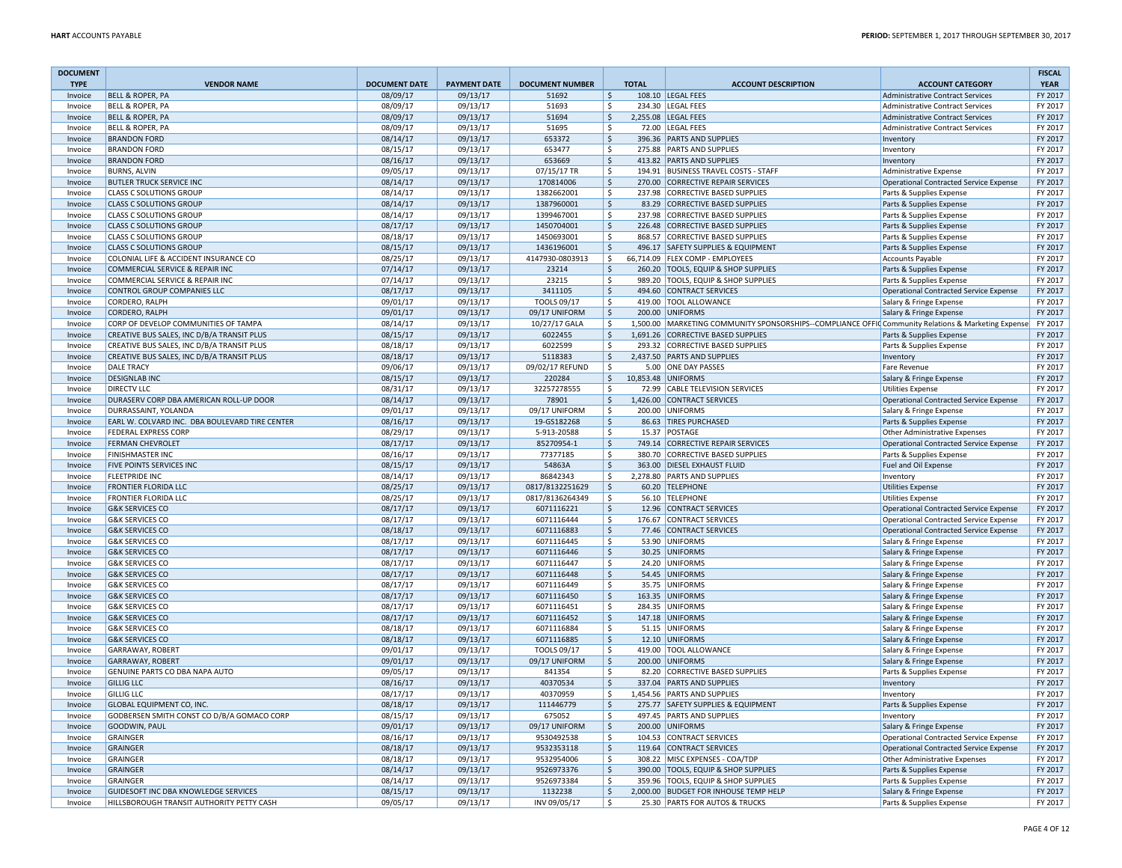| <b>DOCUMENT</b> |                                                |                      |                     |                        |                    |                                                                                                     |                                               | <b>FISCAL</b> |
|-----------------|------------------------------------------------|----------------------|---------------------|------------------------|--------------------|-----------------------------------------------------------------------------------------------------|-----------------------------------------------|---------------|
| <b>TYPE</b>     | <b>VENDOR NAME</b>                             | <b>DOCUMENT DATE</b> | <b>PAYMENT DATE</b> | <b>DOCUMENT NUMBER</b> | <b>TOTAL</b>       | <b>ACCOUNT DESCRIPTION</b>                                                                          | <b>ACCOUNT CATEGORY</b>                       | <b>YEAR</b>   |
| Invoice         | <b>BELL &amp; ROPER, PA</b>                    | 08/09/17             | 09/13/17            | 51692                  | $\zeta$            | 108.10 LEGAL FEES                                                                                   | <b>Administrative Contract Services</b>       | FY 2017       |
| Invoice         | <b>BELL &amp; ROPER, PA</b>                    | 08/09/17             | 09/13/17            | 51693                  | Ŝ.                 | 234.30 LEGAL FEES                                                                                   | Administrative Contract Services              | FY 2017       |
| Invoice         | <b>BELL &amp; ROPER, PA</b>                    | 08/09/17             | 09/13/17            | 51694                  | \$                 | 2,255.08 LEGAL FEES                                                                                 | <b>Administrative Contract Services</b>       | FY 2017       |
| Invoice         | <b>BELL &amp; ROPER, PA</b>                    | 08/09/17             | 09/13/17            | 51695                  | \$                 | 72.00 LEGAL FEES                                                                                    | <b>Administrative Contract Services</b>       | FY 2017       |
| Invoice         | <b>BRANDON FORD</b>                            | 08/14/17             | 09/13/17            | 653372                 | \$                 | 396.36 PARTS AND SUPPLIES                                                                           | Inventory                                     | FY 2017       |
| Invoice         | <b>BRANDON FORD</b>                            | 08/15/17             | 09/13/17            | 653477                 | \$                 | 275.88 PARTS AND SUPPLIES                                                                           | Inventory                                     | FY 2017       |
| Invoice         | <b>BRANDON FORD</b>                            | 08/16/17             | 09/13/17            | 653669                 | \$                 | 413.82 PARTS AND SUPPLIES                                                                           | Inventory                                     | FY 2017       |
| Invoice         | <b>BURNS, ALVIN</b>                            | 09/05/17             | 09/13/17            | 07/15/17 TR            | Ś.                 | 194.91 BUSINESS TRAVEL COSTS - STAFF                                                                | Administrative Expense                        | FY 2017       |
| Invoice         | <b>BUTLER TRUCK SERVICE INC</b>                | 08/14/17             | 09/13/17            | 170814006              | \$                 | 270.00 CORRECTIVE REPAIR SERVICES                                                                   | Operational Contracted Service Expense        | FY 2017       |
| Invoice         | <b>CLASS C SOLUTIONS GROUP</b>                 | 08/14/17             | 09/13/17            | 1382662001             | \$<br>237.98       | <b>CORRECTIVE BASED SUPPLIES</b>                                                                    | Parts & Supplies Expense                      | FY 2017       |
| Invoice         | <b>CLASS C SOLUTIONS GROUP</b>                 | 08/14/17             | 09/13/17            | 1387960001             | \$                 | 83.29 CORRECTIVE BASED SUPPLIES                                                                     | Parts & Supplies Expense                      | FY 2017       |
| Invoice         | <b>CLASS C SOLUTIONS GROUP</b>                 | 08/14/17             | 09/13/17            | 1399467001             | \$                 | 237.98 CORRECTIVE BASED SUPPLIES                                                                    | Parts & Supplies Expense                      | FY 2017       |
| Invoice         | <b>CLASS C SOLUTIONS GROUP</b>                 | 08/17/17             | 09/13/17            | 1450704001             | S.                 | 226.48 CORRECTIVE BASED SUPPLIES                                                                    | Parts & Supplies Expense                      | FY 2017       |
| Invoice         | <b>CLASS C SOLUTIONS GROUP</b>                 | 08/18/17             | 09/13/17            | 1450693001             | Ś                  | 868.57 CORRECTIVE BASED SUPPLIES                                                                    | Parts & Supplies Expense                      | FY 2017       |
| Invoice         | <b>CLASS C SOLUTIONS GROUP</b>                 | 08/15/17             | 09/13/17            | 1436196001             | \$                 | 496.17 SAFETY SUPPLIES & EQUIPMENT                                                                  | Parts & Supplies Expense                      | FY 2017       |
| Invoice         | COLONIAL LIFE & ACCIDENT INSURANCE CO          | 08/25/17             | 09/13/17            | 4147930-0803913        | $\mathsf{\hat{S}}$ | 66,714.09 FLEX COMP - EMPLOYEES                                                                     | <b>Accounts Payable</b>                       | FY 2017       |
| Invoice         | COMMERCIAL SERVICE & REPAIR INC                | 07/14/17             | 09/13/17            | 23214                  | \$                 | 260.20 TOOLS, EQUIP & SHOP SUPPLIES                                                                 | Parts & Supplies Expense                      | FY 2017       |
| Invoice         | COMMERCIAL SERVICE & REPAIR INC                | 07/14/17             | 09/13/17            | 23215                  | \$                 | 989.20 TOOLS, EQUIP & SHOP SUPPLIES                                                                 | Parts & Supplies Expense                      | FY 2017       |
| Invoice         | CONTROL GROUP COMPANIES LLC                    | 08/17/17             | 09/13/17            | 3411105                | \$                 | 494.60 CONTRACT SERVICES                                                                            | Operational Contracted Service Expense        | FY 2017       |
| Invoice         | CORDERO, RALPH                                 | 09/01/17             | 09/13/17            | TOOLS 09/17            | \$                 | 419.00 TOOL ALLOWANCE                                                                               | Salary & Fringe Expense                       | FY 2017       |
| Invoice         | CORDERO, RALPH                                 | 09/01/17             | 09/13/17            | 09/17 UNIFORM          | \$                 | 200.00 UNIFORMS                                                                                     | Salary & Fringe Expense                       | FY 2017       |
| Invoice         | CORP OF DEVELOP COMMUNITIES OF TAMPA           | 08/14/17             | 09/13/17            | 10/27/17 GALA          | Ŝ.                 | 1,500.00 MARKETING COMMUNITY SPONSORSHIPS--COMPLIANCE OFFIC Community Relations & Marketing Expense |                                               | FY 2017       |
| Invoice         | CREATIVE BUS SALES, INC D/B/A TRANSIT PLUS     | 08/15/17             | 09/13/17            | 6022455                | S.                 | 1,691.26 CORRECTIVE BASED SUPPLIES                                                                  | Parts & Supplies Expense                      | FY 2017       |
| Invoice         | CREATIVE BUS SALES, INC D/B/A TRANSIT PLUS     | 08/18/17             | 09/13/17            | 6022599                | Ś                  | 293.32 CORRECTIVE BASED SUPPLIES                                                                    | Parts & Supplies Expense                      | FY 2017       |
| Invoice         | CREATIVE BUS SALES, INC D/B/A TRANSIT PLUS     | 08/18/17             | 09/13/17            | 5118383                | $\mathsf{\hat{S}}$ | 2,437.50 PARTS AND SUPPLIES                                                                         | Inventory                                     | FY 2017       |
| Invoice         | <b>DALE TRACY</b>                              | 09/06/17             | 09/13/17            | 09/02/17 REFUND        | \$                 | 5.00 ONE DAY PASSES                                                                                 | Fare Revenue                                  | FY 2017       |
| Invoice         | <b>DESIGNLAB INC</b>                           | 08/15/17             | 09/13/17            | 220284                 | \$                 | 10,853.48 UNIFORMS                                                                                  | Salary & Fringe Expense                       | FY 2017       |
| Invoice         | <b>DIRECTV LLC</b>                             | 08/31/17             | 09/13/17            | 32257278555            | Ŝ.                 | 72.99 CABLE TELEVISION SERVICES                                                                     | <b>Utilities Expense</b>                      | FY 2017       |
| Invoice         | DURASERV CORP DBA AMERICAN ROLL-UP DOOR        | 08/14/17             | 09/13/17            | 78901                  | \$                 | 1,426.00 CONTRACT SERVICES                                                                          | Operational Contracted Service Expense        | FY 2017       |
| Invoice         | DURRASSAINT, YOLANDA                           | 09/01/17             | 09/13/17            | 09/17 UNIFORM          | \$                 | 200.00 UNIFORMS                                                                                     | Salary & Fringe Expense                       | FY 2017       |
| Invoice         | EARL W. COLVARD INC. DBA BOULEVARD TIRE CENTER | 08/16/17             | 09/13/17            | 19-GS182268            | \$                 | 86.63 TIRES PURCHASED                                                                               | Parts & Supplies Expense                      | FY 2017       |
| Invoice         | <b>FEDERAL EXPRESS CORP</b>                    | 08/29/17             | 09/13/17            | 5-913-20588            | \$                 | 15.37 POSTAGE                                                                                       | Other Administrative Expenses                 | FY 2017       |
| Invoice         | <b>FERMAN CHEVROLET</b>                        | 08/17/17             | 09/13/17            | 85270954-1             | \$                 | 749.14 CORRECTIVE REPAIR SERVICES                                                                   | <b>Operational Contracted Service Expense</b> | FY 2017       |
| Invoice         | <b>FINISHMASTER INC</b>                        | 08/16/17             | 09/13/17            | 77377185               | $\mathsf{\hat{S}}$ | 380.70 CORRECTIVE BASED SUPPLIES                                                                    | Parts & Supplies Expense                      | FY 2017       |
| Invoice         | <b>FIVE POINTS SERVICES INC</b>                | 08/15/17             | 09/13/17            | 54863A                 | $\mathsf{\hat{S}}$ | 363.00 DIESEL EXHAUST FLUID                                                                         | Fuel and Oil Expense                          | FY 2017       |
| Invoice         | <b>FLEETPRIDE INC</b>                          | 08/14/17             | 09/13/17            | 86842343               | Ś.                 | 2,278.80 PARTS AND SUPPLIES                                                                         | Inventory                                     | FY 2017       |
| Invoice         | <b>FRONTIER FLORIDA LLC</b>                    | 08/25/17             | 09/13/17            | 0817/8132251629        | \$                 | 60.20 TELEPHONE                                                                                     | <b>Utilities Expense</b>                      | FY 2017       |
| Invoice         | <b>FRONTIER FLORIDA LLC</b>                    | 08/25/17             | 09/13/17            | 0817/8136264349        | \$                 | 56.10 TELEPHONE                                                                                     | <b>Utilities Expense</b>                      | FY 2017       |
| Invoice         | <b>G&amp;K SERVICES CO</b>                     | 08/17/17             | 09/13/17            | 6071116221             | Ś                  | 12.96 CONTRACT SERVICES                                                                             | <b>Operational Contracted Service Expense</b> | FY 2017       |
| Invoice         | <b>G&amp;K SERVICES CO</b>                     | 08/17/17             | 09/13/17            | 6071116444             | \$                 | 176.67 CONTRACT SERVICES                                                                            | Operational Contracted Service Expense        | FY 2017       |
| Invoice         | <b>G&amp;K SERVICES CO</b>                     | 08/18/17             | 09/13/17            | 6071116883             | \$                 | 77.46 CONTRACT SERVICES                                                                             | <b>Operational Contracted Service Expense</b> | FY 2017       |
| Invoice         | <b>G&amp;K SERVICES CO</b>                     | 08/17/17             | 09/13/17            | 6071116445             | \$                 | 53.90 UNIFORMS                                                                                      | Salary & Fringe Expense                       | FY 2017       |
| Invoice         | <b>G&amp;K SERVICES CO</b>                     | 08/17/17             | 09/13/17            | 6071116446             | \$                 | 30.25 UNIFORMS                                                                                      | Salary & Fringe Expense                       | FY 2017       |
| Invoice         | <b>G&amp;K SERVICES CO</b>                     | 08/17/17             | 09/13/17            | 6071116447             | \$                 | 24.20 UNIFORMS                                                                                      | Salary & Fringe Expense                       | FY 2017       |
| Invoice         | <b>G&amp;K SERVICES CO</b>                     | 08/17/17             | 09/13/17            | 6071116448             | $\mathsf{\hat{S}}$ | 54.45 UNIFORMS                                                                                      | Salary & Fringe Expense                       | FY 2017       |
| Invoice         | <b>G&amp;K SERVICES CO</b>                     | 08/17/17             | 09/13/17            | 6071116449             | \$                 | 35.75 UNIFORMS                                                                                      | Salary & Fringe Expense                       | FY 2017       |
| Invoice         | <b>G&amp;K SERVICES CO</b>                     | 08/17/17             | 09/13/17            | 6071116450             | $\zeta$            | 163.35 UNIFORMS                                                                                     | Salary & Fringe Expense                       | FY 2017       |
| Invoice         | <b>G&amp;K SERVICES CO</b>                     | 08/17/17             | 09/13/17            | 6071116451             | \$                 | 284.35 UNIFORMS                                                                                     | Salary & Fringe Expense                       | FY 2017       |
| Invoice         | <b>G&amp;K SERVICES CO</b>                     | 08/17/17             | 09/13/17            | 6071116452             | $\mathsf{\hat{S}}$ | 147.18 UNIFORMS                                                                                     | Salary & Fringe Expense                       | FY 2017       |
| Invoice         | <b>G&amp;K SERVICES CO</b>                     | 08/18/17             | 09/13/17            | 6071116884             | \$                 | 51.15 UNIFORMS                                                                                      | Salary & Fringe Expense                       | FY 2017       |
| Invoice         | <b>G&amp;K SERVICES CO</b>                     | 08/18/17             | 09/13/17            | 6071116885             | \$                 | 12.10 UNIFORMS                                                                                      | Salary & Fringe Expense                       | FY 2017       |
| Invoice         | GARRAWAY, ROBERT                               | 09/01/17             | 09/13/17            | TOOLS 09/17            | \$                 | 419.00 TOOL ALLOWANCE                                                                               | Salary & Fringe Expense                       | FY 2017       |
| Invoice         | <b>GARRAWAY, ROBERT</b>                        | 09/01/17             | 09/13/17            | 09/17 UNIFORM          | S.                 | 200.00 UNIFORMS                                                                                     | Salary & Fringe Expense                       | FY 2017       |
| Invoice         | GENUINE PARTS CO DBA NAPA AUTO                 | 09/05/17             | 09/13/17            | 841354                 | \$                 | 82.20 CORRECTIVE BASED SUPPLIES                                                                     | Parts & Supplies Expense                      | FY 2017       |
| Invoice         | <b>GILLIG LLC</b>                              | 08/16/17             | 09/13/17            | 40370534               | $\zeta$            | 337.04 PARTS AND SUPPLIES                                                                           | Inventory                                     | FY 2017       |
| Invoice         | <b>GILLIG LLC</b>                              | 08/17/17             | 09/13/17            | 40370959               | \$                 | 1,454.56 PARTS AND SUPPLIES                                                                         | Inventory                                     | FY 2017       |
| Invoice         | <b>GLOBAL EQUIPMENT CO, INC.</b>               | 08/18/17             | 09/13/17            | 111446779              | \$                 | 275.77 SAFETY SUPPLIES & EQUIPMENT                                                                  | Parts & Supplies Expense                      | FY 2017       |
| Invoice         | GODBERSEN SMITH CONST CO D/B/A GOMACO CORP     | 08/15/17             | 09/13/17            | 675052                 | \$                 | 497.45 PARTS AND SUPPLIES                                                                           | Inventory                                     | FY 2017       |
| Invoice         | GOODWIN, PAUL                                  | 09/01/17             | 09/13/17            | 09/17 UNIFORM          | \$                 | 200.00 UNIFORMS                                                                                     | Salary & Fringe Expense                       | FY 2017       |
| Invoice         | GRAINGER                                       | 08/16/17             | 09/13/17            | 9530492538             | \$                 | 104.53 CONTRACT SERVICES                                                                            | Operational Contracted Service Expense        | FY 2017       |
| Invoice         | <b>GRAINGER</b>                                | 08/18/17             | 09/13/17            | 9532353118             | Ŝ.                 | 119.64 CONTRACT SERVICES                                                                            | <b>Operational Contracted Service Expense</b> | FY 2017       |
| Invoice         | GRAINGER                                       | 08/18/17             | 09/13/17            | 9532954006             | \$                 | 308.22 MISC EXPENSES - COA/TDP                                                                      | Other Administrative Expenses                 | FY 2017       |
| Invoice         | <b>GRAINGER</b>                                | 08/14/17             | 09/13/17            | 9526973376             | Ŝ.                 | 390.00 TOOLS, EQUIP & SHOP SUPPLIES                                                                 | Parts & Supplies Expense                      | FY 2017       |
| Invoice         | <b>GRAINGER</b>                                | 08/14/17             | 09/13/17            | 9526973384             | $\mathsf{\hat{S}}$ | 359.96 TOOLS. EQUIP & SHOP SUPPLIES                                                                 | Parts & Supplies Expense                      | FY 2017       |
| Invoice         | GUIDESOFT INC DBA KNOWLEDGE SERVICES           | 08/15/17             | 09/13/17            | 1132238                | \$                 | 2,000.00 BUDGET FOR INHOUSE TEMP HELP                                                               | Salary & Fringe Expense                       | FY 2017       |
| Invoice         | HILLSBOROUGH TRANSIT AUTHORITY PETTY CASH      | 09/05/17             | 09/13/17            | INV 09/05/17           | \$                 | 25.30 PARTS FOR AUTOS & TRUCKS                                                                      | Parts & Supplies Expense                      | FY 2017       |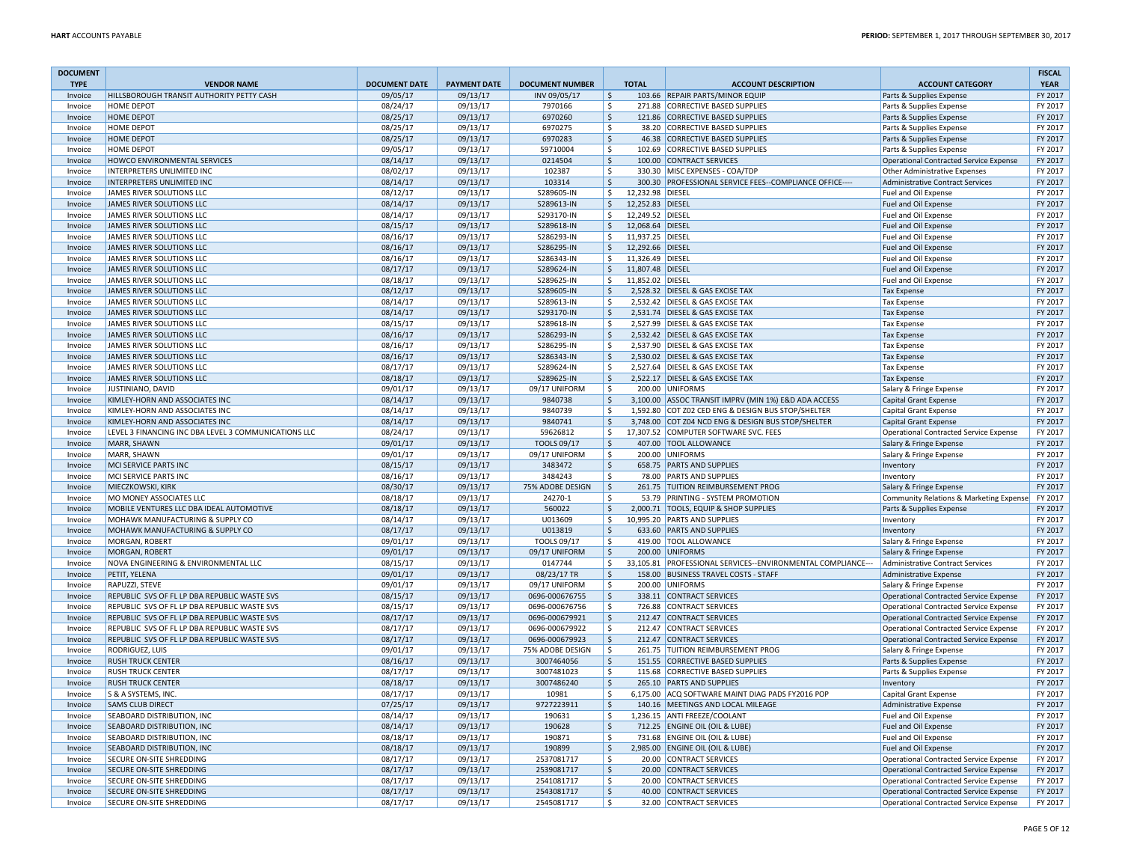| <b>DOCUMENT</b> |                                                      |                      |                     |                        |                    |                  |                                                             |                                               | <b>FISCAL</b> |
|-----------------|------------------------------------------------------|----------------------|---------------------|------------------------|--------------------|------------------|-------------------------------------------------------------|-----------------------------------------------|---------------|
| <b>TYPE</b>     | <b>VENDOR NAME</b>                                   | <b>DOCUMENT DATE</b> | <b>PAYMENT DATE</b> | <b>DOCUMENT NUMBER</b> |                    | <b>TOTAL</b>     | <b>ACCOUNT DESCRIPTION</b>                                  | <b>ACCOUNT CATEGORY</b>                       | <b>YEAR</b>   |
| Invoice         | HILLSBOROUGH TRANSIT AUTHORITY PETTY CASH            | 09/05/17             | 09/13/17            | INV 09/05/17           | \$                 |                  | 103.66 REPAIR PARTS/MINOR EQUIP                             | Parts & Supplies Expense                      | FY 2017       |
| Invoice         | <b>HOME DEPOT</b>                                    | 08/24/17             | 09/13/17            | 7970166                | \$                 |                  | 271.88 CORRECTIVE BASED SUPPLIES                            | Parts & Supplies Expense                      | FY 2017       |
| Invoice         | <b>HOME DEPOT</b>                                    | 08/25/17             | 09/13/17            | 6970260                | \$                 |                  | 121.86 CORRECTIVE BASED SUPPLIES                            | Parts & Supplies Expense                      | FY 2017       |
| Invoice         | HOME DEPOT                                           | 08/25/17             | 09/13/17            | 6970275                | \$                 |                  | 38.20 CORRECTIVE BASED SUPPLIES                             | Parts & Supplies Expense                      | FY 2017       |
| Invoice         | <b>HOME DEPOT</b>                                    | 08/25/17             | 09/13/17            | 6970283                | \$                 |                  | 46.38 CORRECTIVE BASED SUPPLIES                             | Parts & Supplies Expense                      | FY 2017       |
| Invoice         | HOMF DFPOT                                           | 09/05/17             | 09/13/17            | 59710004               | \$                 |                  | 102.69 CORRECTIVE BASED SUPPLIES                            | Parts & Supplies Expense                      | FY 2017       |
| Invoice         | HOWCO ENVIRONMENTAL SERVICES                         | 08/14/17             | 09/13/17            | 0214504                | \$                 |                  | 100.00 CONTRACT SERVICES                                    | Operational Contracted Service Expense        | FY 2017       |
| Invoice         | INTERPRETERS UNLIMITED INC                           | 08/02/17             | 09/13/17            | 102387                 | \$                 |                  | 330.30 MISC EXPENSES - COA/TDP                              | Other Administrative Expenses                 | FY 2017       |
| Invoice         | INTERPRETERS UNLIMITED INC                           | 08/14/17             | 09/13/17            | 103314                 | $\zeta$            |                  | 300.30 PROFESSIONAL SERVICE FEES--COMPLIANCE OFFICE----     | Administrative Contract Services              | FY 2017       |
| Invoice         | JAMES RIVER SOLUTIONS LLC                            | 08/12/17             | 09/13/17            | S289605-IN             | \$                 | 12,232.98 DIESEL |                                                             | Fuel and Oil Expense                          | FY 2017       |
| Invoice         | <b>JAMES RIVER SOLUTIONS LLC</b>                     | 08/14/17             | 09/13/17            | S289613-IN             | \$                 | 12.252.83 DIESEL |                                                             | Fuel and Oil Expense                          | FY 2017       |
| Invoice         | JAMES RIVER SOLUTIONS LLC                            | 08/14/17             | 09/13/17            | S293170-IN             | \$                 | 12,249.52 DIESEL |                                                             | Fuel and Oil Expense                          | FY 2017       |
| Invoice         | <b>JAMES RIVER SOLUTIONS LLC</b>                     | 08/15/17             | 09/13/17            | S289618-IN             | S.                 | 12,068.64 DIESEL |                                                             | Fuel and Oil Expense                          | FY 2017       |
| Invoice         | JAMES RIVER SOLUTIONS LLC                            | 08/16/17             | 09/13/17            | S286293-IN             | \$                 | 11,937.25 DIESEL |                                                             | Fuel and Oil Expense                          | FY 2017       |
| Invoice         | JAMES RIVER SOLUTIONS LLC                            | 08/16/17             | 09/13/17            | S286295-IN             | \$                 | 12,292.66 DIESEL |                                                             | Fuel and Oil Expense                          | FY 2017       |
| Invoice         | JAMES RIVER SOLUTIONS LLC                            | 08/16/17             | 09/13/17            | S286343-IN             | \$                 | 11,326.49 DIESEL |                                                             | Fuel and Oil Expense                          | FY 2017       |
| Invoice         | <b>JAMES RIVER SOLUTIONS LLC</b>                     | 08/17/17             | 09/13/17            | S289624-IN             | \$                 | 11,807.48 DIESEL |                                                             | Fuel and Oil Expense                          | FY 2017       |
| Invoice         | JAMES RIVER SOLUTIONS LLC                            | 08/18/17             | 09/13/17            | S289625-IN             | \$                 | 11,852.02 DIESEL |                                                             | Fuel and Oil Expense                          | FY 2017       |
| Invoice         | <b>JAMES RIVER SOLUTIONS LLC</b>                     | 08/12/17             | 09/13/17            | S289605-IN             | $\zeta$            |                  | 2,528.32 DIESEL & GAS EXCISE TAX                            | <b>Tax Expense</b>                            | FY 2017       |
| Invoice         | JAMES RIVER SOLUTIONS LLC                            | 08/14/17             | 09/13/17            | S289613-IN             | \$                 |                  | 2,532.42 DIESEL & GAS EXCISE TAX                            | <b>Tax Expense</b>                            | FY 2017       |
| Invoice         | JAMES RIVER SOLUTIONS LLC                            | 08/14/17             | 09/13/17            | S293170-IN             | \$                 |                  | 2,531.74 DIESEL & GAS EXCISE TAX                            | <b>Tax Expense</b>                            | FY 2017       |
| Invoice         | JAMES RIVER SOLUTIONS LLC                            | 08/15/17             | 09/13/17            | S289618-IN             | \$                 |                  | 2,527.99 DIESEL & GAS EXCISE TAX                            | <b>Tax Expense</b>                            | FY 2017       |
| Invoice         | <b>JAMES RIVER SOLUTIONS LLC</b>                     | 08/16/17             | 09/13/17            | S286293-IN             | \$                 |                  | 2,532.42 DIESEL & GAS EXCISE TAX                            | <b>Tax Expense</b>                            | FY 2017       |
| Invoice         | JAMES RIVER SOLUTIONS LLC                            | 08/16/17             | 09/13/17            | S286295-IN             | $\mathsf{\hat{S}}$ |                  | 2,537.90 DIESEL & GAS EXCISE TAX                            | <b>Tax Expense</b>                            | FY 2017       |
| Invoice         | JAMES RIVER SOLUTIONS LLC                            | 08/16/17             | 09/13/17            | S286343-IN             | $\mathsf{\hat{S}}$ |                  | 2,530.02 DIESEL & GAS EXCISE TAX                            | <b>Tax Expense</b>                            | FY 2017       |
| Invoice         | JAMES RIVER SOLUTIONS LLC                            | 08/17/17             | 09/13/17            | S289624-IN             | \$                 |                  | 2.527.64 DIESEL & GAS EXCISE TAX                            | <b>Tax Expense</b>                            | FY 2017       |
| Invoice         | <b>JAMES RIVER SOLUTIONS LLC</b>                     | 08/18/17             | 09/13/17            | S289625-IN             | \$                 |                  | 2,522.17 DIESEL & GAS EXCISE TAX                            | <b>Tax Expense</b>                            | FY 2017       |
| Invoice         | JUSTINIANO, DAVID                                    | 09/01/17             | 09/13/17            | 09/17 UNIFORM          | \$                 |                  | 200.00 UNIFORMS                                             | Salary & Fringe Expense                       | FY 2017       |
| Invoice         | KIMLEY-HORN AND ASSOCIATES INC                       | 08/14/17             | 09/13/17            | 9840738                | \$                 |                  | 3,100.00 ASSOC TRANSIT IMPRV (MIN 1%) E&D ADA ACCESS        | <b>Capital Grant Expense</b>                  | FY 2017       |
| Invoice         | KIMLEY-HORN AND ASSOCIATES INC                       | 08/14/17             | 09/13/17            | 9840739                | \$                 |                  | 1,592.80 COT Z02 CED ENG & DESIGN BUS STOP/SHELTER          | <b>Capital Grant Expense</b>                  | FY 2017       |
| Invoice         | KIMLEY-HORN AND ASSOCIATES INC                       | 08/14/17             | 09/13/17            | 9840741                | \$                 |                  | 3,748.00 COT Z04 NCD ENG & DESIGN BUS STOP/SHELTER          | <b>Capital Grant Expense</b>                  | FY 2017       |
| Invoice         | LEVEL 3 FINANCING INC DBA LEVEL 3 COMMUNICATIONS LLC | 08/24/17             | 09/13/17            | 59626812               | \$                 |                  | 17,307.52 COMPUTER SOFTWARE SVC. FEES                       | Operational Contracted Service Expense        | FY 2017       |
| Invoice         | MARR, SHAWN                                          | 09/01/17             | 09/13/17            | <b>TOOLS 09/17</b>     | \$                 |                  | 407.00 TOOL ALLOWANCE                                       | Salary & Fringe Expense                       | FY 2017       |
| Invoice         | MARR, SHAWN                                          | 09/01/17             | 09/13/17            | 09/17 UNIFORM          | \$                 |                  | 200.00 UNIFORMS                                             | Salary & Fringe Expense                       | FY 2017       |
| Invoice         | MCI SERVICE PARTS INC                                | 08/15/17             | 09/13/17            | 3483472                | \$                 |                  | 658.75 PARTS AND SUPPLIES                                   | Inventory                                     | FY 2017       |
| Invoice         | MCI SERVICE PARTS INC                                | 08/16/17             | 09/13/17            | 3484243                | \$                 |                  | 78.00 PARTS AND SUPPLIES                                    | Inventory                                     | FY 2017       |
| Invoice         | MIECZKOWSKI, KIRK                                    | 08/30/17             | 09/13/17            | 75% ADOBE DESIGN       | \$                 |                  | 261.75 TUITION REIMBURSEMENT PROG                           | Salary & Fringe Expense                       | FY 2017       |
| Invoice         | MO MONEY ASSOCIATES LLC                              | 08/18/17             | 09/13/17            | 24270-1                | \$                 |                  | 53.79 PRINTING - SYSTEM PROMOTION                           | Community Relations & Marketing Expense       | FY 2017       |
| Invoice         | MOBILE VENTURES LLC DBA IDEAL AUTOMOTIVE             | 08/18/17             | 09/13/17            | 560022                 | \$                 |                  | 2,000.71 TOOLS, EQUIP & SHOP SUPPLIES                       | Parts & Supplies Expense                      | FY 2017       |
| Invoice         | MOHAWK MANUFACTURING & SUPPLY CO                     | 08/14/17             | 09/13/17            | U013609                | \$                 |                  | 10,995.20 PARTS AND SUPPLIES                                | Inventory                                     | FY 2017       |
| Invoice         | MOHAWK MANUFACTURING & SUPPLY CO                     | 08/17/17             | 09/13/17            | U013819                | \$                 |                  | 633.60 PARTS AND SUPPLIES                                   | Inventory                                     | FY 2017       |
| Invoice         | MORGAN, ROBERT                                       | 09/01/17             | 09/13/17            | TOOLS 09/17            | \$                 |                  | 419.00 TOOL ALLOWANCE                                       | Salary & Fringe Expense                       | FY 2017       |
| Invoice         | <b>MORGAN, ROBERT</b>                                | 09/01/17             | 09/13/17            | 09/17 UNIFORM          | \$                 |                  | 200.00 UNIFORMS                                             | Salary & Fringe Expense                       | FY 2017       |
| Invoice         | NOVA ENGINEERING & ENVIRONMENTAL LLC                 | 08/15/17             | 09/13/17            | 0147744                | \$                 |                  | 33,105.81 PROFESSIONAL SERVICES--ENVIRONMENTAL COMPLIANCE-- | Administrative Contract Services              | FY 2017       |
| Invoice         | PETIT, YELENA                                        | 09/01/17             | 09/13/17            | 08/23/17 TR            | \$                 |                  | 158.00 BUSINESS TRAVEL COSTS - STAFF                        | <b>Administrative Expense</b>                 | FY 2017       |
| Invoice         | RAPUZZI, STEVE                                       | 09/01/17             | 09/13/17            | 09/17 UNIFORM          | \$                 |                  | 200.00 UNIFORMS                                             | Salary & Fringe Expense                       | FY 2017       |
| Invoice         | REPUBLIC SVS OF FL LP DBA REPUBLIC WASTE SVS         | 08/15/17             | 09/13/17            | 0696-000676755         | \$                 |                  | 338.11 CONTRACT SERVICES                                    | Operational Contracted Service Expense        | FY 2017       |
| Invoice         | REPUBLIC SVS OF FL LP DBA REPUBLIC WASTE SVS         | 08/15/17             | 09/13/17            | 0696-000676756         | \$                 |                  | 726.88 CONTRACT SERVICES                                    | Operational Contracted Service Expense        | FY 2017       |
| Invoice         | REPUBLIC SVS OF FL LP DBA REPUBLIC WASTE SVS         | 08/17/17             | 09/13/17            | 0696-000679921         | $\mathsf{\hat{S}}$ |                  | 212.47 CONTRACT SERVICES                                    | <b>Operational Contracted Service Expense</b> | FY 2017       |
| Invoice         | REPUBLIC SVS OF FL LP DBA REPUBLIC WASTE SVS         | 08/17/17             | 09/13/17            | 0696-000679922         | \$                 |                  | 212.47 CONTRACT SERVICES                                    | <b>Operational Contracted Service Expense</b> | FY 2017       |
| Invoice         | REPUBLIC SVS OF FL LP DBA REPUBLIC WASTE SVS         | 08/17/17             | 09/13/17            | 0696-000679923         | \$                 |                  | 212.47 CONTRACT SERVICES                                    | <b>Operational Contracted Service Expense</b> | FY 2017       |
| Invoice         | RODRIGUEZ, LUIS                                      | 09/01/17             | 09/13/17            | 75% ADOBE DESIGN       | \$                 |                  | 261.75 TUITION REIMBURSEMENT PROG                           | Salary & Fringe Expense                       | FY 2017       |
| Invoice         | <b>RUSH TRUCK CENTER</b>                             | 08/16/17             | 09/13/17            | 3007464056             | \$                 |                  | 151.55 CORRECTIVE BASED SUPPLIES                            | Parts & Supplies Expense                      | FY 2017       |
| Invoice         | <b>RUSH TRUCK CENTER</b>                             | 08/17/17             | 09/13/17            | 3007481023             | \$                 |                  | 115.68 CORRECTIVE BASED SUPPLIES                            | Parts & Supplies Expense                      | FY 2017       |
| Invoice         | <b>RUSH TRUCK CENTER</b>                             | 08/18/17             | 09/13/17            | 3007486240             | \$                 |                  | 265.10 PARTS AND SUPPLIES                                   | Inventory                                     | FY 2017       |
| Invoice         | S & A SYSTEMS, INC.                                  | 08/17/17             | 09/13/17            | 10981                  | \$                 |                  | 6,175.00 ACQ SOFTWARE MAINT DIAG PADS FY2016 POP            | <b>Capital Grant Expense</b>                  | FY 2017       |
| Invoice         | <b>SAMS CLUB DIRECT</b>                              | 07/25/17             | 09/13/17            | 9727223911             | \$                 |                  | 140.16 MEETINGS AND LOCAL MILEAGE                           | Administrative Expense                        | FY 2017       |
| Invoice         | SEABOARD DISTRIBUTION, INC                           | 08/14/17             | 09/13/17            | 190631                 | \$                 |                  | 1,236.15 ANTI FREEZE/COOLANT                                | Fuel and Oil Expense                          | FY 2017       |
| Invoice         | <b>SEABOARD DISTRIBUTION, INC</b>                    | 08/14/17             | 09/13/17            | 190628                 | \$                 |                  | 712.25 ENGINE OIL (OIL & LUBE)                              | Fuel and Oil Expense                          | FY 2017       |
| Invoice         | SEABOARD DISTRIBUTION, INC                           | 08/18/17             | 09/13/17            | 190871                 | \$                 |                  | 731.68 ENGINE OIL (OIL & LUBE)                              | Fuel and Oil Expense                          | FY 2017       |
| Invoice         | SEABOARD DISTRIBUTION, INC                           | 08/18/17             | 09/13/17            | 190899                 | \$                 |                  | 2,985.00 ENGINE OIL (OIL & LUBE)                            | Fuel and Oil Expense                          | FY 2017       |
| Invoice         | SECURE ON-SITE SHREDDING                             | 08/17/17             | 09/13/17            | 2537081717             | \$                 |                  | 20.00 CONTRACT SERVICES                                     | Operational Contracted Service Expense        | FY 2017       |
| Invoice         | <b>SECURE ON-SITE SHREDDING</b>                      | 08/17/17             | 09/13/17            | 2539081717             | \$                 |                  | 20.00 CONTRACT SERVICES                                     | Operational Contracted Service Expense        | FY 2017       |
| Invoice         | SECURE ON-SITE SHREDDING                             | 08/17/17             | 09/13/17            | 2541081717             | \$                 |                  | 20.00 CONTRACT SERVICES                                     | Operational Contracted Service Expense        | FY 2017       |
| Invoice         | <b>SECURE ON-SITE SHREDDING</b>                      | 08/17/17             | 09/13/17            | 2543081717             | \$                 |                  | 40.00 CONTRACT SERVICES                                     | <b>Operational Contracted Service Expense</b> | FY 2017       |
| Invoice         | SECURE ON-SITE SHREDDING                             | 08/17/17             | 09/13/17            | 2545081717             | \$                 |                  | 32.00 CONTRACT SERVICES                                     | Operational Contracted Service Expense        | FY 2017       |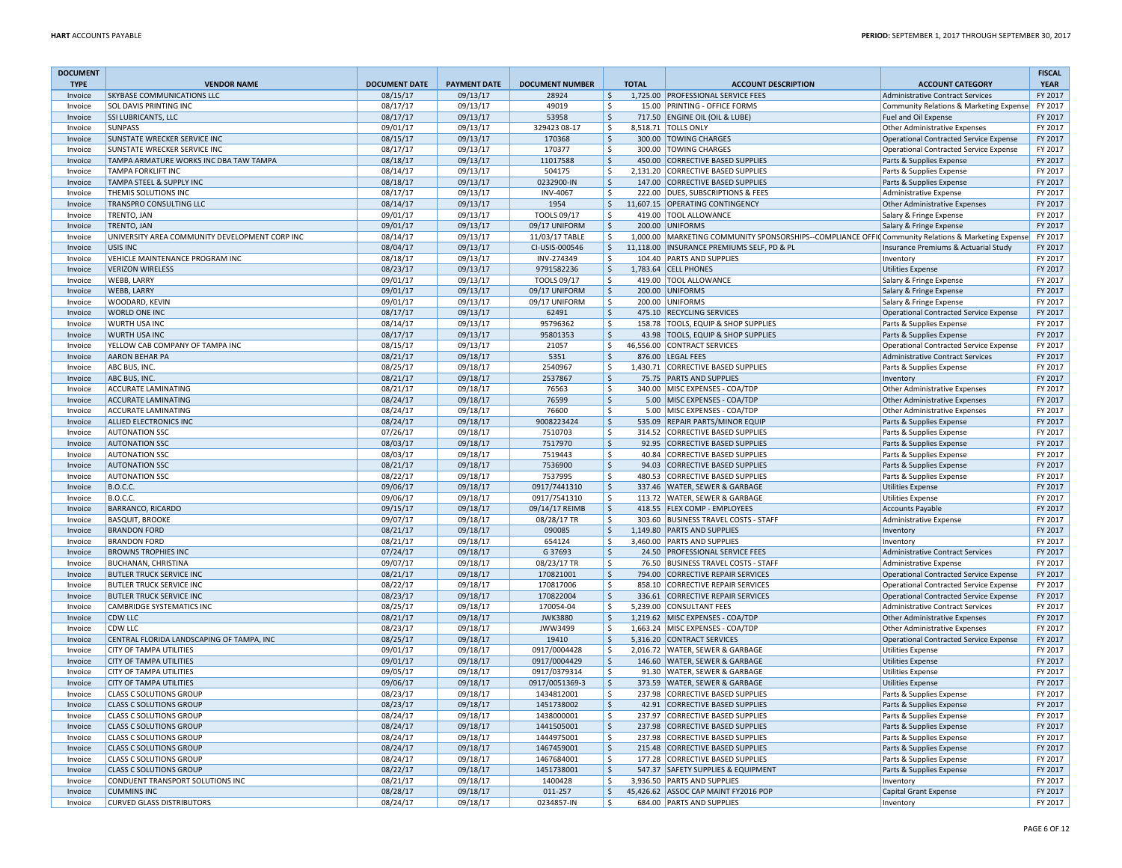| <b>DOCUMENT</b><br><b>TYPE</b> | <b>VENDOR NAME</b>                                | <b>DOCUMENT DATE</b> | <b>PAYMENT DATE</b>  | <b>DOCUMENT NUMBER</b> |                     | <b>TOTAL</b> | <b>ACCOUNT DESCRIPTION</b>                                                                            | <b>ACCOUNT CATEGORY</b>                                                      | <b>FISCAL</b><br><b>YEAR</b> |
|--------------------------------|---------------------------------------------------|----------------------|----------------------|------------------------|---------------------|--------------|-------------------------------------------------------------------------------------------------------|------------------------------------------------------------------------------|------------------------------|
| Invoice                        | <b>SKYBASE COMMUNICATIONS LLC</b>                 | 08/15/17             | 09/13/17             | 28924                  | $\ddot{\varsigma}$  |              | 1,725.00 PROFESSIONAL SERVICE FEES                                                                    | <b>Administrative Contract Services</b>                                      | FY 2017                      |
| Invoice                        | SOL DAVIS PRINTING INC                            | 08/17/17             | 09/13/17             | 49019                  | \$                  |              | 15.00 PRINTING - OFFICE FORMS                                                                         | Community Relations & Marketing Expense                                      | FY 2017                      |
| Invoice                        | <b>SSI LUBRICANTS, LLC</b>                        | 08/17/17             | 09/13/17             | 53958                  | $\zeta$             |              | 717.50 ENGINE OIL (OIL & LUBE)                                                                        | Fuel and Oil Expense                                                         | FY 2017                      |
| Invoice                        | SUNPASS                                           | 09/01/17             | 09/13/17             | 329423 08-17           | $\mathsf{\hat{S}}$  |              | 8,518.71   TOLLS ONLY                                                                                 | Other Administrative Expenses                                                | FY 2017                      |
| Invoice                        | SUNSTATE WRECKER SERVICE INC                      | 08/15/17             | 09/13/17             | 170368                 | $\mathsf{\hat{S}}$  |              | 300.00 TOWING CHARGES                                                                                 | <b>Operational Contracted Service Expense</b>                                | FY 2017                      |
| Invoice                        | SUNSTATE WRECKER SERVICE INC                      | 08/17/17             | 09/13/17             | 170377                 | $\mathsf{\hat{S}}$  |              | 300.00 TOWING CHARGES                                                                                 | <b>Operational Contracted Service Expense</b>                                | FY 2017                      |
| Invoice                        | TAMPA ARMATURE WORKS INC DBA TAW TAMPA            | 08/18/17             | 09/13/17             | 11017588               | $\zeta$             |              | 450.00 CORRECTIVE BASED SUPPLIES                                                                      | Parts & Supplies Expense                                                     | FY 2017                      |
| Invoice                        | <b>TAMPA FORKLIFT INC</b>                         | 08/14/17             | 09/13/17             | 504175                 | S.                  |              | 2,131.20 CORRECTIVE BASED SUPPLIES                                                                    | Parts & Supplies Expense                                                     | FY 2017                      |
| Invoice                        | TAMPA STEEL & SUPPLY INC                          | 08/18/17             | 09/13/17             | 0232900-IN             | $\ddot{\mathsf{S}}$ |              | 147.00 CORRECTIVE BASED SUPPLIES                                                                      | Parts & Supplies Expense                                                     | FY 2017                      |
| Invoice                        | THEMIS SOLUTIONS INC                              | 08/17/17             | 09/13/17             | <b>INV-4067</b>        | \$                  |              | 222.00 DUES, SUBSCRIPTIONS & FEES                                                                     | <b>Administrative Expense</b>                                                | FY 2017                      |
| Invoice                        | TRANSPRO CONSULTING LLC                           | 08/14/17             | 09/13/17             | 1954                   | $\ddot{\varsigma}$  |              | 11,607.15 OPERATING CONTINGENCY                                                                       | <b>Other Administrative Expenses</b>                                         | FY 2017                      |
| Invoice                        | TRENTO, JAN                                       | 09/01/17             | 09/13/17             | TOOLS 09/17            | \$                  |              | 419.00 TOOL ALLOWANCE                                                                                 | Salary & Fringe Expense                                                      | FY 2017                      |
| Invoice                        | TRENTO, JAN                                       | 09/01/17             | 09/13/17             | 09/17 UNIFORM          | $\zeta$             |              | 200.00 UNIFORMS                                                                                       | Salary & Fringe Expense                                                      | FY 2017                      |
| Invoice                        | UNIVERSITY AREA COMMUNITY DEVELOPMENT CORP INC    | 08/14/17             | 09/13/17             | 11/03/17 TABLE         | \$                  |              | 1,000.00   MARKETING COMMUNITY SPONSORSHIPS--COMPLIANCE OFFIC Community Relations & Marketing Expense |                                                                              | FY 2017                      |
| Invoice                        | USIS INC.                                         | 08/04/17             | 09/13/17             | CI-USIS-000546         | $\ddot{\varsigma}$  |              | 11,118.00   INSURANCE PREMIUMS SELF, PD & PL                                                          | Insurance Premiums & Actuarial Study                                         | FY 2017                      |
| Invoice                        | VEHICLE MAINTENANCE PROGRAM INC                   | 08/18/17             | 09/13/17             | INV-274349             | <b>S</b>            |              | 104.40 PARTS AND SUPPLIES                                                                             | Inventory                                                                    | FY 2017                      |
| Invoice                        | <b>VERIZON WIRELESS</b>                           | 08/23/17             | 09/13/17             | 9791582236             | S.                  |              | 1,783.64 CELL PHONES                                                                                  | <b>Utilities Expense</b>                                                     | FY 2017                      |
| Invoice                        | <b>WEBB, LARRY</b>                                | 09/01/17             | 09/13/17             | TOOLS 09/17            | \$                  |              | 419.00 TOOL ALLOWANCE                                                                                 | Salary & Fringe Expense                                                      | FY 2017                      |
| Invoice                        | <b>WEBB, LARRY</b>                                | 09/01/17             | 09/13/17             | 09/17 UNIFORM          | $\ddot{\mathsf{S}}$ |              | 200.00 UNIFORMS                                                                                       | Salary & Fringe Expense                                                      | FY 2017                      |
| Invoice                        | WOODARD, KEVIN                                    | 09/01/17             | 09/13/17             | 09/17 UNIFORM          | \$                  |              | 200.00 UNIFORMS                                                                                       | Salary & Fringe Expense                                                      | FY 2017                      |
| Invoice                        | WORLD ONE INC                                     | 08/17/17             | 09/13/17             | 62491                  | $\ddot{\mathsf{S}}$ |              | 475.10 RECYCLING SERVICES                                                                             | <b>Operational Contracted Service Expense</b>                                | FY 2017                      |
| Invoice                        | WURTH USA INC                                     | 08/14/17             | 09/13/17             | 95796362               | \$                  |              | 158.78 TOOLS, EQUIP & SHOP SUPPLIES                                                                   | Parts & Supplies Expense                                                     | FY 2017                      |
| Invoice                        | <b>WURTH USA INC</b>                              | 08/17/17             | 09/13/17             | 95801353               | $\zeta$             |              | 43.98 TOOLS, EQUIP & SHOP SUPPLIES                                                                    | Parts & Supplies Expense                                                     | FY 2017                      |
| Invoice                        | YELLOW CAB COMPANY OF TAMPA INC                   | 08/15/17             | 09/13/17             | 21057                  | $\zeta$             |              | 46,556.00 CONTRACT SERVICES                                                                           | Operational Contracted Service Expense                                       | FY 2017                      |
| Invoice                        | AARON BEHAR PA                                    | 08/21/17             | 09/18/17             | 5351                   | $\ddot{\mathsf{S}}$ |              | 876.00 LEGAL FEES                                                                                     | <b>Administrative Contract Services</b>                                      | FY 2017                      |
| Invoice                        | ABC BUS, INC.                                     | 08/25/17             | 09/18/17             | 2540967                | \$                  |              | 1,430.71 CORRECTIVE BASED SUPPLIES                                                                    | Parts & Supplies Expense                                                     | FY 2017                      |
| Invoice                        | ABC BUS, INC.                                     | 08/21/17<br>08/21/17 | 09/18/17<br>09/18/17 | 2537867<br>76563       | \$<br>\$            |              | 75.75 PARTS AND SUPPLIES<br>340.00 MISC EXPENSES - COA/TDP                                            | Inventory                                                                    | FY 2017<br>FY 2017           |
| Invoice                        | ACCURATE LAMINATING<br><b>ACCURATE LAMINATING</b> |                      |                      |                        | $\mathsf{\hat{S}}$  |              |                                                                                                       | Other Administrative Expenses                                                |                              |
| Invoice                        | <b>ACCURATE LAMINATING</b>                        | 08/24/17<br>08/24/17 | 09/18/17<br>09/18/17 | 76599<br>76600         | -\$                 |              | 5.00 MISC EXPENSES - COA/TDP<br>5.00 MISC EXPENSES - COA/TDP                                          | <b>Other Administrative Expenses</b><br><b>Other Administrative Expenses</b> | FY 2017<br>FY 2017           |
| Invoice<br>Invoice             | <b>ALLIED ELECTRONICS INC</b>                     | 08/24/17             | 09/18/17             | 9008223424             | $\ddot{\mathsf{S}}$ |              | 535.09 REPAIR PARTS/MINOR EQUIP                                                                       | Parts & Supplies Expense                                                     | FY 2017                      |
| Invoice                        | <b>AUTONATION SSC</b>                             | 07/26/17             | 09/18/17             | 7510703                | S.                  |              | 314.52 CORRECTIVE BASED SUPPLIES                                                                      | Parts & Supplies Expense                                                     | FY 2017                      |
| Invoice                        | <b>AUTONATION SSC</b>                             | 08/03/17             | 09/18/17             | 7517970                | $\zeta$             |              | 92.95 CORRECTIVE BASED SUPPLIES                                                                       | Parts & Supplies Expense                                                     | FY 2017                      |
| Invoice                        | <b>AUTONATION SSC</b>                             | 08/03/17             | 09/18/17             | 7519443                | $\ddot{\mathsf{S}}$ |              | 40.84 CORRECTIVE BASED SUPPLIES                                                                       | Parts & Supplies Expense                                                     | FY 2017                      |
| Invoice                        | <b>AUTONATION SSC</b>                             | 08/21/17             | 09/18/17             | 7536900                | $\zeta$             |              | 94.03 CORRECTIVE BASED SUPPLIES                                                                       | Parts & Supplies Expense                                                     | FY 2017                      |
| Invoice                        | <b>AUTONATION SSC</b>                             | 08/22/17             | 09/18/17             | 7537995                | \$                  |              | 480.53 CORRECTIVE BASED SUPPLIES                                                                      | Parts & Supplies Expense                                                     | FY 2017                      |
| Invoice                        | <b>B.O.C.C.</b>                                   | 09/06/17             | 09/18/17             | 0917/7441310           | $\zeta$             |              | 337.46 WATER, SEWER & GARBAGE                                                                         | <b>Utilities Expense</b>                                                     | FY 2017                      |
| Invoice                        | <b>B.O.C.C.</b>                                   | 09/06/17             | 09/18/17             | 0917/7541310           | \$                  |              | 113.72 WATER, SEWER & GARBAGE                                                                         | <b>Utilities Expense</b>                                                     | FY 2017                      |
| Invoice                        | BARRANCO, RICARDO                                 | 09/15/17             | 09/18/17             | 09/14/17 REIMB         | $\zeta$             |              | 418.55 FLEX COMP - EMPLOYEES                                                                          | <b>Accounts Payable</b>                                                      | FY 2017                      |
| Invoice                        | <b>BASQUIT, BROOKE</b>                            | 09/07/17             | 09/18/17             | 08/28/17 TR            | S.                  |              | 303.60 BUSINESS TRAVEL COSTS - STAFF                                                                  | <b>Administrative Expense</b>                                                | FY 2017                      |
| Invoice                        | <b>BRANDON FORD</b>                               | 08/21/17             | 09/18/17             | 090085                 | $\mathsf{\hat{S}}$  |              | 1.149.80 PARTS AND SUPPLIES                                                                           | Inventory                                                                    | FY 2017                      |
| Invoice                        | <b>BRANDON FORD</b>                               | 08/21/17             | 09/18/17             | 654124                 | S.                  |              | 3,460.00 PARTS AND SUPPLIES                                                                           | Inventory                                                                    | FY 2017                      |
| Invoice                        | <b>BROWNS TROPHIES INC</b>                        | 07/24/17             | 09/18/17             | G 37693                | $\zeta$             |              | 24.50 PROFESSIONAL SERVICE FEES                                                                       | <b>Administrative Contract Services</b>                                      | FY 2017                      |
| Invoice                        | <b>BUCHANAN, CHRISTINA</b>                        | 09/07/17             | 09/18/17             | 08/23/17 TR            | S.                  |              | 76.50 BUSINESS TRAVEL COSTS - STAFF                                                                   | Administrative Expense                                                       | FY 2017                      |
| Invoice                        | <b>BUTLER TRUCK SERVICE INC</b>                   | 08/21/17             | 09/18/17             | 170821001              | $\mathsf{\hat{S}}$  |              | 794.00 CORRECTIVE REPAIR SERVICES                                                                     | <b>Operational Contracted Service Expense</b>                                | FY 2017                      |
| Invoice                        | <b>BUTLER TRUCK SERVICE INC</b>                   | 08/22/17             | 09/18/17             | 170817006              | \$                  |              | 858.10 CORRECTIVE REPAIR SERVICES                                                                     | Operational Contracted Service Expense                                       | FY 2017                      |
| Invoice                        | <b>BUTLER TRUCK SERVICE INC</b>                   | 08/23/17             | 09/18/17             | 170822004              | $\ddot{\varsigma}$  |              | 336.61 CORRECTIVE REPAIR SERVICES                                                                     | Operational Contracted Service Expense                                       | FY 2017                      |
| Invoice                        | CAMBRIDGE SYSTEMATICS INC                         | 08/25/17             | 09/18/17             | 170054-04              | \$                  |              | 5,239.00 CONSULTANT FEES                                                                              | Administrative Contract Services                                             | FY 2017                      |
| Invoice                        | CDW LLC                                           | 08/21/17             | 09/18/17             | <b>JWK3880</b>         | $\ddot{\mathsf{S}}$ |              | 1,219.62 MISC EXPENSES - COA/TDP                                                                      | <b>Other Administrative Expenses</b>                                         | FY 2017                      |
| Invoice                        | CDW LLC                                           | 08/23/17             | 09/18/17             | JWW3499                | <b>S</b>            |              | 1,663.24 MISC EXPENSES - COA/TDP                                                                      | Other Administrative Expenses                                                | FY 2017                      |
| Invoice                        | CENTRAL FLORIDA LANDSCAPING OF TAMPA. INC         | 08/25/17             | 09/18/17             | 19410                  | $\zeta$             |              | 5.316.20 CONTRACT SERVICES                                                                            | <b>Operational Contracted Service Expense</b>                                | FY 2017                      |
| Invoice                        | <b>CITY OF TAMPA UTILITIES</b>                    | 09/01/17             | 09/18/17             | 0917/0004428           | \$                  |              | 2,016.72 WATER, SEWER & GARBAGE                                                                       | <b>Utilities Expense</b>                                                     | FY 2017                      |
| Invoice                        | CITY OF TAMPA UTILITIES                           | 09/01/17             | 09/18/17             | 0917/0004429           | $\ddot{\varsigma}$  |              | 146.60 WATER, SEWER & GARBAGE                                                                         | <b>Utilities Expense</b>                                                     | FY 2017                      |
| Invoice                        | CITY OF TAMPA UTILITIES                           | 09/05/17             | 09/18/17             | 0917/0379314           | \$                  |              | 91.30 WATER, SEWER & GARBAGE                                                                          | <b>Utilities Expense</b>                                                     | FY 2017                      |
| Invoice                        | CITY OF TAMPA UTILITIES                           | 09/06/17             | 09/18/17             | 0917/0051369-3         | $\ddot{\mathsf{S}}$ |              | 373.59 WATER, SEWER & GARBAGE                                                                         | <b>Utilities Expense</b>                                                     | FY 2017                      |
| Invoice                        | <b>CLASS C SOLUTIONS GROUP</b>                    | 08/23/17             | 09/18/17             | 1434812001             | \$                  |              | 237.98 CORRECTIVE BASED SUPPLIES                                                                      | Parts & Supplies Expense                                                     | FY 2017                      |
| Invoice                        | <b>CLASS C SOLUTIONS GROUP</b>                    | 08/23/17             | 09/18/17             | 1451738002             | \$                  |              | 42.91 CORRECTIVE BASED SUPPLIES                                                                       | Parts & Supplies Expense                                                     | FY 2017                      |
| Invoice                        | <b>CLASS C SOLUTIONS GROUF</b>                    | 08/24/17             | 09/18/17             | 1438000001             | \$                  |              | 237.97 CORRECTIVE BASED SUPPLIES                                                                      | Parts & Supplies Expense                                                     | FY 2017                      |
| Invoice                        | <b>CLASS C SOLUTIONS GROUP</b>                    | 08/24/17             | 09/18/17             | 1441505001             | $\zeta$             |              | 237.98 CORRECTIVE BASED SUPPLIES                                                                      | Parts & Supplies Expense                                                     | FY 2017                      |
| Invoice                        | <b>CLASS C SOLUTIONS GROUP</b>                    | 08/24/17             | 09/18/17             | 1444975001             | \$                  |              | 237.98 CORRECTIVE BASED SUPPLIES                                                                      | Parts & Supplies Expense                                                     | FY 2017                      |
| Invoice                        | <b>CLASS C SOLUTIONS GROUP</b>                    | 08/24/17             | 09/18/17             | 1467459001             | $\ddot{\varsigma}$  |              | 215.48 CORRECTIVE BASED SUPPLIES                                                                      | Parts & Supplies Expense                                                     | FY 2017                      |
| Invoice                        | <b>CLASS C SOLUTIONS GROUP</b>                    | 08/24/17             | 09/18/17             | 1467684001             | <b>S</b>            |              | 177.28 CORRECTIVE BASED SUPPLIES                                                                      | Parts & Supplies Expense                                                     | FY 2017                      |
| Invoice                        | <b>CLASS C SOLUTIONS GROUP</b>                    | 08/22/17             | 09/18/17             | 1451738001             | -\$                 |              | 547.37 SAFETY SUPPLIES & EQUIPMENT                                                                    | Parts & Supplies Expense                                                     | FY 2017                      |
| Invoice                        | CONDUENT TRANSPORT SOLUTIONS INC                  | 08/21/17             | 09/18/17             | 1400428                | <sub>S</sub>        |              | 3.936.50 PARTS AND SUPPLIES                                                                           | Inventory                                                                    | FY 2017                      |
| Invoice                        | <b>CUMMINS INC</b>                                | 08/28/17             | 09/18/17             | 011-257                | $\zeta$             |              | 45,426.62 ASSOC CAP MAINT FY2016 POP                                                                  | Capital Grant Expense                                                        | FY 2017                      |
| Invoice                        | <b>CURVED GLASS DISTRIBUTORS</b>                  | 08/24/17             | 09/18/17             | 0234857-IN             | \$                  |              | 684.00 PARTS AND SUPPLIES                                                                             | Inventory                                                                    | FY 2017                      |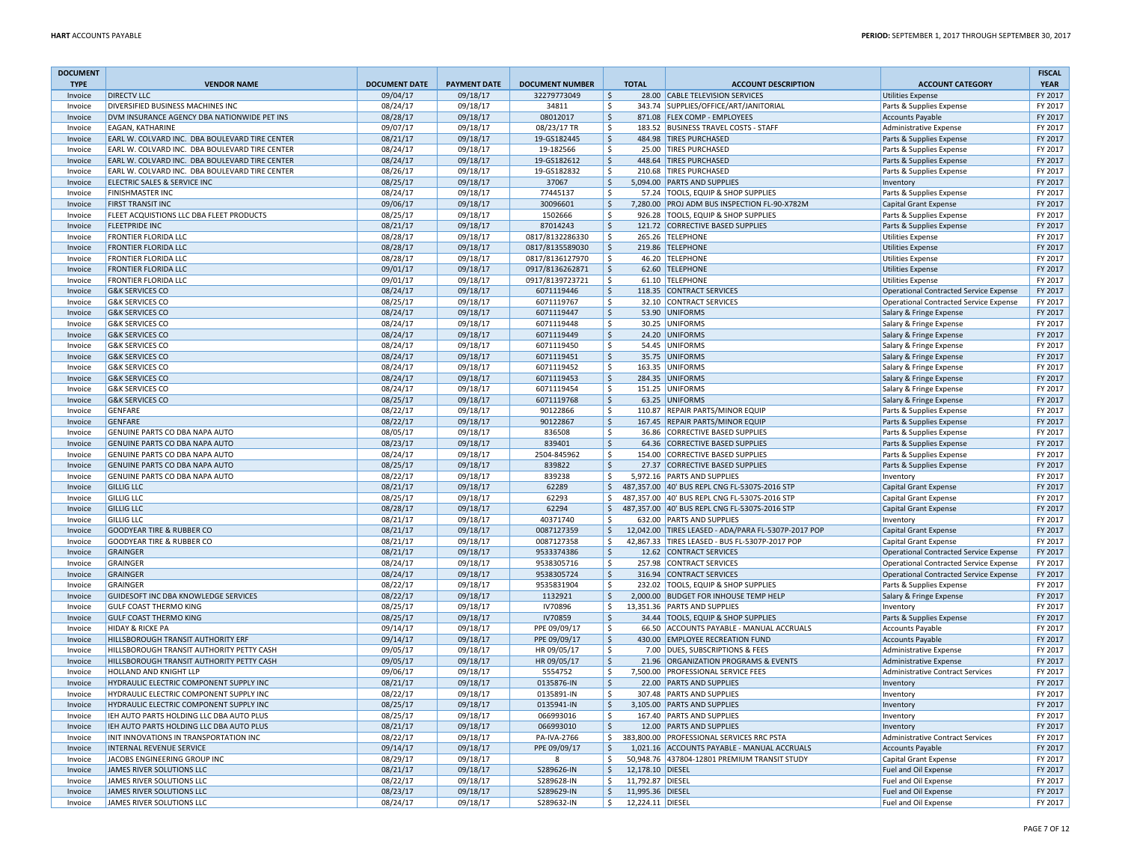| <b>DOCUMENT</b> |                                                |                      |                     |                        |               |                  |                                                     |                                               | <b>FISCAL</b> |
|-----------------|------------------------------------------------|----------------------|---------------------|------------------------|---------------|------------------|-----------------------------------------------------|-----------------------------------------------|---------------|
| <b>TYPE</b>     | <b>VENDOR NAME</b>                             | <b>DOCUMENT DATE</b> | <b>PAYMENT DATE</b> | <b>DOCUMENT NUMBER</b> |               | <b>TOTAL</b>     | <b>ACCOUNT DESCRIPTION</b>                          | <b>ACCOUNT CATEGORY</b>                       | <b>YEAR</b>   |
| Invoice         | <b>DIRECTV LLC</b>                             | 09/04/17             | 09/18/17            | 32279773049            | $\zeta$       |                  | 28.00 CABLE TELEVISION SERVICES                     | <b>Utilities Expense</b>                      | FY 2017       |
| Invoice         | DIVERSIFIED BUSINESS MACHINES INC              | 08/24/17             | 09/18/17            | 34811                  | l \$          |                  | 343.74 SUPPLIES/OFFICE/ART/JANITORIAL               | Parts & Supplies Expense                      | FY 2017       |
| Invoice         | DVM INSURANCE AGENCY DBA NATIONWIDE PET INS    | 08/28/17             | 09/18/17            | 08012017               | I\$           |                  | 871.08 FLEX COMP - EMPLOYEES                        | <b>Accounts Payable</b>                       | FY 2017       |
| Invoice         | EAGAN, KATHARINE                               | 09/07/17             | 09/18/17            | 08/23/17 TR            | \$            |                  | 183.52 BUSINESS TRAVEL COSTS - STAFF                | Administrative Expense                        | FY 2017       |
| Invoice         | EARL W. COLVARD INC. DBA BOULEVARD TIRE CENTER | 08/21/17             | 09/18/17            | 19-GS182445            | $\zeta$       |                  | 484.98 TIRES PURCHASED                              | Parts & Supplies Expense                      | FY 2017       |
| Invoice         | EARL W. COLVARD INC. DBA BOULEVARD TIRE CENTER | 08/24/17             | 09/18/17            | 19-182566              | \$            |                  | 25.00 TIRES PURCHASED                               | Parts & Supplies Expense                      | FY 2017       |
| Invoice         | EARL W. COLVARD INC. DBA BOULEVARD TIRE CENTER | 08/24/17             | 09/18/17            | 19-GS182612            | I\$           |                  | 448.64 TIRES PURCHASED                              | Parts & Supplies Expense                      | FY 2017       |
| Invoice         | EARL W. COLVARD INC. DBA BOULEVARD TIRE CENTER | 08/26/17             | 09/18/17            | 19-GS182832            | l \$          |                  | 210.68 TIRES PURCHASED                              | Parts & Supplies Expense                      | FY 2017       |
| Invoice         | ELECTRIC SALES & SERVICE INC                   | 08/25/17             | 09/18/17            | 37067                  | $\vert$ \$    |                  | 5,094.00 PARTS AND SUPPLIES                         | Inventory                                     | FY 2017       |
| Invoice         | <b>FINISHMASTER INC</b>                        | 08/24/17             | 09/18/17            | 77445137               | \$            |                  | 57.24 TOOLS, EQUIP & SHOP SUPPLIES                  | Parts & Supplies Expense                      | FY 2017       |
| Invoice         | <b>FIRST TRANSIT INC</b>                       | 09/06/17             | 09/18/17            | 30096601               | $\vert$ \$    |                  | 7,280.00 PROJ ADM BUS INSPECTION FL-90-X782M        | Capital Grant Expense                         | FY 2017       |
| Invoice         | FLEET ACQUISTIONS LLC DBA FLEET PRODUCTS       | 08/25/17             | 09/18/17            | 1502666                | \$            |                  | 926.28 TOOLS, EQUIP & SHOP SUPPLIES                 | Parts & Supplies Expense                      | FY 2017       |
| Invoice         | <b>FLEETPRIDE INC</b>                          | 08/21/17             | 09/18/17            | 87014243               | I\$           |                  | 121.72 CORRECTIVE BASED SUPPLIES                    | Parts & Supplies Expense                      | FY 2017       |
| Invoice         | FRONTIER FLORIDA LLC                           | 08/28/17             | 09/18/17            | 0817/8132286330        | \$            |                  | 265.26 TELEPHONE                                    | <b>Utilities Expense</b>                      | FY 2017       |
| Invoice         | <b>FRONTIER FLORIDA LLC</b>                    | 08/28/17             | 09/18/17            | 0817/8135589030        | \$            |                  | 219.86 TELEPHONE                                    | <b>Utilities Expense</b>                      | FY 2017       |
| Invoice         | <b>FRONTIER FLORIDA LLC</b>                    | 08/28/17             | 09/18/17            | 0817/8136127970        | Ŝ.            |                  | 46.20 TELEPHONE                                     | <b>Utilities Expense</b>                      | FY 2017       |
| Invoice         | <b>FRONTIER FLORIDA LLC</b>                    | 09/01/17             | 09/18/17            | 0917/8136262871        | l\$           |                  | 62.60 TELEPHONE                                     | <b>Utilities Expense</b>                      | FY 2017       |
| Invoice         | <b>FRONTIER FLORIDA LLC</b>                    | 09/01/17             | 09/18/17            | 0917/8139723721        | \$            |                  | 61.10 TELEPHONE                                     | <b>Utilities Expense</b>                      | FY 2017       |
| Invoice         | <b>G&amp;K SERVICES CO</b>                     | 08/24/17             | 09/18/17            | 6071119446             | $\zeta$       |                  | 118.35 CONTRACT SERVICES                            | Operational Contracted Service Expense        | FY 2017       |
| Invoice         | <b>G&amp;K SERVICES CO</b>                     | 08/25/17             | 09/18/17            | 6071119767             | \$            |                  | 32.10 CONTRACT SERVICES                             | Operational Contracted Service Expense        | FY 2017       |
| Invoice         | <b>G&amp;K SERVICES CO</b>                     | 08/24/17             | 09/18/17            | 6071119447             | $\zeta$       |                  | 53.90 UNIFORMS                                      | Salary & Fringe Expense                       | FY 2017       |
| Invoice         | <b>G&amp;K SERVICES CO</b>                     | 08/24/17             | 09/18/17            | 6071119448             | \$            |                  | 30.25 UNIFORMS                                      | Salary & Fringe Expense                       | FY 2017       |
| Invoice         | <b>G&amp;K SERVICES CO</b>                     | 08/24/17             | 09/18/17            | 6071119449             | l\$           |                  | 24.20 UNIFORMS                                      | Salary & Fringe Expense                       | FY 2017       |
| Invoice         | <b>G&amp;K SERVICES CO</b>                     | 08/24/17             | 09/18/17            | 6071119450             | \$            |                  | 54.45 UNIFORMS                                      | Salary & Fringe Expense                       | FY 2017       |
| Invoice         | <b>G&amp;K SERVICES CO</b>                     | 08/24/17             | 09/18/17            | 6071119451             | $\vert$ \$    |                  | 35.75 UNIFORMS                                      | Salary & Fringe Expense                       | FY 2017       |
| Invoice         | <b>G&amp;K SERVICES CO</b>                     | 08/24/17             | 09/18/17            | 6071119452             | \$            |                  | 163.35 UNIFORMS                                     | Salary & Fringe Expense                       | FY 2017       |
| Invoice         | <b>G&amp;K SERVICES CO</b>                     | 08/24/17             | 09/18/17            | 6071119453             | \$            |                  | 284.35 UNIFORMS                                     | Salary & Fringe Expense                       | FY 2017       |
| Invoice         | <b>G&amp;K SERVICES CO</b>                     | 08/24/17             | 09/18/17            | 6071119454             | S.            |                  | 151.25 UNIFORMS                                     | Salary & Fringe Expense                       | FY 2017       |
| Invoice         | <b>G&amp;K SERVICES CO</b>                     | 08/25/17             | 09/18/17            | 6071119768             | $\zeta$       |                  | 63.25 UNIFORMS                                      | Salary & Fringe Expense                       | FY 2017       |
| Invoice         | <b>GENFARE</b>                                 | 08/22/17             | 09/18/17            | 90122866               | Ŝ.            |                  | 110.87 REPAIR PARTS/MINOR EQUIP                     | Parts & Supplies Expense                      | FY 2017       |
| Invoice         | <b>GENFARE</b>                                 | 08/22/17             | 09/18/17            | 90122867               | $\zeta$       |                  | 167.45 REPAIR PARTS/MINOR EQUIP                     | Parts & Supplies Expense                      | FY 2017       |
| Invoice         | GENUINE PARTS CO DBA NAPA AUTO                 | 08/05/17             | 09/18/17            | 836508                 | \$.           |                  | 36.86 CORRECTIVE BASED SUPPLIES                     | Parts & Supplies Expense                      | FY 2017       |
| Invoice         | GENUINE PARTS CO DBA NAPA AUTO                 | 08/23/17             | 09/18/17            | 839401                 | l \$          |                  | 64.36 CORRECTIVE BASED SUPPLIES                     | Parts & Supplies Expense                      | FY 2017       |
| Invoice         | GENUINE PARTS CO DBA NAPA AUTO                 | 08/24/17             | 09/18/17            | 2504-845962            | l\$           |                  | 154.00 CORRECTIVE BASED SUPPLIES                    | Parts & Supplies Expense                      | FY 2017       |
| Invoice         | GENUINE PARTS CO DBA NAPA AUTO                 | 08/25/17             | 09/18/17            | 839822                 | S.            |                  | 27.37 CORRECTIVE BASED SUPPLIES                     | Parts & Supplies Expense                      | FY 2017       |
| Invoice         | GENUINE PARTS CO DBA NAPA AUTO                 | 08/22/17             | 09/18/17            | 839238                 | \$            |                  | 5,972.16 PARTS AND SUPPLIES                         | Inventory                                     | FY 2017       |
| Invoice         | <b>GILLIG LLC</b>                              | 08/21/17             | 09/18/17            | 62289                  | \$            |                  | 487,357.00 40' BUS REPL CNG FL-5307S-2016 STP       | Capital Grant Expense                         | FY 2017       |
| Invoice         | <b>GILLIG LLC</b>                              | 08/25/17             | 09/18/17            | 62293                  | l \$          |                  | 487,357.00 40' BUS REPL CNG FL-5307S-2016 STP       | <b>Capital Grant Expense</b>                  | FY 2017       |
| Invoice         | <b>GILLIG LLC</b>                              | 08/28/17             | 09/18/17            | 62294                  | \$            |                  | 487,357.00 40' BUS REPL CNG FL-5307S-2016 STP       | Capital Grant Expense                         | FY 2017       |
| Invoice         | <b>GILLIG LLC</b>                              | 08/21/17             | 09/18/17            | 40371740               | <sub>S</sub>  |                  | 632.00 PARTS AND SUPPLIES                           | Inventory                                     | FY 2017       |
| Invoice         | <b>GOODYEAR TIRE &amp; RUBBER CO</b>           | 08/21/17             | 09/18/17            | 0087127359             | l \$          |                  | 12.042.00 TIRES LEASED - ADA/PARA FL-5307P-2017 POP | <b>Capital Grant Expense</b>                  | FY 2017       |
| Invoice         | GOODYEAR TIRE & RUBBER CO                      | 08/21/17             | 09/18/17            | 0087127358             | \$            |                  | 42,867.33 TIRES LEASED - BUS FL-5307P-2017 POP      | Capital Grant Expense                         | FY 2017       |
| Invoice         | <b>GRAINGER</b>                                | 08/21/17             | 09/18/17            | 9533374386             | l\$           |                  | 12.62 CONTRACT SERVICES                             | Operational Contracted Service Expense        | FY 2017       |
| Invoice         | <b>GRAINGER</b>                                | 08/24/17             | 09/18/17            | 9538305716             | l \$          |                  | 257.98 CONTRACT SERVICES                            | Operational Contracted Service Expense        | FY 2017       |
| Invoice         | <b>GRAINGER</b>                                | 08/24/17             | 09/18/17            | 9538305724             | $\zeta$       |                  | 316.94 CONTRACT SERVICES                            | <b>Operational Contracted Service Expense</b> | FY 2017       |
| Invoice         | GRAINGER                                       | 08/22/17             | 09/18/17            | 9535831904             | \$            |                  | 232.02 TOOLS, EQUIP & SHOP SUPPLIES                 | Parts & Supplies Expense                      | FY 2017       |
| Invoice         | GUIDESOFT INC DBA KNOWLEDGE SERVICES           | 08/22/17             | 09/18/17            | 1132921                | S,            |                  | 2,000.00 BUDGET FOR INHOUSE TEMP HELP               | Salary & Fringe Expense                       | FY 2017       |
| Invoice         | <b>GULF COAST THERMO KING</b>                  | 08/25/17             | 09/18/17            | IV70896                | \$            |                  | 13,351.36 PARTS AND SUPPLIES                        | Inventory                                     | FY 2017       |
| Invoice         | <b>GULF COAST THERMO KING</b>                  | 08/25/17             | 09/18/17            | IV70859                | S.            |                  | 34.44 TOOLS, EQUIP & SHOP SUPPLIES                  | Parts & Supplies Expense                      | FY 2017       |
| Invoice         | HIDAY & RICKE PA                               | 09/14/17             | 09/18/17            | PPE 09/09/17           | l \$          |                  | 66.50 ACCOUNTS PAYABLE - MANUAL ACCRUALS            | <b>Accounts Payable</b>                       | FY 2017       |
| Invoice         | HILLSBOROUGH TRANSIT AUTHORITY ERF             | 09/14/17             | 09/18/17            | PPE 09/09/17           | S,            |                  | 430.00 EMPLOYEE RECREATION FUND                     | <b>Accounts Payable</b>                       | FY 2017       |
| Invoice         | HILLSBOROUGH TRANSIT AUTHORITY PETTY CASH      | 09/05/17             | 09/18/17            | HR 09/05/17            | \$            |                  | 7.00 DUES, SUBSCRIPTIONS & FEES                     | Administrative Expense                        | FY 2017       |
| Invoice         | HILLSBOROUGH TRANSIT AUTHORITY PETTY CASH      | 09/05/17             | 09/18/17            | HR 09/05/17            | l\$           |                  | 21.96 ORGANIZATION PROGRAMS & EVENTS                | Administrative Expense                        | FY 2017       |
| Invoice         | HOLLAND AND KNIGHT LLP                         | 09/06/17             | 09/18/17            | 5554752                | l \$          |                  | 7.500.00 PROFESSIONAL SERVICE FEES                  | <b>Administrative Contract Services</b>       | FY 2017       |
| Invoice         | HYDRAULIC ELECTRIC COMPONENT SUPPLY INC        | 08/21/17             | 09/18/17            | 0135876-IN             | $\ddot{\phi}$ |                  | 22.00 PARTS AND SUPPLIES                            | Inventory                                     | FY 2017       |
| Invoice         | HYDRAULIC ELECTRIC COMPONENT SUPPLY INC        | 08/22/17             | 09/18/17            | 0135891-IN             | \$            |                  | 307.48 PARTS AND SUPPLIES                           | Inventory                                     | FY 2017       |
| Invoice         | HYDRAULIC ELECTRIC COMPONENT SUPPLY INC        | 08/25/17             | 09/18/17            | 0135941-IN             | S,            |                  | 3,105.00 PARTS AND SUPPLIES                         | Inventory                                     | FY 2017       |
| Invoice         | IEH AUTO PARTS HOLDING LLC DBA AUTO PLUS       | 08/25/17             | 09/18/17            | 066993016              | \$            |                  | 167.40 PARTS AND SUPPLIES                           | Inventory                                     | FY 2017       |
| Invoice         | IEH AUTO PARTS HOLDING LLC DBA AUTO PLUS       | 08/21/17             | 09/18/17            | 066993010              | l\$           |                  | 12.00 PARTS AND SUPPLIES                            | Inventory                                     | FY 2017       |
| Invoice         | INIT INNOVATIONS IN TRANSPORTATION INC         | 08/22/17             | 09/18/17            | PA-IVA-2766            | \$            |                  | 383,800.00 PROFESSIONAL SERVICES RRC PSTA           | Administrative Contract Services              | FY 2017       |
| Invoice         | INTERNAL REVENUE SERVICE                       | 09/14/17             | 09/18/17            | PPE 09/09/17           | \$            |                  | 1,021.16 ACCOUNTS PAYABLE - MANUAL ACCRUALS         | <b>Accounts Payable</b>                       | FY 2017       |
| Invoice         | JACOBS ENGINEERING GROUP INC                   | 08/29/17             | 09/18/17            | 8                      | Ŝ.            |                  | 50,948.76 437804-12801 PREMIUM TRANSIT STUDY        | <b>Capital Grant Expense</b>                  | FY 2017       |
| Invoice         | JAMES RIVER SOLUTIONS LLC                      | 08/21/17             | 09/18/17            | S289626-IN             | l\$           | 12,178.10 DIESEL |                                                     | <b>Fuel and Oil Expense</b>                   | FY 2017       |
| Invoice         | JAMES RIVER SOLUTIONS LLC                      | 08/22/17             | 09/18/17            | S289628-IN             | l s           | 11,792.87 DIESEL |                                                     | Fuel and Oil Expense                          | FY 2017       |
| Invoice         | JAMES RIVER SOLUTIONS LLC                      | 08/23/17             | 09/18/17            | S289629-IN             | \$            | 11,995.36 DIESEL |                                                     | Fuel and Oil Expense                          | FY 2017       |
| Invoice         | <b>JAMES RIVER SOLUTIONS LLC</b>               | 08/24/17             | 09/18/17            | S289632-IN             | \$            | 12,224.11 DIESEL |                                                     | Fuel and Oil Expense                          | FY 2017       |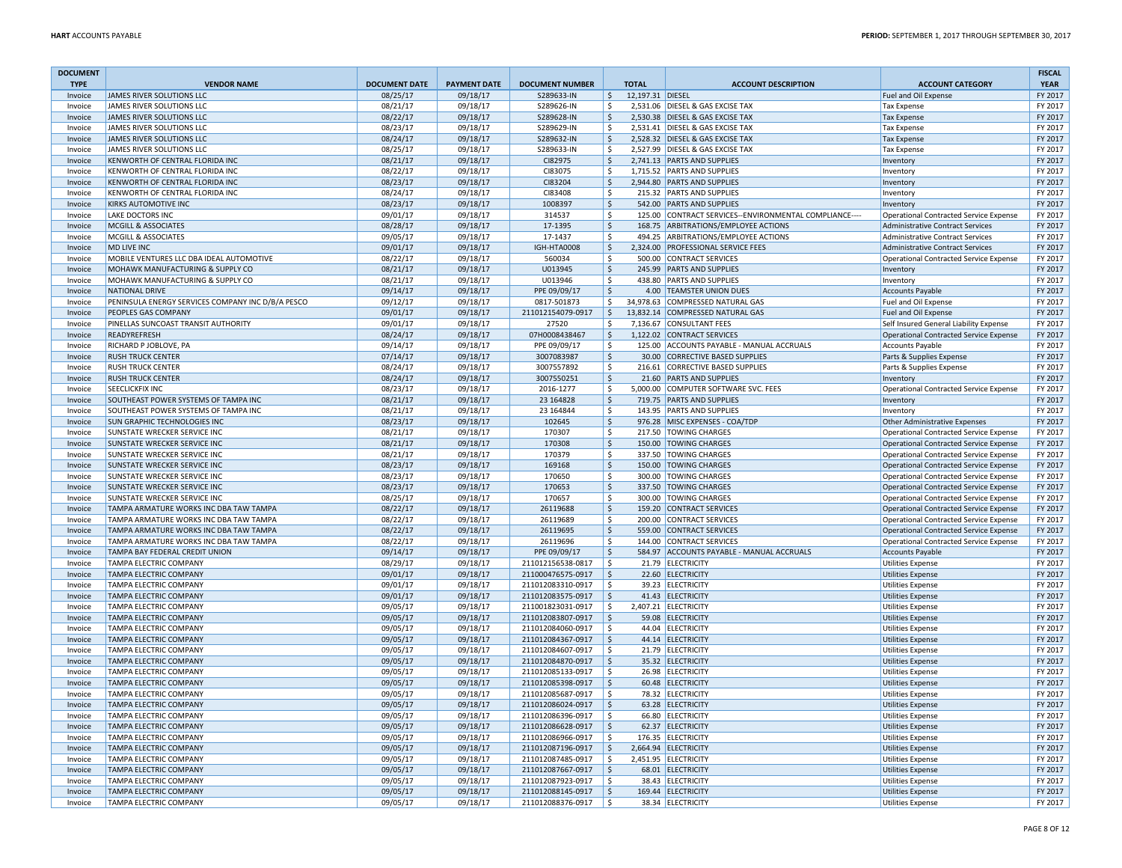| <b>DOCUMENT</b>    |                                                              |                      |                      |                              |                               |                  |                                                                                                |                                                                                                | <b>FISCAL</b>      |
|--------------------|--------------------------------------------------------------|----------------------|----------------------|------------------------------|-------------------------------|------------------|------------------------------------------------------------------------------------------------|------------------------------------------------------------------------------------------------|--------------------|
| <b>TYPE</b>        | <b>VENDOR NAME</b>                                           | <b>DOCUMENT DATE</b> | <b>PAYMENT DATE</b>  | <b>DOCUMENT NUMBER</b>       |                               | <b>TOTAL</b>     | <b>ACCOUNT DESCRIPTION</b>                                                                     | <b>ACCOUNT CATEGORY</b>                                                                        | <b>YEAR</b>        |
| Invoice            | <b>JAMES RIVER SOLUTIONS LLC</b>                             | 08/25/17             | 09/18/17             | S289633-IN                   | $\zeta$                       | 12,197.31 DIESEL |                                                                                                | Fuel and Oil Expense                                                                           | FY 2017            |
| Invoice            | JAMES RIVER SOLUTIONS LLC<br>JAMES RIVER SOLUTIONS LLC       | 08/21/17<br>08/22/17 | 09/18/17<br>09/18/17 | S289626-IN<br>S289628-IN     | \$                            |                  | 2,531.06 DIESEL & GAS EXCISE TAX<br>2,530.38 DIESEL & GAS EXCISE TAX                           | <b>Tax Expense</b>                                                                             | FY 2017<br>FY 2017 |
| Invoice            | JAMES RIVER SOLUTIONS LLC                                    |                      |                      |                              | \$<br>\$                      |                  | 2,531.41 DIESEL & GAS EXCISE TAX                                                               | <b>Tax Expense</b>                                                                             |                    |
| Invoice            | JAMES RIVER SOLUTIONS LLC                                    | 08/23/17<br>08/24/17 | 09/18/17<br>09/18/17 | S289629-IN<br>S289632-IN     | $\zeta$                       |                  | 2,528.32 DIESEL & GAS EXCISE TAX                                                               | <b>Tax Expense</b>                                                                             | FY 2017<br>FY 2017 |
| Invoice            | JAMES RIVER SOLUTIONS LLC                                    |                      |                      |                              | \$                            |                  | 2,527.99 DIESEL & GAS EXCISE TAX                                                               | <b>Tax Expense</b>                                                                             | FY 2017            |
| Invoice            |                                                              | 08/25/17             | 09/18/17             | S289633-IN                   |                               |                  |                                                                                                | <b>Tax Expense</b>                                                                             | FY 2017            |
| Invoice            | KENWORTH OF CENTRAL FLORIDA INC                              | 08/21/17             | 09/18/17<br>09/18/17 | CI82975                      | $\ddot{\varsigma}$            |                  | 2,741.13 PARTS AND SUPPLIES<br>1,715.52 PARTS AND SUPPLIES                                     | Inventory                                                                                      | FY 2017            |
| Invoice            | KENWORTH OF CENTRAL FLORIDA INC                              | 08/22/17<br>08/23/17 |                      | CI83075<br>CI83204           | S.                            |                  |                                                                                                | Inventory                                                                                      | FY 2017            |
| Invoice            | KENWORTH OF CENTRAL FLORIDA INC                              |                      | 09/18/17             |                              | $\ddot{\varsigma}$            |                  | 2,944.80 PARTS AND SUPPLIES                                                                    | Inventory                                                                                      |                    |
| Invoice<br>Invoice | KENWORTH OF CENTRAL FLORIDA INC<br>KIRKS AUTOMOTIVE INC      | 08/24/17             | 09/18/17             | CI83408<br>1008397           | $\ddot{\varsigma}$            |                  | 215.32 PARTS AND SUPPLIES<br>542.00 PARTS AND SUPPLIES                                         | Inventory                                                                                      | FY 2017<br>FY 2017 |
|                    |                                                              | 08/23/17             | 09/18/17             |                              | $\frac{1}{2}$                 |                  |                                                                                                | Inventory                                                                                      |                    |
| Invoice            | LAKE DOCTORS INC<br><b>MCGILL &amp; ASSOCIATES</b>           | 09/01/17<br>08/28/17 | 09/18/17<br>09/18/17 | 314537<br>17-1395            | $\ddot{\varsigma}$<br>$\zeta$ |                  | 125.00 CONTRACT SERVICES--ENVIRONMENTAL COMPLIANCE----<br>168.75 ARBITRATIONS/EMPLOYEE ACTIONS | Operational Contracted Service Expense                                                         | FY 2017<br>FY 2017 |
| Invoice            |                                                              |                      |                      |                              |                               |                  |                                                                                                | Administrative Contract Services                                                               |                    |
| Invoice            | MCGILL & ASSOCIATES                                          | 09/05/17             | 09/18/17             | 17-1437                      | \$                            |                  | 494.25 ARBITRATIONS/EMPLOYEE ACTIONS                                                           | Administrative Contract Services                                                               | FY 2017<br>FY 2017 |
| Invoice            | MD LIVE INC<br>MOBILE VENTURES LLC DBA IDEAL AUTOMOTIVE      | 09/01/17             | 09/18/17             | <b>IGH-HTA0008</b><br>560034 | $\ddot{\varsigma}$<br>\$      |                  | 2,324.00 PROFESSIONAL SERVICE FEES<br>500.00 CONTRACT SERVICES                                 | Administrative Contract Services                                                               | FY 2017            |
| Invoice            |                                                              | 08/22/17             | 09/18/17             |                              |                               |                  |                                                                                                | Operational Contracted Service Expense                                                         |                    |
| Invoice            | MOHAWK MANUFACTURING & SUPPLY CO                             | 08/21/17             | 09/18/17             | U013945                      | $\ddot{\varsigma}$            |                  | 245.99 PARTS AND SUPPLIES                                                                      | Inventory                                                                                      | FY 2017            |
| Invoice            | MOHAWK MANUFACTURING & SUPPLY CO                             | 08/21/17             | 09/18/17             | U013946                      | S.                            |                  | 438.80 PARTS AND SUPPLIES                                                                      | Inventory                                                                                      | FY 2017            |
| Invoice            | <b>NATIONAL DRIVE</b>                                        | 09/14/17             | 09/18/17             | PPE 09/09/17                 | $\ddot{\mathsf{S}}$           |                  | 4.00 TEAMSTER UNION DUES                                                                       | Accounts Payable                                                                               | FY 2017            |
| Invoice            | PENINSULA ENERGY SERVICES COMPANY INC D/B/A PESCO            | 09/12/17             | 09/18/17             | 0817-501873                  | $\ddot{\mathsf{S}}$           |                  | 34,978.63 COMPRESSED NATURAL GAS                                                               | Fuel and Oil Expense                                                                           | FY 2017            |
| Invoice            | PEOPLES GAS COMPANY                                          | 09/01/17             | 09/18/17             | 211012154079-0917            | ∣\$                           |                  | 13,832.14 COMPRESSED NATURAL GAS                                                               | Fuel and Oil Expense                                                                           | FY 2017            |
| Invoice            | PINELLAS SUNCOAST TRANSIT AUTHORITY<br>READYREFRESH          | 09/01/17             | 09/18/17             | 27520                        | \$                            |                  | 7,136.67 CONSULTANT FEES                                                                       | Self Insured General Liability Expense                                                         | FY 2017            |
| Invoice            |                                                              | 08/24/17             | 09/18/17             | 07H0008438467                | S.                            |                  | 1,122.02 CONTRACT SERVICES                                                                     | Operational Contracted Service Expense                                                         | FY 2017            |
| Invoice            | RICHARD P JOBLOVE, PA                                        | 09/14/17             | 09/18/17             | PPE 09/09/17                 | $\mathsf{S}$                  |                  | 125.00 ACCOUNTS PAYABLE - MANUAL ACCRUALS                                                      | Accounts Payable                                                                               | FY 2017            |
| Invoice            | <b>RUSH TRUCK CENTER</b>                                     | 07/14/17             | 09/18/17             | 3007083987                   | $\zeta$                       |                  | 30.00 CORRECTIVE BASED SUPPLIES                                                                | Parts & Supplies Expense                                                                       | FY 2017            |
| Invoice            | <b>RUSH TRUCK CENTER</b>                                     | 08/24/17             | 09/18/17             | 3007557892                   | \$                            |                  | 216.61 CORRECTIVE BASED SUPPLIES                                                               | Parts & Supplies Expense                                                                       | FY 2017            |
| Invoice            | <b>RUSH TRUCK CENTER</b><br>SEECLICKFIX INC                  | 08/24/17             | 09/18/17             | 3007550251                   | $\ddot{\varsigma}$            |                  | 21.60 PARTS AND SUPPLIES                                                                       | Inventory                                                                                      | FY 2017            |
| Invoice            |                                                              | 08/23/17             | 09/18/17             | 2016-1277                    | \$                            |                  | 5,000.00 COMPUTER SOFTWARE SVC. FEES<br>719.75 PARTS AND SUPPLIES                              | Operational Contracted Service Expense                                                         | FY 2017            |
| Invoice            | SOUTHEAST POWER SYSTEMS OF TAMPA INC                         | 08/21/17             | 09/18/17             | 23 16 48 28                  | $\ddot{\mathsf{S}}$           |                  |                                                                                                | Inventory                                                                                      | FY 2017            |
| Invoice            | SOUTHEAST POWER SYSTEMS OF TAMPA INC                         | 08/21/17             | 09/18/17             | 23 16 48 44                  | $\ddot{\mathsf{S}}$           |                  | 143.95 PARTS AND SUPPLIES                                                                      | Inventory                                                                                      | FY 2017            |
| Invoice            | <b>SUN GRAPHIC TECHNOLOGIES INC</b>                          | 08/23/17             | 09/18/17             | 102645                       | $\ddot{\varsigma}$            |                  | 976.28 MISC EXPENSES - COA/TDP<br>217.50 TOWING CHARGES                                        | Other Administrative Expenses                                                                  | FY 2017            |
| Invoice            | SUNSTATE WRECKER SERVICE INC<br>SUNSTATE WRECKER SERVICE INC | 08/21/17<br>08/21/17 | 09/18/17<br>09/18/17 | 170307<br>170308             | \$<br>$\zeta$                 |                  | 150.00 TOWING CHARGES                                                                          | Operational Contracted Service Expense                                                         | FY 2017<br>FY 2017 |
| Invoice            | SUNSTATE WRECKER SERVICE INC                                 | 08/21/17             | 09/18/17             | 170379                       | $\ddot{\mathsf{S}}$           |                  | 337.50 TOWING CHARGES                                                                          | <b>Operational Contracted Service Expense</b><br><b>Operational Contracted Service Expense</b> | FY 2017            |
| Invoice<br>Invoice | SUNSTATE WRECKER SERVICE INC                                 | 08/23/17             | 09/18/17             | 169168                       | $\mathsf{S}$                  |                  | 150.00 TOWING CHARGES                                                                          | <b>Operational Contracted Service Expense</b>                                                  | FY 2017            |
| Invoice            | SUNSTATE WRECKER SERVICE INC                                 | 08/23/17             | 09/18/17             | 170650                       | \$                            |                  | 300.00 TOWING CHARGES                                                                          | Operational Contracted Service Expense                                                         | FY 2017            |
|                    | <b>SUNSTATE WRECKER SERVICE INC</b>                          | 08/23/17             | 09/18/17             | 170653                       | $\ddot{\varsigma}$            |                  | 337.50 TOWING CHARGES                                                                          |                                                                                                | FY 2017            |
| Invoice<br>Invoice | SUNSTATE WRECKER SERVICE INC                                 | 08/25/17             | 09/18/17             | 170657                       | $\ddot{\varsigma}$            |                  | 300.00 TOWING CHARGES                                                                          | Operational Contracted Service Expense<br>Operational Contracted Service Expense               | FY 2017            |
| Invoice            | TAMPA ARMATURE WORKS INC DBA TAW TAMPA                       | 08/22/17             | 09/18/17             | 26119688                     | $\ddot{\varsigma}$            |                  | 159.20 CONTRACT SERVICES                                                                       | Operational Contracted Service Expense                                                         | FY 2017            |
| Invoice            | TAMPA ARMATURE WORKS INC DBA TAW TAMPA                       | 08/22/17             | 09/18/17             | 26119689                     | $\ddot{\mathsf{S}}$           |                  | 200.00 CONTRACT SERVICES                                                                       | <b>Operational Contracted Service Expense</b>                                                  | FY 2017            |
| Invoice            | TAMPA ARMATURE WORKS INC DBA TAW TAMPA                       | 08/22/17             | 09/18/17             | 26119695                     | $\ddot{\varsigma}$            |                  | 559.00 CONTRACT SERVICES                                                                       | Operational Contracted Service Expense                                                         | FY 2017            |
| Invoice            | TAMPA ARMATURE WORKS INC DBA TAW TAMPA                       | 08/22/17             | 09/18/17             | 26119696                     | \$                            |                  | 144.00 CONTRACT SERVICES                                                                       | Operational Contracted Service Expense                                                         | FY 2017            |
| Invoice            | TAMPA BAY FEDERAL CREDIT UNION                               | 09/14/17             | 09/18/17             | PPE 09/09/17                 | $\zeta$                       |                  | 584.97 ACCOUNTS PAYABLE - MANUAL ACCRUALS                                                      | <b>Accounts Payable</b>                                                                        | FY 2017            |
| Invoice            | TAMPA ELECTRIC COMPANY                                       | 08/29/17             | 09/18/17             | 211012156538-0817            | \$                            |                  | 21.79 ELECTRICITY                                                                              | <b>Utilities Expense</b>                                                                       | FY 2017            |
| Invoice            | TAMPA ELECTRIC COMPANY                                       | 09/01/17             | 09/18/17             | 211000476575-0917            | $\zeta$                       |                  | 22.60 ELECTRICITY                                                                              | <b>Utilities Expense</b>                                                                       | FY 2017            |
| Invoice            | TAMPA ELECTRIC COMPANY                                       | 09/01/17             | 09/18/17             | 211012083310-0917            | \$                            |                  | 39.23 ELECTRICITY                                                                              | <b>Utilities Expense</b>                                                                       | FY 2017            |
| Invoice            | <b>TAMPA ELECTRIC COMPANY</b>                                | 09/01/17             | 09/18/17             | 211012083575-0917            | ∣\$                           |                  | 41.43 ELECTRICITY                                                                              | Utilities Expense                                                                              | FY 2017            |
| Invoice            | TAMPA ELECTRIC COMPANY                                       | 09/05/17             | 09/18/17             | 211001823031-0917            | -Ś                            |                  | 2,407.21 ELECTRICITY                                                                           | Utilities Expense                                                                              | FY 2017            |
| Invoice            | TAMPA ELECTRIC COMPANY                                       | 09/05/17             | 09/18/17             | 211012083807-0917            | $\zeta$                       |                  | 59.08 ELECTRICITY                                                                              | <b>Utilities Expense</b>                                                                       | FY 2017            |
| Invoice            | TAMPA ELECTRIC COMPANY                                       | 09/05/17             | 09/18/17             | 211012084060-0917            | $\ddot{\varsigma}$            |                  | 44.04 ELECTRICITY                                                                              | <b>Utilities Expense</b>                                                                       | FY 2017            |
| Invoice            | TAMPA ELECTRIC COMPANY                                       | 09/05/17             | 09/18/17             | 211012084367-0917            | $\zeta$                       |                  | 44.14 ELECTRICITY                                                                              | <b>Utilities Expense</b>                                                                       | FY 2017            |
| Invoice            | <b>TAMPA ELECTRIC COMPANY</b>                                | 09/05/17             | 09/18/17             | 211012084607-0917            | $\ddot{\varsigma}$            |                  | 21.79 ELECTRICITY                                                                              | <b>Utilities Expense</b>                                                                       | FY 2017            |
| Invoice            | <b>TAMPA ELECTRIC COMPANY</b>                                | 09/05/17             | 09/18/17             | 211012084870-0917            | \$                            |                  | 35.32 ELECTRICITY                                                                              | Utilities Expense                                                                              | FY 2017            |
| Invoice            | <b>TAMPA ELECTRIC COMPANY</b>                                | 09/05/17             | 09/18/17             | 211012085133-0917            | \$                            |                  | 26.98 ELECTRICITY                                                                              | <b>Utilities Expense</b>                                                                       | FY 2017            |
| Invoice            | TAMPA ELECTRIC COMPANY                                       | 09/05/17             | 09/18/17             | 211012085398-0917            | $\ddot{\mathsf{S}}$           |                  | 60.48 ELECTRICITY                                                                              | <b>Utilities Expense</b>                                                                       | FY 2017            |
| Invoice            | TAMPA ELECTRIC COMPANY                                       | 09/05/17             | 09/18/17             | 211012085687-0917            | S.                            |                  | 78.32 ELECTRICITY                                                                              | <b>Utilities Expense</b>                                                                       | FY 2017            |
| Invoice            | TAMPA ELECTRIC COMPANY                                       | 09/05/17             | 09/18/17             | 211012086024-0917            | $\ddot{\varsigma}$            |                  | 63.28 ELECTRICITY                                                                              | Utilities Expense                                                                              | FY 2017            |
| Invoice            | TAMPA ELECTRIC COMPANY                                       | 09/05/17             | 09/18/17             | 211012086396-0917            | S.                            |                  | 66.80 ELECTRICITY                                                                              | Utilities Expense                                                                              | FY 2017            |
| Invoice            | TAMPA ELECTRIC COMPANY                                       | 09/05/17             | 09/18/17             | 211012086628-0917            | $\zeta$                       |                  | 62.37 ELECTRICITY                                                                              | <b>Utilities Expense</b>                                                                       | FY 2017            |
| Invoice            | TAMPA ELECTRIC COMPANY                                       | 09/05/17             | 09/18/17             | 211012086966-0917            | $\ddot{\varsigma}$            |                  | 176.35 ELECTRICITY                                                                             | <b>Utilities Expense</b>                                                                       | FY 2017            |
| Invoice            | TAMPA ELECTRIC COMPANY                                       | 09/05/17             | 09/18/17             | 211012087196-0917            | \$                            |                  | 2,664.94 ELECTRICITY                                                                           | <b>Utilities Expense</b>                                                                       | FY 2017            |
|                    | <b>TAMPA ELECTRIC COMPANY</b>                                | 09/05/17             | 09/18/17             | 211012087485-0917            | $\ddot{\varsigma}$            |                  | 2.451.95 ELECTRICITY                                                                           |                                                                                                | FY 2017            |
| Invoice<br>Invoice | TAMPA ELECTRIC COMPANY                                       | 09/05/17             | 09/18/17             | 211012087667-0917            | \$                            |                  | 68.01 ELECTRICITY                                                                              | <b>Utilities Expense</b><br><b>Utilities Expense</b>                                           | FY 2017            |
| Invoice            | <b>TAMPA ELECTRIC COMPANY</b>                                | 09/05/17             | 09/18/17             | 211012087923-0917            | \$                            |                  | 38.43 ELECTRICITY                                                                              | <b>Utilities Expense</b>                                                                       | FY 2017            |
| Invoice            | <b>TAMPA ELECTRIC COMPANY</b>                                | 09/05/17             | 09/18/17             | 211012088145-0917            | $\ddot{\mathsf{S}}$           |                  | 169.44 ELECTRICITY                                                                             | <b>Utilities Expense</b>                                                                       | FY 2017            |
| Invoice            | <b>TAMPA ELECTRIC COMPANY</b>                                | 09/05/17             | 09/18/17             | 211012088376-0917            | l \$                          |                  | 38.34 ELECTRICITY                                                                              | <b>Utilities Expense</b>                                                                       | FY 2017            |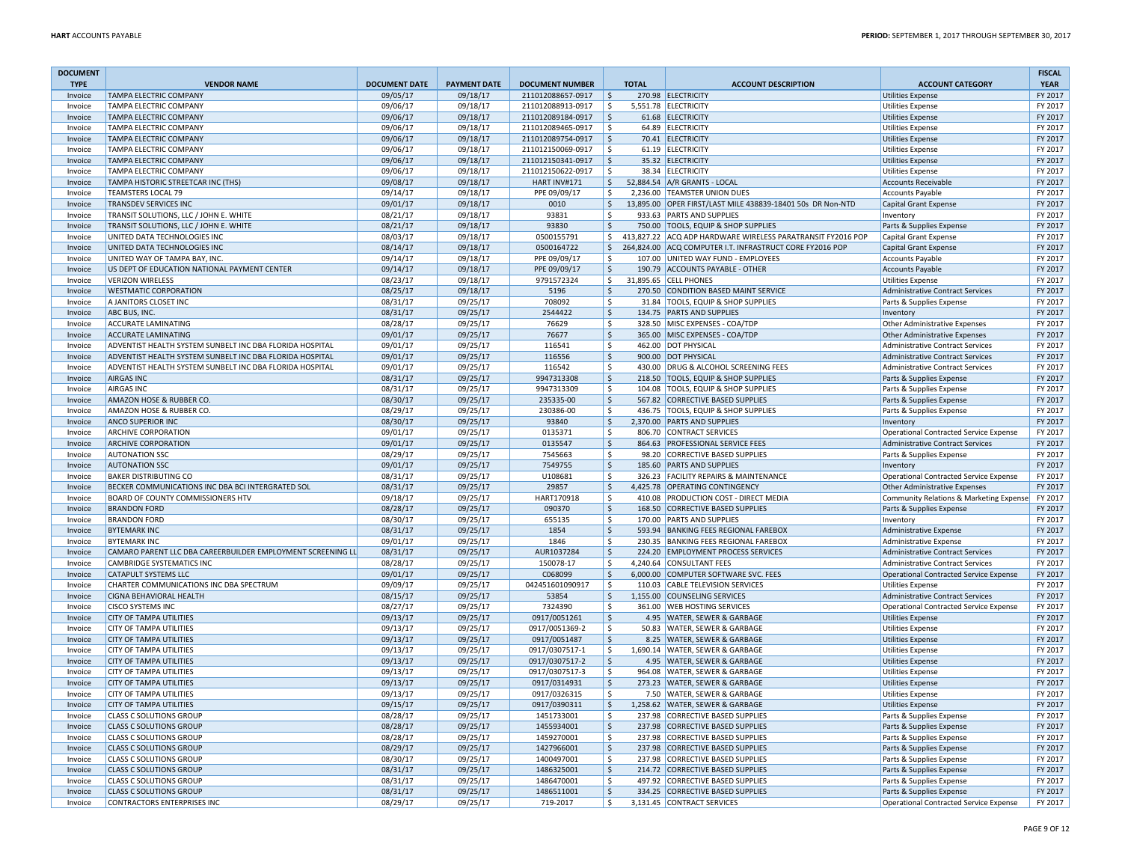| <b>DOCUMENT</b>    |                                                                         |                      |                      |                                        |                           |              |                                                                                            |                                                      | <b>FISCAL</b>      |
|--------------------|-------------------------------------------------------------------------|----------------------|----------------------|----------------------------------------|---------------------------|--------------|--------------------------------------------------------------------------------------------|------------------------------------------------------|--------------------|
| <b>TYPE</b>        | <b>VENDOR NAME</b>                                                      | <b>DOCUMENT DATE</b> | <b>PAYMENT DATE</b>  | <b>DOCUMENT NUMBER</b>                 |                           | <b>TOTAL</b> | <b>ACCOUNT DESCRIPTION</b>                                                                 | <b>ACCOUNT CATEGORY</b>                              | <b>YEAR</b>        |
| Invoice            | <b>TAMPA ELECTRIC COMPANY</b>                                           | 09/05/17             | 09/18/17             | 211012088657-0917                      | S,                        |              | 270.98 ELECTRICITY                                                                         | <b>Utilities Expense</b>                             | FY 2017            |
| Invoice<br>Invoice | TAMPA ELECTRIC COMPANY<br><b>TAMPA ELECTRIC COMPANY</b>                 | 09/06/17             | 09/18/17<br>09/18/17 | 211012088913-0917                      | l \$                      |              | 5,551.78 ELECTRICITY                                                                       | <b>Utilities Expense</b>                             | FY 2017<br>FY 2017 |
|                    |                                                                         | 09/06/17             | 09/18/17             | 211012089184-0917                      | S,<br><sup>s</sup>        |              | 61.68 ELECTRICITY                                                                          | <b>Utilities Expense</b>                             | FY 2017            |
| Invoice<br>Invoice | TAMPA ELECTRIC COMPANY<br>TAMPA ELECTRIC COMPANY                        | 09/06/17<br>09/06/17 | 09/18/17             | 211012089465-0917<br>211012089754-0917 | \$                        |              | 64.89 ELECTRICITY<br>70.41 ELECTRICITY                                                     | <b>Utilities Expense</b><br><b>Utilities Expense</b> | FY 2017            |
|                    | TAMPA ELECTRIC COMPANY                                                  |                      | 09/18/17             |                                        | \$                        |              | 61.19 ELECTRICITY                                                                          |                                                      | FY 2017            |
| Invoice<br>Invoice | TAMPA ELECTRIC COMPANY                                                  | 09/06/17<br>09/06/17 | 09/18/17             | 211012150069-0917<br>211012150341-0917 | l\$                       |              | 35.32 ELECTRICITY                                                                          | Utilities Expense<br><b>Utilities Expense</b>        | FY 2017            |
|                    | TAMPA ELECTRIC COMPANY                                                  |                      |                      |                                        | l \$                      |              | 38.34 ELECTRICITY                                                                          |                                                      | FY 2017            |
| Invoice            |                                                                         | 09/06/17             | 09/18/17<br>09/18/17 | 211012150622-0917                      |                           |              |                                                                                            | <b>Utilities Expense</b>                             | FY 2017            |
| Invoice            | TAMPA HISTORIC STREETCAR INC (THS)                                      | 09/08/17             | 09/18/17             | HART INV#171<br>PPE 09/09/17           | $\zeta$                   |              | 52,884.54 A/R GRANTS - LOCAL                                                               | <b>Accounts Receivable</b>                           | FY 2017            |
| Invoice            | <b>TEAMSTERS LOCAL 79</b><br>TRANSDEV SERVICES INC                      | 09/14/17             | 09/18/17             | 0010                                   | S.                        |              | 2,236.00 TEAMSTER UNION DUES<br>13,895.00 OPER FIRST/LAST MILE 438839-18401 50s DR Non-NTD | <b>Accounts Payable</b>                              | FY 2017            |
| Invoice            |                                                                         | 09/01/17             |                      |                                        | \$                        |              |                                                                                            | Capital Grant Expense                                |                    |
| Invoice<br>Invoice | TRANSIT SOLUTIONS, LLC / JOHN E. WHITE                                  | 08/21/17             | 09/18/17<br>09/18/17 | 93831<br>93830                         | $\ddot{\varsigma}$<br>l\$ |              | 933.63 PARTS AND SUPPLIES<br>750.00 TOOLS, EQUIP & SHOP SUPPLIES                           | Inventory                                            | FY 2017<br>FY 2017 |
|                    | TRANSIT SOLUTIONS, LLC / JOHN E. WHITE                                  | 08/21/17             |                      |                                        |                           |              |                                                                                            | Parts & Supplies Expense                             |                    |
| Invoice            | UNITED DATA TECHNOLOGIES INC                                            | 08/03/17             | 09/18/17             | 0500155791                             | \$                        |              | 413,827.22 ACQ ADP HARDWARE WIRELESS PARATRANSIT FY2016 POP                                | <b>Capital Grant Expense</b>                         | FY 2017            |
| Invoice            | UNITED DATA TECHNOLOGIES INC                                            | 08/14/17             | 09/18/17<br>09/18/17 | 0500164722                             | \$                        |              | 264,824.00 ACQ COMPUTER I.T. INFRASTRUCT CORE FY2016 POP                                   | <b>Capital Grant Expense</b>                         | FY 2017            |
| Invoice            | UNITED WAY OF TAMPA BAY, INC.                                           | 09/14/17             | 09/18/17             | PPE 09/09/17<br>PPE 09/09/17           | $\ddot{\varsigma}$        |              | 107.00 UNITED WAY FUND - EMPLOYEES                                                         | Accounts Payable                                     | FY 2017<br>FY 2017 |
| Invoice            | US DEPT OF EDUCATION NATIONAL PAYMENT CENTER<br><b>VERIZON WIRELESS</b> | 09/14/17             |                      |                                        | l\$                       |              | 190.79 ACCOUNTS PAYABLE - OTHER<br>31.895.65 CELL PHONES                                   | <b>Accounts Payable</b>                              |                    |
| Invoice            |                                                                         | 08/23/17             | 09/18/17             | 9791572324                             | \$                        |              |                                                                                            | <b>Utilities Expense</b>                             | FY 2017            |
| Invoice            | <b>WESTMATIC CORPORATION</b>                                            | 08/25/17             | 09/18/17             | 5196                                   | $\ddot{\mathsf{S}}$       |              | 270.50 CONDITION BASED MAINT SERVICE                                                       | <b>Administrative Contract Services</b>              | FY 2017            |
| Invoice            | A JANITORS CLOSET INC                                                   | 08/31/17             | 09/25/17             | 708092<br>2544422                      | \$                        |              | 31.84 TOOLS, EQUIP & SHOP SUPPLIES<br>134.75 PARTS AND SUPPLIES                            | Parts & Supplies Expense                             | FY 2017<br>FY 2017 |
| Invoice            | ABC BUS, INC.                                                           | 08/31/17             | 09/25/17             |                                        | ∣\$                       |              |                                                                                            | Inventory                                            |                    |
| Invoice            | <b>ACCURATE LAMINATING</b>                                              | 08/28/17             | 09/25/17             | 76629                                  | l\$                       |              | 328.50 MISC EXPENSES - COA/TDP                                                             | Other Administrative Expenses                        | FY 2017            |
| Invoice            | <b>ACCURATE LAMINATING</b>                                              | 09/01/17             | 09/25/17             | 76677                                  | $\vert$ \$                |              | 365.00 MISC EXPENSES - COA/TDP                                                             | Other Administrative Expenses                        | FY 2017            |
| Invoice            | ADVENTIST HEALTH SYSTEM SUNBELT INC DBA FLORIDA HOSPITAL                | 09/01/17             | 09/25/17             | 116541                                 | $\ddot{\mathsf{S}}$       |              | 462.00 DOT PHYSICAL                                                                        | Administrative Contract Services                     | FY 2017            |
| Invoice            | ADVENTIST HEALTH SYSTEM SUNBELT INC DBA FLORIDA HOSPITAL                | 09/01/17             | 09/25/17             | 116556                                 | ∣\$                       |              | 900.00 DOT PHYSICAL                                                                        | <b>Administrative Contract Services</b>              | FY 2017            |
| Invoice            | ADVENTIST HEALTH SYSTEM SUNBELT INC DBA FLORIDA HOSPITAL                | 09/01/17             | 09/25/17             | 116542                                 | $\ddot{\mathsf{S}}$       |              | 430.00 DRUG & ALCOHOL SCREENING FEES                                                       | Administrative Contract Services                     | FY 2017            |
| Invoice            | <b>AIRGAS INC</b>                                                       | 08/31/17             | 09/25/17             | 9947313308                             | \$                        |              | 218.50 TOOLS, EQUIP & SHOP SUPPLIES                                                        | Parts & Supplies Expense                             | FY 2017            |
| Invoice            | <b>AIRGAS INC</b>                                                       | 08/31/17             | 09/25/17             | 9947313309                             | ۱\$                       |              | 104.08 TOOLS, EQUIP & SHOP SUPPLIES                                                        | Parts & Supplies Expense                             | FY 2017            |
| Invoice            | AMAZON HOSE & RUBBER CO.                                                | 08/30/17             | 09/25/17             | 235335-00                              | $\mathsf{S}$              |              | 567.82 CORRECTIVE BASED SUPPLIES                                                           | Parts & Supplies Expense                             | FY 2017            |
| Invoice            | AMAZON HOSE & RUBBER CO.                                                | 08/29/17             | 09/25/17             | 230386-00                              | -Ś                        |              | 436.75 TOOLS, EQUIP & SHOP SUPPLIES                                                        | Parts & Supplies Expense                             | FY 2017            |
| Invoice            | <b>ANCO SUPERIOR INC</b>                                                | 08/30/17             | 09/25/17             | 93840                                  | $\ddot{\mathsf{S}}$       |              | 2.370.00 PARTS AND SUPPLIES                                                                | Inventory                                            | FY 2017            |
| Invoice            | <b>ARCHIVE CORPORATION</b>                                              | 09/01/17             | 09/25/17             | 0135371                                | l\$                       |              | 806.70 CONTRACT SERVICES                                                                   | Operational Contracted Service Expense               | FY 2017            |
| Invoice            | <b>ARCHIVE CORPORATION</b>                                              | 09/01/17             | 09/25/17             | 0135547                                | S.                        |              | 864.63 PROFESSIONAL SERVICE FEES                                                           | <b>Administrative Contract Services</b>              | FY 2017            |
| Invoice            | <b>AUTONATION SSC</b>                                                   | 08/29/17             | 09/25/17             | 7545663                                | ۱\$                       |              | 98.20 CORRECTIVE BASED SUPPLIES                                                            | Parts & Supplies Expense                             | FY 2017            |
| Invoice            | <b>AUTONATION SSC</b>                                                   | 09/01/17             | 09/25/17             | 7549755                                | ∣\$                       |              | 185.60 PARTS AND SUPPLIES                                                                  | Inventory                                            | FY 2017            |
| Invoice            | <b>BAKER DISTRIBUTING CO</b>                                            | 08/31/17             | 09/25/17             | U108681                                | S.                        |              | 326.23 FACILITY REPAIRS & MAINTENANCE                                                      | Operational Contracted Service Expense               | FY 2017            |
| Invoice            | BECKER COMMUNICATIONS INC DBA BCI INTERGRATED SOL                       | 08/31/17             | 09/25/17             | 29857                                  | S,                        |              | 4,425.78 OPERATING CONTINGENCY                                                             | Other Administrative Expenses                        | FY 2017            |
| Invoice            | BOARD OF COUNTY COMMISSIONERS HTV                                       | 09/18/17             | 09/25/17             | HART170918                             | l\$                       |              | 410.08 PRODUCTION COST - DIRECT MEDIA                                                      | Community Relations & Marketing Expense              | FY 2017            |
| Invoice            | <b>BRANDON FORD</b>                                                     | 08/28/17             | 09/25/17             | 090370                                 | l \$                      |              | 168.50 CORRECTIVE BASED SUPPLIES                                                           | Parts & Supplies Expense                             | FY 2017            |
| Invoice            | <b>BRANDON FORD</b>                                                     | 08/30/17             | 09/25/17             | 655135                                 | \$                        |              | 170.00 PARTS AND SUPPLIES                                                                  | Inventory                                            | FY 2017            |
| Invoice            | <b>BYTEMARK INC</b>                                                     | 08/31/17             | 09/25/17             | 1854                                   | $\ddot{\varsigma}$        |              | 593.94 BANKING FEES REGIONAL FAREBOX                                                       | Administrative Expense                               | FY 2017            |
| Invoice            | <b>BYTEMARK INC</b>                                                     | 09/01/17             | 09/25/17             | 1846                                   | ۱\$                       |              | 230.35 BANKING FEES REGIONAL FAREBOX                                                       | Administrative Expense                               | FY 2017            |
| Invoice            | CAMARO PARENT LLC DBA CAREERBUILDER EMPLOYMENT SCREENING LL             | 08/31/17             | 09/25/17             | AUR1037284                             | S.                        |              | 224.20 EMPLOYMENT PROCESS SERVICES                                                         | <b>Administrative Contract Services</b>              | FY 2017            |
| Invoice            | CAMBRIDGE SYSTEMATICS INC                                               | 08/28/17             | 09/25/17             | 150078-17                              | l\$                       |              | 4,240.64 CONSULTANT FEES                                                                   | <b>Administrative Contract Services</b>              | FY 2017            |
| Invoice            | <b>CATAPULT SYSTEMS LLC</b>                                             | 09/01/17             | 09/25/17             | C068099                                | l \$                      |              | 6,000.00 COMPUTER SOFTWARE SVC. FEES                                                       | <b>Operational Contracted Service Expense</b>        | FY 2017            |
| Invoice            | CHARTER COMMUNICATIONS INC DBA SPECTRUM                                 | 09/09/17             | 09/25/17             | 042451601090917                        | l\$                       |              | 110.03 CABLE TELEVISION SERVICES                                                           | <b>Utilities Expense</b>                             | FY 2017            |
| Invoice            | CIGNA BEHAVIORAL HEALTH                                                 | 08/15/17             | 09/25/17             | 53854                                  | S,                        |              | 1,155.00 COUNSELING SERVICES                                                               | Administrative Contract Services                     | FY 2017            |
| Invoice            | <b>CISCO SYSTEMS INC</b>                                                | 08/27/17             | 09/25/17             | 7324390                                | l \$                      |              | 361.00 WEB HOSTING SERVICES                                                                | Operational Contracted Service Expense               | FY 2017            |
| Invoice            | CITY OF TAMPA UTILITIES                                                 | 09/13/17             | 09/25/17             | 0917/0051261                           | $\vert$ \$                |              | 4.95 WATER, SEWER & GARBAGE                                                                | <b>Utilities Expense</b>                             | FY 2017            |
| Invoice            | CITY OF TAMPA UTILITIES                                                 | 09/13/17             | 09/25/17             | 0917/0051369-2                         | $\zeta$                   |              | 50.83 WATER, SEWER & GARBAGE                                                               | <b>Utilities Expense</b>                             | FY 2017            |
| Invoice            | <b>CITY OF TAMPA UTILITIES</b>                                          | 09/13/17             | 09/25/17             | 0917/0051487                           | \$                        |              | 8.25 WATER, SEWER & GARBAGE                                                                | <b>Utilities Expense</b>                             | FY 2017            |
| Invoice            | CITY OF TAMPA UTILITIES                                                 | 09/13/17             | 09/25/17             | 0917/0307517-1                         | \$                        |              | 1,690.14 WATER, SEWER & GARBAGE                                                            | <b>Utilities Expense</b>                             | FY 2017            |
| Invoice            | <b>CITY OF TAMPA UTILITIES</b>                                          | 09/13/17             | 09/25/17             | 0917/0307517-2                         | l\$                       |              | 4.95 WATER, SEWER & GARBAGE                                                                | <b>Utilities Expense</b>                             | FY 2017            |
| Invoice            | CITY OF TAMPA UTILITIES                                                 | 09/13/17             | 09/25/17             | 0917/0307517-3                         | \$                        |              | 964.08 WATER, SEWER & GARBAGE                                                              | <b>Utilities Expense</b>                             | FY 2017            |
| Invoice            | CITY OF TAMPA UTILITIES                                                 | 09/13/17             | 09/25/17             | 0917/0314931                           | $\ddot{\mathsf{S}}$       |              | 273.23 WATER, SEWER & GARBAGE                                                              | <b>Utilities Expense</b>                             | FY 2017            |
| Invoice            | CITY OF TAMPA UTILITIES                                                 | 09/13/17             | 09/25/17             | 0917/0326315                           | \$                        |              | 7.50 WATER, SEWER & GARBAGE                                                                | <b>Utilities Expense</b>                             | FY 2017            |
| Invoice            | <b>CITY OF TAMPA UTILITIES</b>                                          | 09/15/17             | 09/25/17             | 0917/0390311                           | S,                        |              | 1,258.62 WATER, SEWER & GARBAGE                                                            | <b>Utilities Expense</b>                             | FY 2017            |
| Invoice            | <b>CLASS C SOLUTIONS GROUF</b>                                          | 08/28/17             | 09/25/17             | 1451733001                             | l\$                       |              | 237.98 CORRECTIVE BASED SUPPLIES                                                           | Parts & Supplies Expense                             | FY 2017            |
| Invoice            | <b>CLASS C SOLUTIONS GROUP</b>                                          | 08/28/17             | 09/25/17             | 1455934001                             | S,                        |              | 237.98 CORRECTIVE BASED SUPPLIES                                                           | Parts & Supplies Expense                             | FY 2017            |
| Invoice            | <b>CLASS C SOLUTIONS GROUP</b>                                          | 08/28/17             | 09/25/17             | 1459270001                             | S,                        |              | 237.98 CORRECTIVE BASED SUPPLIES                                                           | Parts & Supplies Expense                             | FY 2017            |
| Invoice            | <b>CLASS C SOLUTIONS GROUP</b>                                          | 08/29/17             | 09/25/17             | 1427966001                             | $\ddot{\varsigma}$        |              | 237.98 CORRECTIVE BASED SUPPLIES                                                           | Parts & Supplies Expense                             | FY 2017            |
| Invoice            | <b>CLASS C SOLUTIONS GROUP</b>                                          | 08/30/17             | 09/25/17             | 1400497001                             | $\ddot{\varsigma}$        |              | 237.98 CORRECTIVE BASED SUPPLIES                                                           | Parts & Supplies Expense                             | FY 2017            |
| Invoice            | <b>CLASS C SOLUTIONS GROUP</b>                                          | 08/31/17             | 09/25/17             | 1486325001                             | l \$                      |              | 214.72 CORRECTIVE BASED SUPPLIES                                                           | Parts & Supplies Expense                             | FY 2017            |
| Invoice            | <b>CLASS C SOLUTIONS GROUP</b>                                          | 08/31/17             | 09/25/17             | 1486470001                             | l \$                      |              | 497.92 CORRECTIVE BASED SUPPLIES                                                           | Parts & Supplies Expense                             | FY 2017            |
| Invoice            | <b>CLASS C SOLUTIONS GROUP</b>                                          | 08/31/17             | 09/25/17             | 1486511001                             | $\vert$ \$                |              | 334.25 CORRECTIVE BASED SUPPLIES                                                           | Parts & Supplies Expense                             | FY 2017            |
| Invoice            | <b>CONTRACTORS ENTERPRISES INC</b>                                      | 08/29/17             | 09/25/17             | 719-2017                               | l\$                       |              | 3,131.45 CONTRACT SERVICES                                                                 | Operational Contracted Service Expense               | FY 2017            |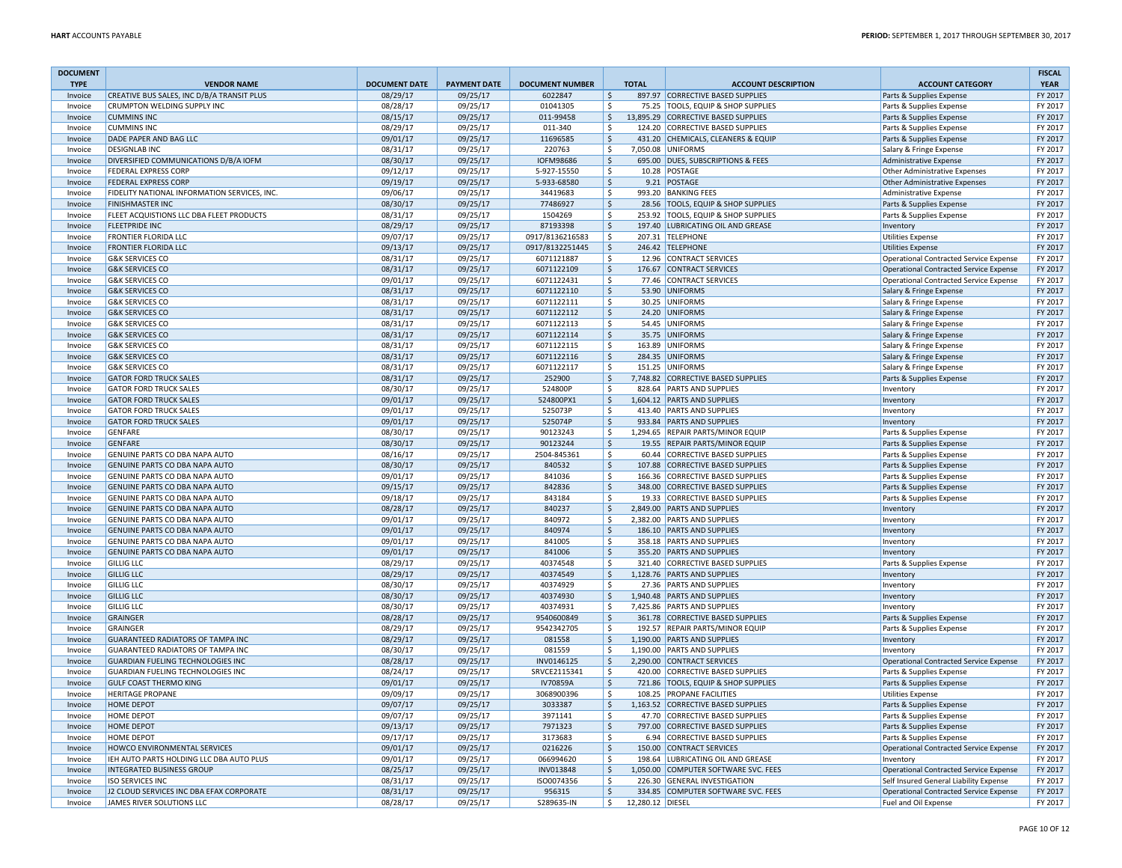| <b>DOCUMENT</b> |                                              |                      |                     |                        |                    |                  |                                      |                                               | <b>FISCAL</b> |
|-----------------|----------------------------------------------|----------------------|---------------------|------------------------|--------------------|------------------|--------------------------------------|-----------------------------------------------|---------------|
| <b>TYPE</b>     | <b>VENDOR NAME</b>                           | <b>DOCUMENT DATE</b> | <b>PAYMENT DATE</b> | <b>DOCUMENT NUMBER</b> |                    | <b>TOTAL</b>     | <b>ACCOUNT DESCRIPTION</b>           | <b>ACCOUNT CATEGORY</b>                       | <b>YEAR</b>   |
| Invoice         | CREATIVE BUS SALES, INC D/B/A TRANSIT PLUS   | 08/29/17             | 09/25/17            | 6022847                | \$                 |                  | 897.97 CORRECTIVE BASED SUPPLIES     | Parts & Supplies Expense                      | FY 2017       |
| Invoice         | CRUMPTON WELDING SUPPLY INC                  | 08/28/17             | 09/25/17            | 01041305               | \$                 |                  | 75.25 TOOLS, EQUIP & SHOP SUPPLIES   | Parts & Supplies Expense                      | FY 2017       |
| Invoice         | <b>CUMMINS INC</b>                           | 08/15/17             | 09/25/17            | 011-99458              | \$                 |                  | 13,895.29 CORRECTIVE BASED SUPPLIES  | Parts & Supplies Expense                      | FY 2017       |
| Invoice         | <b>CUMMINS INC</b>                           | 08/29/17             | 09/25/17            | 011-340                | \$                 |                  | 124.20 CORRECTIVE BASED SUPPLIES     | Parts & Supplies Expense                      | FY 2017       |
| Invoice         | DADE PAPER AND BAG LLC                       | 09/01/17             | 09/25/17            | 11696585               | \$                 |                  | 431.20 CHEMICALS, CLEANERS & EQUIP   | Parts & Supplies Expense                      | FY 2017       |
| Invoice         | <b>DESIGNLAB INC</b>                         | 08/31/17             | 09/25/17            | 220763                 | \$                 |                  | 7.050.08 UNIFORMS                    | Salary & Fringe Expense                       | FY 2017       |
| Invoice         | DIVERSIFIED COMMUNICATIONS D/B/A IOFM        | 08/30/17             | 09/25/17            | <b>IOFM98686</b>       | \$                 |                  | 695.00 DUES, SUBSCRIPTIONS & FEES    | Administrative Expense                        | FY 2017       |
| Invoice         | <b>FEDERAL EXPRESS CORP</b>                  | 09/12/17             | 09/25/17            | 5-927-15550            | \$                 |                  | 10.28 POSTAGE                        | Other Administrative Expenses                 | FY 2017       |
| Invoice         | <b>FEDERAL EXPRESS CORP</b>                  | 09/19/17             | 09/25/17            | 5-933-68580            | \$                 |                  | 9.21 POSTAGE                         | Other Administrative Expenses                 | FY 2017       |
| Invoice         | FIDELITY NATIONAL INFORMATION SERVICES, INC. | 09/06/17             | 09/25/17            | 34419683               | \$                 |                  | 993.20 BANKING FEES                  | Administrative Expense                        | FY 2017       |
| Invoice         | <b>FINISHMASTER INC</b>                      | 08/30/17             | 09/25/17            | 77486927               | \$                 |                  | 28.56 TOOLS, EQUIP & SHOP SUPPLIES   | Parts & Supplies Expense                      | FY 2017       |
| Invoice         | FLEET ACQUISTIONS LLC DBA FLEET PRODUCTS     | 08/31/17             | 09/25/17            | 1504269                | \$                 |                  | 253.92 TOOLS, EQUIP & SHOP SUPPLIES  | Parts & Supplies Expense                      | FY 2017       |
| Invoice         | <b>FLEETPRIDE INC</b>                        | 08/29/17             | 09/25/17            | 87193398               | \$                 |                  | 197.40 LUBRICATING OIL AND GREASE    | Inventory                                     | FY 2017       |
| Invoice         | <b>FRONTIER FLORIDA LLC</b>                  | 09/07/17             | 09/25/17            | 0917/8136216583        | \$                 |                  | 207.31 TELEPHONE                     | <b>Utilities Expense</b>                      | FY 2017       |
| Invoice         | <b>FRONTIER FLORIDA LLC</b>                  | 09/13/17             | 09/25/17            | 0917/8132251445        | \$                 |                  | 246.42 TELEPHONE                     | <b>Utilities Expense</b>                      | FY 2017       |
| Invoice         | <b>G&amp;K SERVICES CO</b>                   | 08/31/17             | 09/25/17            | 6071121887             | \$                 |                  | 12.96 CONTRACT SERVICES              | Operational Contracted Service Expense        | FY 2017       |
| Invoice         | <b>G&amp;K SERVICES CO</b>                   | 08/31/17             | 09/25/17            | 6071122109             | \$                 |                  | 176.67 CONTRACT SERVICES             | Operational Contracted Service Expense        | FY 2017       |
| Invoice         | <b>G&amp;K SERVICES CO</b>                   | 09/01/17             | 09/25/17            | 6071122431             | \$                 |                  | 77.46 CONTRACT SERVICES              | Operational Contracted Service Expense        | FY 2017       |
| Invoice         | <b>G&amp;K SERVICES CO</b>                   | 08/31/17             | 09/25/17            | 6071122110             | \$                 |                  | 53.90 UNIFORMS                       | Salary & Fringe Expense                       | FY 2017       |
| Invoice         | <b>G&amp;K SERVICES CO</b>                   | 08/31/17             | 09/25/17            | 6071122111             | \$                 |                  | 30.25 UNIFORMS                       | Salary & Fringe Expense                       | FY 2017       |
| Invoice         | <b>G&amp;K SERVICES CO</b>                   | 08/31/17             | 09/25/17            | 6071122112             | \$                 |                  | 24.20 UNIFORMS                       | Salary & Fringe Expense                       | FY 2017       |
| Invoice         | <b>G&amp;K SERVICES CO</b>                   | 08/31/17             | 09/25/17            | 6071122113             | \$                 |                  | 54.45 UNIFORMS                       | Salary & Fringe Expense                       | FY 2017       |
| Invoice         | <b>G&amp;K SERVICES CO</b>                   | 08/31/17             | 09/25/17            | 6071122114             | \$                 |                  | 35.75 UNIFORMS                       | Salary & Fringe Expense                       | FY 2017       |
| Invoice         | <b>G&amp;K SERVICES CO</b>                   | 08/31/17             | 09/25/17            | 6071122115             | \$                 |                  | 163.89 UNIFORMS                      | Salary & Fringe Expense                       | FY 2017       |
| Invoice         | <b>G&amp;K SERVICES CO</b>                   | 08/31/17             | 09/25/17            | 6071122116             | $\mathsf{\hat{S}}$ |                  | 284.35 UNIFORMS                      | Salary & Fringe Expense                       | FY 2017       |
| Invoice         | <b>G&amp;K SERVICES CO</b>                   | 08/31/17             | 09/25/17            | 6071122117             | \$                 |                  | 151.25 UNIFORMS                      | Salary & Fringe Expense                       | FY 2017       |
| Invoice         | <b>GATOR FORD TRUCK SALES</b>                | 08/31/17             | 09/25/17            | 252900                 | \$                 |                  | 7,748.82 CORRECTIVE BASED SUPPLIES   | Parts & Supplies Expense                      | FY 2017       |
| Invoice         | <b>GATOR FORD TRUCK SALES</b>                | 08/30/17             | 09/25/17            | 524800P                | \$                 |                  | 828.64 PARTS AND SUPPLIES            | Inventory                                     | FY 2017       |
| Invoice         | <b>GATOR FORD TRUCK SALES</b>                | 09/01/17             | 09/25/17            | 524800PX1              | $\zeta$            |                  | 1,604.12 PARTS AND SUPPLIES          | Inventory                                     | FY 2017       |
| Invoice         | <b>GATOR FORD TRUCK SALES</b>                | 09/01/17             | 09/25/17            | 525073P                | \$                 |                  | 413.40 PARTS AND SUPPLIES            | Inventory                                     | FY 2017       |
| Invoice         | <b>GATOR FORD TRUCK SALES</b>                | 09/01/17             | 09/25/17            | 525074P                | \$                 |                  | 933.84 PARTS AND SUPPLIES            | Inventory                                     | FY 2017       |
| Invoice         | <b>GENFARE</b>                               | 08/30/17             | 09/25/17            | 90123243               | \$                 |                  | 1,294.65 REPAIR PARTS/MINOR EQUIP    | Parts & Supplies Expense                      | FY 2017       |
| Invoice         | <b>GENFARE</b>                               | 08/30/17             | 09/25/17            | 90123244               | \$                 |                  | 19.55 REPAIR PARTS/MINOR EQUIP       | Parts & Supplies Expense                      | FY 2017       |
| Invoice         | GENUINE PARTS CO DBA NAPA AUTO               | 08/16/17             | 09/25/17            | 2504-845361            | \$                 |                  | 60.44 CORRECTIVE BASED SUPPLIES      | Parts & Supplies Expense                      | FY 2017       |
| Invoice         | GENUINE PARTS CO DBA NAPA AUTO               | 08/30/17             | 09/25/17            | 840532                 | $\mathsf{S}$       |                  | 107.88 CORRECTIVE BASED SUPPLIES     | Parts & Supplies Expense                      | FY 2017       |
| Invoice         | GENUINE PARTS CO DBA NAPA AUTO               | 09/01/17             | 09/25/17            | 841036                 | \$                 |                  | 166.36 CORRECTIVE BASED SUPPLIES     | Parts & Supplies Expense                      | FY 2017       |
| Invoice         | GENUINE PARTS CO DBA NAPA AUTO               | 09/15/17             | 09/25/17            | 842836                 | \$                 |                  | 348.00 CORRECTIVE BASED SUPPLIES     | Parts & Supplies Expense                      | FY 2017       |
| Invoice         | GENUINE PARTS CO DBA NAPA AUTO               | 09/18/17             | 09/25/17            | 843184                 | \$                 |                  | 19.33 CORRECTIVE BASED SUPPLIES      | Parts & Supplies Expense                      | FY 2017       |
| Invoice         | GENUINE PARTS CO DBA NAPA AUTO               | 08/28/17             | 09/25/17            | 840237                 | $\zeta$            |                  | 2,849.00 PARTS AND SUPPLIES          | Inventory                                     | FY 2017       |
| Invoice         | GENUINE PARTS CO DBA NAPA AUTO               | 09/01/17             | 09/25/17            | 840972                 | \$                 |                  | 2,382.00 PARTS AND SUPPLIES          | Inventory                                     | FY 2017       |
| Invoice         | GENUINE PARTS CO DBA NAPA AUTO               | 09/01/17             | 09/25/17            | 840974                 | $\mathsf{S}$       |                  | 186.10 PARTS AND SUPPLIES            | Inventory                                     | FY 2017       |
| Invoice         | GENUINE PARTS CO DBA NAPA AUTO               | 09/01/17             | 09/25/17            | 841005                 | \$                 |                  | 358.18 PARTS AND SUPPLIES            | Inventory                                     | FY 2017       |
| Invoice         | GENUINE PARTS CO DBA NAPA AUTO               | 09/01/17             | 09/25/17            | 841006                 | \$                 |                  | 355.20 PARTS AND SUPPLIES            | Inventory                                     | FY 2017       |
| Invoice         | <b>GILLIG LLC</b>                            | 08/29/17             | 09/25/17            | 40374548               | \$                 |                  | 321.40 CORRECTIVE BASED SUPPLIES     | Parts & Supplies Expense                      | FY 2017       |
| Invoice         | <b>GILLIG LLC</b>                            | 08/29/17             | 09/25/17            | 40374549               | \$                 |                  | 1,128.76 PARTS AND SUPPLIES          | Inventory                                     | FY 2017       |
| Invoice         | <b>GILLIG LLC</b>                            | 08/30/17             | 09/25/17            | 40374929               | Ś.                 |                  | 27.36 PARTS AND SUPPLIES             | Inventory                                     | FY 2017       |
| Invoice         | <b>GILLIG LLC</b>                            | 08/30/17             | 09/25/17            | 40374930               | \$                 |                  | 1,940.48 PARTS AND SUPPLIES          | Inventory                                     | FY 2017       |
| Invoice         | <b>GILLIG LLC</b>                            | 08/30/17             | 09/25/17            | 40374931               | \$.                |                  | 7,425.86 PARTS AND SUPPLIES          | Inventory                                     | FY 2017       |
| Invoice         | GRAINGER                                     | 08/28/17             | 09/25/17            | 9540600849             | $\mathsf{\hat{S}}$ |                  | 361.78 CORRECTIVE BASED SUPPLIES     | Parts & Supplies Expense                      | FY 2017       |
| Invoice         | <b>GRAINGER</b>                              | 08/29/17             | 09/25/17            | 9542342705             | \$                 |                  | 192.57 REPAIR PARTS/MINOR EQUIP      | Parts & Supplies Expense                      | FY 2017       |
| Invoice         | <b>GUARANTEED RADIATORS OF TAMPA INC</b>     | 08/29/17             | 09/25/17            | 081558                 | \$                 |                  | 1,190.00 PARTS AND SUPPLIES          | Inventory                                     | FY 2017       |
| Invoice         | <b>GUARANTEED RADIATORS OF TAMPA INC</b>     | 08/30/17             | 09/25/17            | 081559                 | \$                 |                  | 1.190.00 PARTS AND SUPPLIES          | Inventory                                     | FY 2017       |
| Invoice         | <b>GUARDIAN FUELING TECHNOLOGIES INC</b>     | 08/28/17             | 09/25/17            | INV0146125             | \$                 |                  | 2,290.00 CONTRACT SERVICES           | <b>Operational Contracted Service Expense</b> | FY 2017       |
| Invoice         | GUARDIAN FUELING TECHNOLOGIES INC            | 08/24/17             | 09/25/17            | SRVCE2115341           | \$                 |                  | 420.00 CORRECTIVE BASED SUPPLIES     | Parts & Supplies Expense                      | FY 2017       |
| Invoice         | <b>GULF COAST THERMO KING</b>                | 09/01/17             | 09/25/17            | IV70859A               | \$                 |                  | 721.86 TOOLS, EQUIP & SHOP SUPPLIES  | Parts & Supplies Expense                      | FY 2017       |
| Invoice         | <b>HERITAGE PROPANE</b>                      | 09/09/17             | 09/25/17            | 3068900396             | \$                 |                  | 108.25 PROPANE FACILITIES            | <b>Utilities Expense</b>                      | FY 2017       |
| Invoice         | <b>HOME DEPOT</b>                            | 09/07/17             | 09/25/17            | 3033387                | \$                 |                  | 1,163.52 CORRECTIVE BASED SUPPLIES   | Parts & Supplies Expense                      | FY 2017       |
| Invoice         | <b>HOME DEPOT</b>                            | 09/07/17             | 09/25/17            | 3971141                | \$                 |                  | 47.70 CORRECTIVE BASED SUPPLIES      | Parts & Supplies Expense                      | FY 2017       |
| Invoice         | <b>HOME DEPOT</b>                            | 09/13/17             | 09/25/17            | 7971323                | \$                 |                  | 797.00 CORRECTIVE BASED SUPPLIES     | Parts & Supplies Expense                      | FY 2017       |
| Invoice         | HOME DEPOT                                   | 09/17/17             | 09/25/17            | 3173683                | \$                 |                  | 6.94 CORRECTIVE BASED SUPPLIES       | Parts & Supplies Expense                      | FY 2017       |
| Invoice         | HOWCO ENVIRONMENTAL SERVICES                 | 09/01/17             | 09/25/17            | 0216226                | \$                 |                  | 150.00 CONTRACT SERVICES             | Operational Contracted Service Expense        | FY 2017       |
| Invoice         | IEH AUTO PARTS HOLDING LLC DBA AUTO PLUS     | 09/01/17             | 09/25/17            | 066994620              | \$                 |                  | 198.64 LUBRICATING OIL AND GREASE    | Inventory                                     | FY 2017       |
| Invoice         | <b>INTEGRATED BUSINESS GROUP</b>             | 08/25/17             | 09/25/17            | INV013848              | \$                 |                  | 1,050.00 COMPUTER SOFTWARE SVC. FEES | Operational Contracted Service Expense        | FY 2017       |
| Invoice         | <b>ISO SERVICES INC</b>                      | 08/31/17             | 09/25/17            | ISO0074356             | Ś.                 |                  | 226.30 GENERAL INVESTIGATION         | Self Insured General Liability Expense        | FY 2017       |
| Invoice         | J2 CLOUD SERVICES INC DBA EFAX CORPORATE     | 08/31/17             | 09/25/17            | 956315                 | \$                 |                  | 334.85 COMPUTER SOFTWARE SVC. FEES   | <b>Operational Contracted Service Expense</b> | FY 2017       |
| Invoice         | JAMES RIVER SOLUTIONS LLC                    | 08/28/17             | 09/25/17            | S289635-IN             | \$                 | 12,280.12 DIESEL |                                      | Fuel and Oil Expense                          | FY 2017       |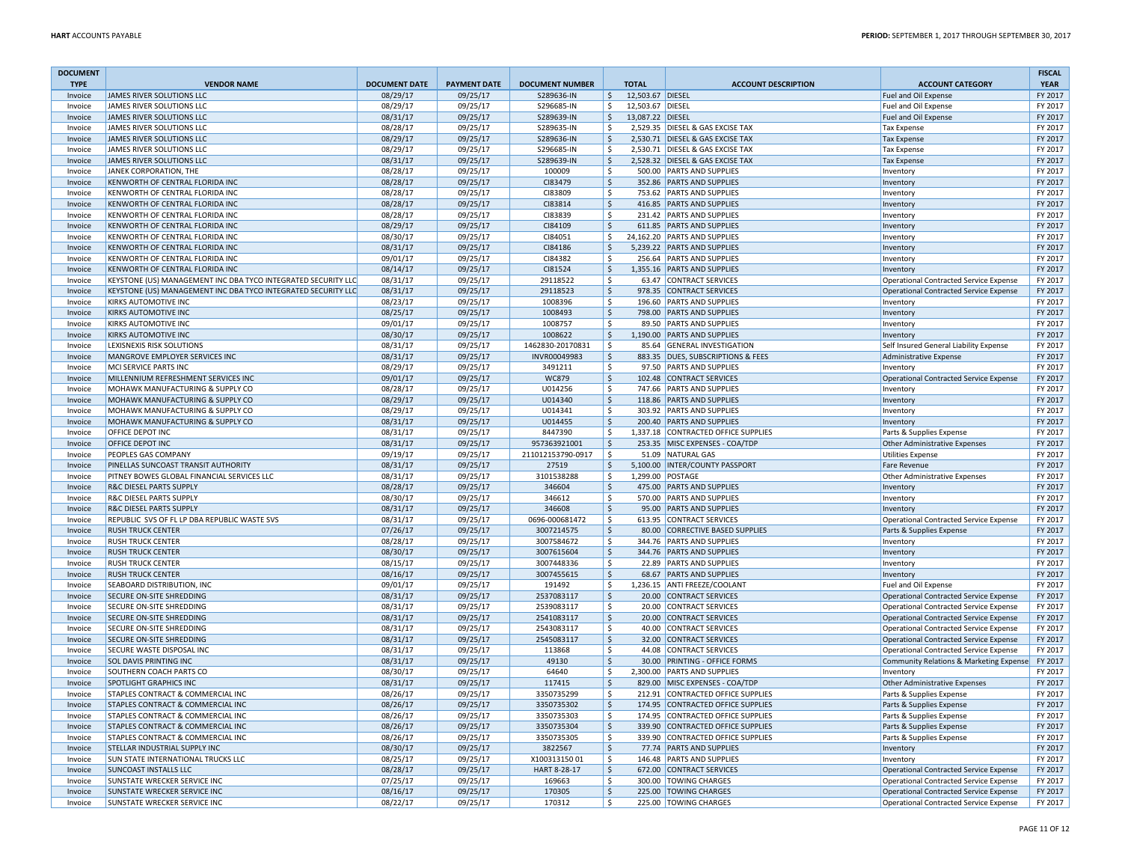| <b>DOCUMENT</b><br><b>TYPE</b> | <b>VENDOR NAME</b>                                            | <b>DOCUMENT DATE</b> | <b>PAYMENT DATE</b> | <b>DOCUMENT NUMBER</b> |                     | <b>TOTAL</b>     | <b>ACCOUNT DESCRIPTION</b>          | <b>ACCOUNT CATEGORY</b>                       | <b>FISCAL</b><br><b>YEAR</b> |
|--------------------------------|---------------------------------------------------------------|----------------------|---------------------|------------------------|---------------------|------------------|-------------------------------------|-----------------------------------------------|------------------------------|
| Invoice                        | JAMES RIVER SOLUTIONS LLC                                     | 08/29/17             | 09/25/17            | S289636-IN             | \$                  | 12,503.67 DIESEL |                                     | Fuel and Oil Expense                          | FY 2017                      |
| Invoice                        | JAMES RIVER SOLUTIONS LLC                                     | 08/29/17             | 09/25/17            | S296685-IN             | \$                  | 12,503.67 DIESEL |                                     | Fuel and Oil Expense                          | FY 2017                      |
| Invoice                        | JAMES RIVER SOLUTIONS LLC                                     | 08/31/17             | 09/25/17            | S289639-IN             | <sub>S</sub>        | 13,087.22 DIESEL |                                     | Fuel and Oil Expense                          | FY 2017                      |
| Invoice                        | JAMES RIVER SOLUTIONS LLC                                     | 08/28/17             | 09/25/17            | S289635-IN             | <b>S</b>            |                  | 2,529.35 DIESEL & GAS EXCISE TAX    | <b>Tax Expense</b>                            | FY 2017                      |
| Invoice                        | JAMES RIVER SOLUTIONS LLC                                     | 08/29/17             | 09/25/17            | S289636-IN             | $\zeta$             |                  | 2,530.71 DIESEL & GAS EXCISE TAX    | <b>Tax Expense</b>                            | FY 2017                      |
| Invoice                        | JAMES RIVER SOLUTIONS LLC                                     | 08/29/17             | 09/25/17            | S296685-IN             | -Ś                  |                  | 2,530.71 DIESEL & GAS EXCISE TAX    | <b>Tax Expense</b>                            | FY 2017                      |
| Invoice                        | JAMES RIVER SOLUTIONS LLC                                     | 08/31/17             | 09/25/17            | S289639-IN             | $\ddot{\varsigma}$  |                  | 2,528.32 DIESEL & GAS EXCISE TAX    | <b>Tax Expense</b>                            | FY 2017                      |
| Invoice                        | JANEK CORPORATION, THE                                        | 08/28/17             | 09/25/17            | 100009                 | S.                  |                  | 500.00 PARTS AND SUPPLIES           | Inventor                                      | FY 2017                      |
| Invoice                        | KENWORTH OF CENTRAL FLORIDA INC                               | 08/28/17             | 09/25/17            | CI83479                | $\ddot{\mathsf{S}}$ |                  | 352.86 PARTS AND SUPPLIES           | Inventory                                     | FY 2017                      |
| Invoice                        | KENWORTH OF CENTRAL FLORIDA INC                               | 08/28/17             | 09/25/17            | CI83809                | <sub>S</sub>        |                  | 753.62 PARTS AND SUPPLIES           | Inventory                                     | FY 2017                      |
| Invoice                        | KENWORTH OF CENTRAL FLORIDA INC                               | 08/28/17             | 09/25/17            | CI83814                | $\ddot{\mathsf{S}}$ |                  | 416.85 PARTS AND SUPPLIES           | Inventory                                     | FY 2017                      |
| Invoice                        | KENWORTH OF CENTRAL FLORIDA INC                               | 08/28/17             | 09/25/17            | CI83839                | \$                  |                  | 231.42 PARTS AND SUPPLIES           | Inventory                                     | FY 2017                      |
| Invoice                        | KENWORTH OF CENTRAL FLORIDA INC                               | 08/29/17             | 09/25/17            | CI84109                | $\ddot{\varsigma}$  |                  | 611.85 PARTS AND SUPPLIES           | Inventory                                     | FY 2017                      |
| Invoice                        | KENWORTH OF CENTRAL FLORIDA INC                               | 08/30/17             | 09/25/17            | CI84051                | \$                  |                  | 24,162.20 PARTS AND SUPPLIES        | Inventory                                     | FY 2017                      |
| Invoice                        | KENWORTH OF CENTRAL FLORIDA INC                               | 08/31/17             | 09/25/17            | CI84186                | $\zeta$             |                  | 5,239.22 PARTS AND SUPPLIES         | Inventory                                     | FY 2017                      |
| Invoice                        | KENWORTH OF CENTRAL FLORIDA INC                               | 09/01/17             | 09/25/17            | CI84382                | <b>S</b>            |                  | 256.64 PARTS AND SUPPLIES           | Inventory                                     | FY 2017                      |
| Invoice                        | KENWORTH OF CENTRAL FLORIDA INC                               | 08/14/17             | 09/25/17            | CI81524                | -\$                 |                  | 1,355.16 PARTS AND SUPPLIES         | Inventory                                     | FY 2017                      |
| Invoice                        | KEYSTONE (US) MANAGEMENT INC DBA TYCO INTEGRATED SECURITY LLC | 08/31/17             | 09/25/17            | 29118522               | <sub>S</sub>        |                  | 63.47 CONTRACT SERVICES             | Operational Contracted Service Expense        | FY 2017                      |
| Invoice                        | KEYSTONE (US) MANAGEMENT INC DBA TYCO INTEGRATED SECURITY LLC | 08/31/17             | 09/25/17            | 29118523               | $\zeta$             |                  | 978.35 CONTRACT SERVICES            | Operational Contracted Service Expense        | FY 2017                      |
| Invoice                        | KIRKS AUTOMOTIVE INC                                          | 08/23/17             | 09/25/17            | 1008396                | <sub>S</sub>        |                  | 196.60 PARTS AND SUPPLIES           | Inventory                                     | FY 2017                      |
| Invoice                        | KIRKS AUTOMOTIVE INC                                          | 08/25/17             | 09/25/17            | 1008493                | $\mathsf{\hat{S}}$  |                  | 798.00 PARTS AND SUPPLIES           | Inventory                                     | FY 2017                      |
| Invoice                        | KIRKS AUTOMOTIVE INC                                          | 09/01/17             | 09/25/17            | 1008757                | \$                  |                  | 89.50 PARTS AND SUPPLIES            | Inventory                                     | FY 2017                      |
| Invoice                        | KIRKS AUTOMOTIVE INC                                          | 08/30/17             | 09/25/17            | 1008622                | $\ddot{\varsigma}$  |                  | 1,190.00 PARTS AND SUPPLIES         | Inventory                                     | FY 2017                      |
| Invoice                        | LEXISNEXIS RISK SOLUTIONS                                     | 08/31/17             | 09/25/17            | 1462830-20170831       | $\ddot{\mathsf{S}}$ |                  | 85.64 GENERAL INVESTIGATION         | Self Insured General Liability Expense        | FY 2017                      |
| Invoice                        | MANGROVE EMPLOYER SERVICES INC                                | 08/31/17             | 09/25/17            | INVR00049983           | $\ddot{\varsigma}$  |                  | 883.35 DUES, SUBSCRIPTIONS & FEES   | Administrative Expense                        | FY 2017                      |
| Invoice                        | MCI SERVICE PARTS INC                                         | 08/29/17             | 09/25/17            | 3491211                | \$                  |                  | 97.50 PARTS AND SUPPLIES            | Inventory                                     | FY 2017                      |
| Invoice                        | MILLENNIUM REFRESHMENT SERVICES INC                           | 09/01/17             | 09/25/17            | WC879                  | \$                  |                  | 102.48 CONTRACT SERVICES            | Operational Contracted Service Expense        | FY 2017                      |
| Invoice                        | MOHAWK MANUFACTURING & SUPPLY CO                              | 08/28/17             | 09/25/17            | U014256                | \$                  |                  | 747.66 PARTS AND SUPPLIES           | Inventory                                     | FY 2017                      |
| Invoice                        | MOHAWK MANUFACTURING & SUPPLY CO                              | 08/29/17             | 09/25/17            | U014340                | $\zeta$             |                  | 118.86 PARTS AND SUPPLIES           | Inventory                                     | FY 2017                      |
| Invoice                        | MOHAWK MANUFACTURING & SUPPLY CO                              | 08/29/17             | 09/25/17            | U014341                | -\$                 |                  | 303.92 PARTS AND SUPPLIES           | Inventory                                     | FY 2017                      |
| Invoice                        | MOHAWK MANUFACTURING & SUPPLY CO                              | 08/31/17             | 09/25/17            | U014455                | $\ddot{\mathsf{S}}$ |                  | 200.40 PARTS AND SUPPLIES           | Inventory                                     | FY 2017                      |
| Invoice                        | OFFICE DEPOT INC                                              | 08/31/17             | 09/25/17            | 8447390                | S.                  |                  | 1,337.18 CONTRACTED OFFICE SUPPLIES | Parts & Supplies Expense                      | FY 2017                      |
| Invoice                        | OFFICE DEPOT INC                                              | 08/31/17             | 09/25/17            | 957363921001           | $\mathsf{S}$        |                  | 253.35 MISC EXPENSES - COA/TDP      | <b>Other Administrative Expenses</b>          | FY 2017                      |
| Invoice                        | PEOPLES GAS COMPANY                                           | 09/19/17             | 09/25/17            | 211012153790-0917      | $\ddot{\mathsf{S}}$ |                  | 51.09 NATURAL GAS                   | <b>Utilities Expense</b>                      | FY 2017                      |
| Invoice                        | PINELLAS SUNCOAST TRANSIT AUTHORITY                           | 08/31/17             | 09/25/17            | 27519                  | $\zeta$             |                  | 5,100.00   INTER/COUNTY PASSPORT    | <b>Fare Revenue</b>                           | FY 2017                      |
| Invoice                        | PITNEY BOWES GLOBAL FINANCIAL SERVICES LLC                    | 08/31/17             | 09/25/17            | 3101538288             | S.                  |                  | 1,299.00 POSTAGE                    | <b>Other Administrative Expenses</b>          | FY 2017                      |
| Invoice                        | R&C DIESEL PARTS SUPPLY                                       | 08/28/17             | 09/25/17            | 346604                 | $\ddot{\varsigma}$  |                  | 475.00 PARTS AND SUPPLIES           | Inventory                                     | FY 2017                      |
| Invoice                        | R&C DIESEL PARTS SUPPLY                                       | 08/30/17             | 09/25/17            | 346612                 | \$                  |                  | 570.00 PARTS AND SUPPLIES           | Inventory                                     | FY 2017                      |
| Invoice                        | R&C DIESEL PARTS SUPPLY                                       | 08/31/17             | 09/25/17            | 346608                 | $\mathsf{\hat{S}}$  |                  | 95.00 PARTS AND SUPPLIES            | Inventory                                     | FY 2017                      |
| Invoice                        | REPUBLIC SVS OF FL LP DBA REPUBLIC WASTE SVS                  | 08/31/17             | 09/25/17            | 0696-000681472         | S.                  |                  | 613.95 CONTRACT SERVICES            | Operational Contracted Service Expense        | FY 2017                      |
| Invoice                        | <b>RUSH TRUCK CENTER</b>                                      | 07/26/17             | 09/25/17            | 3007214575             | $\zeta$             |                  | 80.00 CORRECTIVE BASED SUPPLIES     | Parts & Supplies Expense                      | FY 2017                      |
| Invoice                        | <b>RUSH TRUCK CENTER</b>                                      | 08/28/17             | 09/25/17            | 3007584672             | S.                  |                  | 344.76 PARTS AND SUPPLIES           | Inventory                                     | FY 2017                      |
| Invoice                        | <b>RUSH TRUCK CENTER</b>                                      | 08/30/17             | 09/25/17            | 3007615604             | $\zeta$             |                  | 344.76 PARTS AND SUPPLIES           | Inventory                                     | FY 2017                      |
| Invoice                        | <b>RUSH TRUCK CENTER</b>                                      | 08/15/17             | 09/25/17            | 3007448336             | $\ddot{\mathsf{S}}$ |                  | 22.89 PARTS AND SUPPLIES            | Inventory                                     | FY 2017                      |
| Invoice                        | <b>RUSH TRUCK CENTER</b>                                      | 08/16/17             | 09/25/17            | 3007455615             | $\zeta$             |                  | 68.67 PARTS AND SUPPLIES            | Inventory                                     | FY 2017                      |
| Invoice                        | SEABOARD DISTRIBUTION, INC                                    | 09/01/17             | 09/25/17            | 191492                 | \$                  |                  | 1,236.15 ANTI FREEZE/COOLANT        | Fuel and Oil Expense                          | FY 2017                      |
| Invoice                        | SECURE ON-SITE SHREDDING                                      | 08/31/17             | 09/25/17            | 2537083117             | $\ddot{\varsigma}$  |                  | 20.00 CONTRACT SERVICES             | Operational Contracted Service Expense        | FY 2017                      |
| Invoice                        | SECURE ON-SITE SHREDDING                                      | 08/31/17             | 09/25/17            | 2539083117             | \$                  |                  | 20.00 CONTRACT SERVICES             | <b>Operational Contracted Service Expense</b> | FY 2017                      |
| Invoice                        | SECURE ON-SITE SHREDDING                                      | 08/31/17             | 09/25/17            | 2541083117             | $\zeta$             |                  | 20.00 CONTRACT SERVICES             | <b>Operational Contracted Service Expense</b> | FY 2017                      |
| Invoice                        | SECURE ON-SITE SHREDDING                                      | 08/31/17             | 09/25/17            | 2543083117             | <b>S</b>            |                  | 40.00 CONTRACT SERVICES             | <b>Operational Contracted Service Expense</b> | FY 2017                      |
| Invoice                        | SECURE ON-SITE SHREDDING                                      | 08/31/17             | 09/25/17            | 2545083117             | $\zeta$             |                  | 32.00 CONTRACT SERVICES             | <b>Operational Contracted Service Expense</b> | FY 2017                      |
| Invoice                        | SECURE WASTE DISPOSAL INC                                     | 08/31/17             | 09/25/17            | 113868                 | \$                  |                  | 44.08 CONTRACT SERVICES             | <b>Operational Contracted Service Expense</b> | FY 2017                      |
| Invoice                        | <b>SOL DAVIS PRINTING INC</b>                                 | 08/31/17             | 09/25/17            | 49130                  | $\zeta$             |                  | 30.00 PRINTING - OFFICE FORMS       | Community Relations & Marketing Expense       | FY 2017                      |
| Invoice                        | SOUTHERN COACH PARTS CO                                       | 08/30/17             | 09/25/17            | 64640                  | \$                  |                  | 2,300.00 PARTS AND SUPPLIES         | Inventory                                     | FY 2017                      |
| Invoice                        | SPOTLIGHT GRAPHICS INC                                        | 08/31/17             | 09/25/17            | 117415                 | $\ddot{\mathsf{S}}$ |                  | 829.00 MISC EXPENSES - COA/TDP      | <b>Other Administrative Expenses</b>          | FY 2017                      |
| Invoice                        | STAPLES CONTRACT & COMMERCIAL INC                             | 08/26/17             | 09/25/17            | 3350735299             | \$                  |                  | 212.91 CONTRACTED OFFICE SUPPLIES   | Parts & Supplies Expense                      | FY 2017                      |
| Invoice                        | STAPLES CONTRACT & COMMERCIAL INC                             | 08/26/17             | 09/25/17            | 3350735302             | \$                  |                  | 174.95 CONTRACTED OFFICE SUPPLIES   | Parts & Supplies Expense                      | FY 2017                      |
| Invoice                        | STAPLES CONTRACT & COMMERCIAL INC                             | 08/26/17             | 09/25/17            | 3350735303             | \$                  |                  | 174.95 CONTRACTED OFFICE SUPPLIES   | Parts & Supplies Expense                      | FY 2017                      |
| Invoice                        | STAPLES CONTRACT & COMMERCIAL INC                             | 08/26/17             | 09/25/17            | 3350735304             | $\zeta$             |                  | 339.90 CONTRACTED OFFICE SUPPLIES   | Parts & Supplies Expense                      | FY 2017                      |
| Invoice                        | STAPLES CONTRACT & COMMERCIAL INC                             | 08/26/17             | 09/25/17            | 3350735305             | \$                  |                  | 339.90 CONTRACTED OFFICE SUPPLIES   | Parts & Supplies Expense                      | FY 2017                      |
| Invoice                        | STELLAR INDUSTRIAL SUPPLY INC                                 | 08/30/17             | 09/25/17            | 3822567                | <sub>S</sub>        |                  | 77.74 PARTS AND SUPPLIES            | Inventory                                     | FY 2017                      |
| Invoice                        | <b>SUN STATE INTERNATIONAL TRUCKS LLC</b>                     | 08/25/17             | 09/25/17            | X10031315001           | <b>S</b>            |                  | 146.48 PARTS AND SUPPLIES           | Inventory                                     | FY 2017                      |
| Invoice                        | <b>SUNCOAST INSTALLS LLC</b>                                  | 08/28/17             | 09/25/17            | HART 8-28-17           | -\$                 |                  | 672.00 CONTRACT SERVICES            | <b>Operational Contracted Service Expense</b> | FY 2017                      |
| Invoice                        | SUNSTATE WRECKER SERVICE INC                                  | 07/25/17             | 09/25/17            | 169663                 | <sub>S</sub>        |                  | 300.00 TOWING CHARGES               | <b>Operational Contracted Service Expense</b> | FY 2017                      |
| Invoice                        | SUNSTATE WRECKER SERVICE INC                                  | 08/16/17             | 09/25/17            | 170305                 | $\ddot{\mathsf{S}}$ |                  | 225.00 TOWING CHARGES               | <b>Operational Contracted Service Expense</b> | FY 2017                      |
| Invoice                        | SUNSTATE WRECKER SERVICE INC                                  | 08/22/17             | 09/25/17            | 170312                 | \$                  |                  | 225.00 TOWING CHARGES               | Operational Contracted Service Expense        | FY 2017                      |